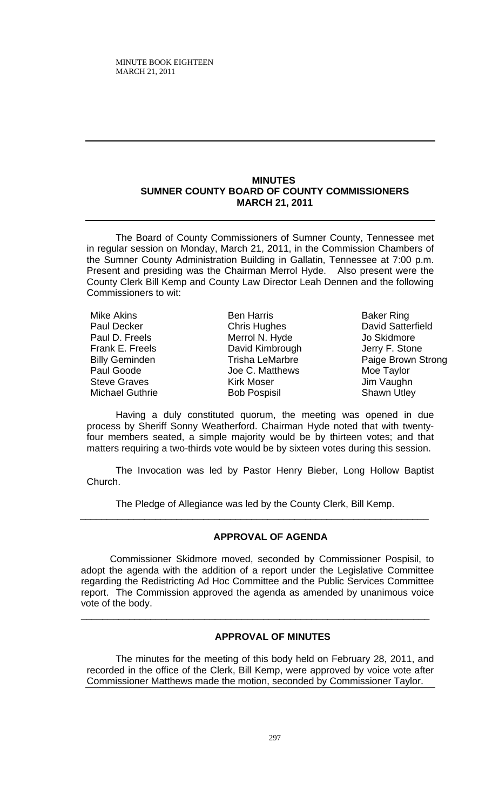## **MINUTES SUMNER COUNTY BOARD OF COUNTY COMMISSIONERS MARCH 21, 2011**

The Board of County Commissioners of Sumner County, Tennessee met in regular session on Monday, March 21, 2011, in the Commission Chambers of the Sumner County Administration Building in Gallatin, Tennessee at 7:00 p.m. Present and presiding was the Chairman Merrol Hyde. Also present were the County Clerk Bill Kemp and County Law Director Leah Dennen and the following Commissioners to wit:

Mike Akins Paul Decker Paul D. Freels Frank E. Freels Billy Geminden Paul Goode Steve Graves Michael Guthrie

Ben Harris Chris Hughes Merrol N. Hyde David Kimbrough Trisha LeMarbre Joe C. Matthews Kirk Moser Bob Pospisil

Baker Ring David Satterfield Jo Skidmore Jerry F. Stone Paige Brown Strong Moe Taylor Jim Vaughn Shawn Utley

Having a duly constituted quorum, the meeting was opened in due process by Sheriff Sonny Weatherford. Chairman Hyde noted that with twentyfour members seated, a simple majority would be by thirteen votes; and that matters requiring a two-thirds vote would be by sixteen votes during this session.

The Invocation was led by Pastor Henry Bieber, Long Hollow Baptist Church.

The Pledge of Allegiance was led by the County Clerk, Bill Kemp.

 $\overline{\phantom{a}}$  ,  $\overline{\phantom{a}}$  ,  $\overline{\phantom{a}}$  ,  $\overline{\phantom{a}}$  ,  $\overline{\phantom{a}}$  ,  $\overline{\phantom{a}}$  ,  $\overline{\phantom{a}}$  ,  $\overline{\phantom{a}}$  ,  $\overline{\phantom{a}}$  ,  $\overline{\phantom{a}}$  ,  $\overline{\phantom{a}}$  ,  $\overline{\phantom{a}}$  ,  $\overline{\phantom{a}}$  ,  $\overline{\phantom{a}}$  ,  $\overline{\phantom{a}}$  ,  $\overline{\phantom{a}}$ 

# **APPROVAL OF AGENDA**

Commissioner Skidmore moved, seconded by Commissioner Pospisil, to adopt the agenda with the addition of a report under the Legislative Committee regarding the Redistricting Ad Hoc Committee and the Public Services Committee report. The Commission approved the agenda as amended by unanimous voice vote of the body.

\_\_\_\_\_\_\_\_\_\_\_\_\_\_\_\_\_\_\_\_\_\_\_\_\_\_\_\_\_\_\_\_\_\_\_\_\_\_\_\_\_\_\_\_\_\_\_\_\_\_\_\_\_\_\_\_\_\_\_\_\_\_\_\_\_

# **APPROVAL OF MINUTES**

The minutes for the meeting of this body held on February 28, 2011, and recorded in the office of the Clerk, Bill Kemp, were approved by voice vote after Commissioner Matthews made the motion, seconded by Commissioner Taylor.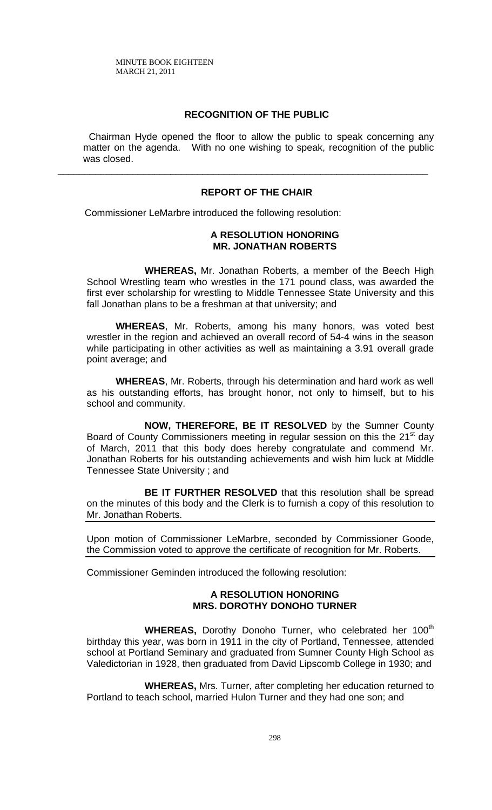# **RECOGNITION OF THE PUBLIC**

 Chairman Hyde opened the floor to allow the public to speak concerning any matter on the agenda. With no one wishing to speak, recognition of the public was closed.

## **REPORT OF THE CHAIR**

\_\_\_\_\_\_\_\_\_\_\_\_\_\_\_\_\_\_\_\_\_\_\_\_\_\_\_\_\_\_\_\_\_\_\_\_\_\_\_\_\_\_\_\_\_\_\_\_\_\_\_\_\_\_\_\_\_\_\_\_\_\_\_\_\_\_\_\_\_

Commissioner LeMarbre introduced the following resolution:

## **A RESOLUTION HONORING MR. JONATHAN ROBERTS**

 **WHEREAS,** Mr. Jonathan Roberts, a member of the Beech High School Wrestling team who wrestles in the 171 pound class, was awarded the first ever scholarship for wrestling to Middle Tennessee State University and this fall Jonathan plans to be a freshman at that university; and

**WHEREAS**, Mr. Roberts, among his many honors, was voted best wrestler in the region and achieved an overall record of 54-4 wins in the season while participating in other activities as well as maintaining a 3.91 overall grade point average; and

**WHEREAS**, Mr. Roberts, through his determination and hard work as well as his outstanding efforts, has brought honor, not only to himself, but to his school and community.

**NOW, THEREFORE, BE IT RESOLVED** by the Sumner County Board of County Commissioners meeting in regular session on this the 21<sup>st</sup> day of March, 2011 that this body does hereby congratulate and commend Mr. Jonathan Roberts for his outstanding achievements and wish him luck at Middle Tennessee State University ; and

**BE IT FURTHER RESOLVED** that this resolution shall be spread on the minutes of this body and the Clerk is to furnish a copy of this resolution to Mr. Jonathan Roberts.

Upon motion of Commissioner LeMarbre, seconded by Commissioner Goode, the Commission voted to approve the certificate of recognition for Mr. Roberts.

Commissioner Geminden introduced the following resolution:

## **A RESOLUTION HONORING MRS. DOROTHY DONOHO TURNER**

**WHEREAS,** Dorothy Donoho Turner, who celebrated her 100<sup>th</sup> birthday this year, was born in 1911 in the city of Portland, Tennessee, attended school at Portland Seminary and graduated from Sumner County High School as Valedictorian in 1928, then graduated from David Lipscomb College in 1930; and

**WHEREAS,** Mrs. Turner, after completing her education returned to Portland to teach school, married Hulon Turner and they had one son; and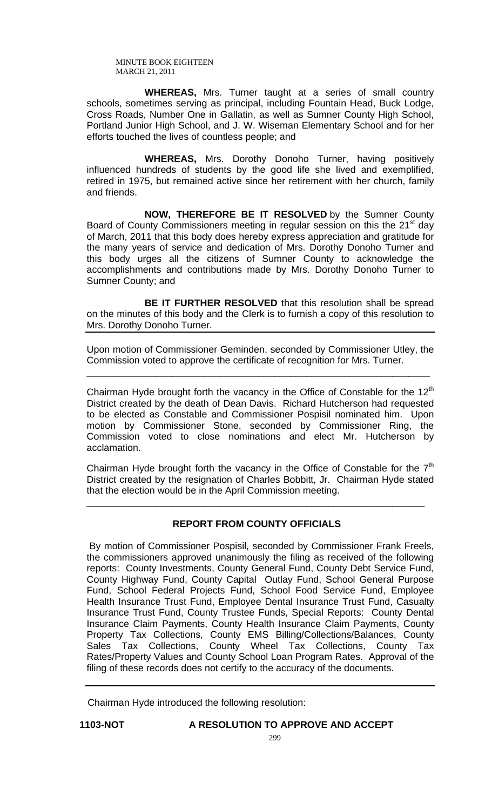**WHEREAS,** Mrs. Turner taught at a series of small country schools, sometimes serving as principal, including Fountain Head, Buck Lodge, Cross Roads, Number One in Gallatin, as well as Sumner County High School, Portland Junior High School, and J. W. Wiseman Elementary School and for her efforts touched the lives of countless people; and

 **WHEREAS,** Mrs. Dorothy Donoho Turner, having positively influenced hundreds of students by the good life she lived and exemplified, retired in 1975, but remained active since her retirement with her church, family and friends.

**NOW, THEREFORE BE IT RESOLVED** by the Sumner County Board of County Commissioners meeting in regular session on this the 21<sup>st</sup> day of March, 2011 that this body does hereby express appreciation and gratitude for the many years of service and dedication of Mrs. Dorothy Donoho Turner and this body urges all the citizens of Sumner County to acknowledge the accomplishments and contributions made by Mrs. Dorothy Donoho Turner to Sumner County; and

**BE IT FURTHER RESOLVED** that this resolution shall be spread on the minutes of this body and the Clerk is to furnish a copy of this resolution to Mrs. Dorothy Donoho Turner.

Upon motion of Commissioner Geminden, seconded by Commissioner Utley, the Commission voted to approve the certificate of recognition for Mrs. Turner.

\_\_\_\_\_\_\_\_\_\_\_\_\_\_\_\_\_\_\_\_\_\_\_\_\_\_\_\_\_\_\_\_\_\_\_\_\_\_\_\_\_\_\_\_\_\_\_\_\_\_\_\_\_\_\_\_\_\_\_\_\_\_\_\_

Chairman Hyde brought forth the vacancy in the Office of Constable for the  $12<sup>th</sup>$ District created by the death of Dean Davis. Richard Hutcherson had requested to be elected as Constable and Commissioner Pospisil nominated him. Upon motion by Commissioner Stone, seconded by Commissioner Ring, the Commission voted to close nominations and elect Mr. Hutcherson by acclamation.

Chairman Hyde brought forth the vacancy in the Office of Constable for the  $7<sup>th</sup>$ District created by the resignation of Charles Bobbitt, Jr. Chairman Hyde stated that the election would be in the April Commission meeting.

# **REPORT FROM COUNTY OFFICIALS**

\_\_\_\_\_\_\_\_\_\_\_\_\_\_\_\_\_\_\_\_\_\_\_\_\_\_\_\_\_\_\_\_\_\_\_\_\_\_\_\_\_\_\_\_\_\_\_\_\_\_\_\_\_\_\_\_\_\_\_\_\_\_\_

 By motion of Commissioner Pospisil, seconded by Commissioner Frank Freels, the commissioners approved unanimously the filing as received of the following reports: County Investments, County General Fund, County Debt Service Fund, County Highway Fund, County Capital Outlay Fund, School General Purpose Fund, School Federal Projects Fund, School Food Service Fund, Employee Health Insurance Trust Fund, Employee Dental Insurance Trust Fund, Casualty Insurance Trust Fund, County Trustee Funds, Special Reports: County Dental Insurance Claim Payments, County Health Insurance Claim Payments, County Property Tax Collections, County EMS Billing/Collections/Balances, County Sales Tax Collections, County Wheel Tax Collections, County Tax Rates/Property Values and County School Loan Program Rates. Approval of the filing of these records does not certify to the accuracy of the documents.

Chairman Hyde introduced the following resolution:

# **1103-NOT A RESOLUTION TO APPROVE AND ACCEPT**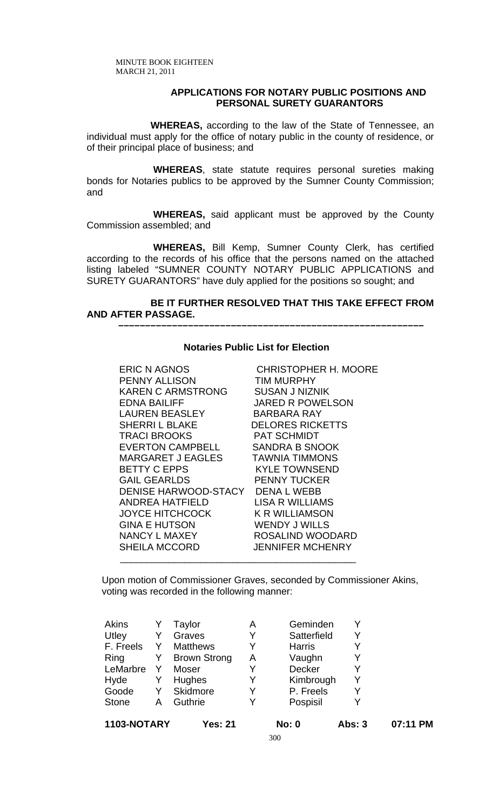## **APPLICATIONS FOR NOTARY PUBLIC POSITIONS AND PERSONAL SURETY GUARANTORS**

 **WHEREAS,** according to the law of the State of Tennessee, an individual must apply for the office of notary public in the county of residence, or of their principal place of business; and

 **WHEREAS**, state statute requires personal sureties making bonds for Notaries publics to be approved by the Sumner County Commission; and

 **WHEREAS,** said applicant must be approved by the County Commission assembled; and

 **WHEREAS,** Bill Kemp, Sumner County Clerk, has certified according to the records of his office that the persons named on the attached listing labeled "SUMNER COUNTY NOTARY PUBLIC APPLICATIONS and SURETY GUARANTORS" have duly applied for the positions so sought; and

# **BE IT FURTHER RESOLVED THAT THIS TAKE EFFECT FROM AND AFTER PASSAGE.**

 **–––––––––––––––––––––––––––––––––––––––––––––––––––––––––**

## **Notaries Public List for Election**

ERIC N AGNOS CHRISTOPHER H. MOORE PENNY ALLISON TIM MURPHY KAREN C ARMSTRONG SUSAN J NIZNIK EDNA BAILIFF JARED R POWELSON LAUREN BEASLEY BARBARA RAY SHERRI L BLAKE DELORES RICKETTS TRACI BROOKS PAT SCHMIDT EVERTON CAMPBELL SANDRA B SNOOK MARGARET J EAGLES TAWNIA TIMMONS BETTY C EPPS KYLE TOWNSEND GAIL GEARLDS PENNY TUCKER DENISE HARWOOD-STACY DENA L WEBB<br>ANDREA HATFIELD LISA R WILLIAMS ANDREA HATFIELD JOYCE HITCHCOCK K R WILLIAMSON GINA E HUTSON WENDY J WILLS NANCY L MAXEY ROSALIND WOODARD SHEILA MCCORD JENNIFER MCHENRY

 Upon motion of Commissioner Graves, seconded by Commissioner Akins, voting was recorded in the following manner:

 $\overline{\phantom{a}}$  , and the contract of the contract of the contract of the contract of the contract of the contract of the contract of the contract of the contract of the contract of the contract of the contract of the contrac

|   | <b>Yes: 21</b>      |             | <b>No: 0</b>  | <b>Abs: 3</b> | 07:11 PM  |
|---|---------------------|-------------|---------------|---------------|-----------|
| A | Guthrie             |             | Pospisil      |               |           |
| Y | Skidmore            | Y           | P. Freels     | Y             |           |
| Y | Hughes              | Y           |               |               |           |
| Y | Moser               | Y           | <b>Decker</b> | Y             |           |
| Y | <b>Brown Strong</b> | A           | Vaughn        |               |           |
| Y | <b>Matthews</b>     |             | <b>Harris</b> |               |           |
| Y | Graves              | Y           | Satterfield   | Y             |           |
|   | Taylor              | Α           | Geminden      |               |           |
|   |                     | 1103-NOTARY |               |               | Kimbrough |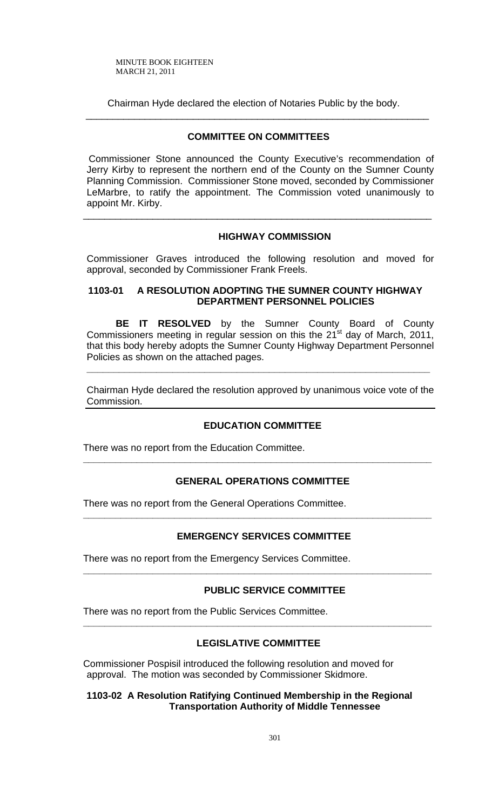Chairman Hyde declared the election of Notaries Public by the body. \_\_\_\_\_\_\_\_\_\_\_\_\_\_\_\_\_\_\_\_\_\_\_\_\_\_\_\_\_\_\_\_\_\_\_\_\_\_\_\_\_\_\_\_\_\_\_\_\_\_\_\_\_\_\_\_\_\_\_\_\_\_\_\_

# **COMMITTEE ON COMMITTEES**

 Commissioner Stone announced the County Executive's recommendation of Jerry Kirby to represent the northern end of the County on the Sumner County Planning Commission. Commissioner Stone moved, seconded by Commissioner LeMarbre, to ratify the appointment. The Commission voted unanimously to appoint Mr. Kirby.

\_\_\_\_\_\_\_\_\_\_\_\_\_\_\_\_\_\_\_\_\_\_\_\_\_\_\_\_\_\_\_\_\_\_\_\_\_\_\_\_\_\_\_\_\_\_\_\_\_\_\_\_\_\_\_\_\_\_\_\_\_\_\_\_\_

# **HIGHWAY COMMISSION**

Commissioner Graves introduced the following resolution and moved for approval, seconded by Commissioner Frank Freels.

# **1103-01 A RESOLUTION ADOPTING THE SUMNER COUNTY HIGHWAY DEPARTMENT PERSONNEL POLICIES**

**BE IT RESOLVED** by the Sumner County Board of County Commissioners meeting in regular session on this the  $21<sup>st</sup>$  day of March, 2011, that this body hereby adopts the Sumner County Highway Department Personnel Policies as shown on the attached pages.

Chairman Hyde declared the resolution approved by unanimous voice vote of the Commission.

**\_\_\_\_\_\_\_\_\_\_\_\_\_\_\_\_\_\_\_\_\_\_\_\_\_\_\_\_\_\_\_\_\_\_\_\_\_\_\_\_\_\_\_\_\_\_\_\_\_\_\_\_\_\_\_\_\_\_\_\_\_\_\_\_**

## **EDUCATION COMMITTEE**

There was no report from the Education Committee.

# **GENERAL OPERATIONS COMMITTEE**

**\_\_\_\_\_\_\_\_\_\_\_\_\_\_\_\_\_\_\_\_\_\_\_\_\_\_\_\_\_\_\_\_\_\_\_\_\_\_\_\_\_\_\_\_\_\_\_\_\_\_\_\_\_\_\_\_\_\_\_\_\_\_\_\_\_** 

There was no report from the General Operations Committee.

# **EMERGENCY SERVICES COMMITTEE**

**\_\_\_\_\_\_\_\_\_\_\_\_\_\_\_\_\_\_\_\_\_\_\_\_\_\_\_\_\_\_\_\_\_\_\_\_\_\_\_\_\_\_\_\_\_\_\_\_\_\_\_\_\_\_\_\_\_\_\_\_\_\_\_\_\_** 

**\_\_\_\_\_\_\_\_\_\_\_\_\_\_\_\_\_\_\_\_\_\_\_\_\_\_\_\_\_\_\_\_\_\_\_\_\_\_\_\_\_\_\_\_\_\_\_\_\_\_\_\_\_\_\_\_\_\_\_\_\_\_\_\_\_** 

There was no report from the Emergency Services Committee.

## **PUBLIC SERVICE COMMITTEE**

There was no report from the Public Services Committee.

# **LEGISLATIVE COMMITTEE**

**\_\_\_\_\_\_\_\_\_\_\_\_\_\_\_\_\_\_\_\_\_\_\_\_\_\_\_\_\_\_\_\_\_\_\_\_\_\_\_\_\_\_\_\_\_\_\_\_\_\_\_\_\_\_\_\_\_\_\_\_\_\_\_\_\_**

Commissioner Pospisil introduced the following resolution and moved for approval. The motion was seconded by Commissioner Skidmore.

# **1103-02 A Resolution Ratifying Continued Membership in the Regional Transportation Authority of Middle Tennessee**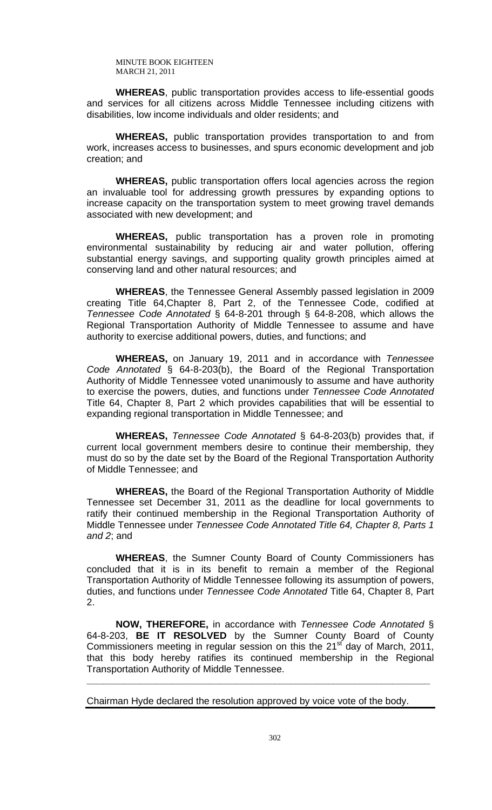**WHEREAS**, public transportation provides access to life-essential goods and services for all citizens across Middle Tennessee including citizens with disabilities, low income individuals and older residents; and

**WHEREAS,** public transportation provides transportation to and from work, increases access to businesses, and spurs economic development and job creation; and

**WHEREAS,** public transportation offers local agencies across the region an invaluable tool for addressing growth pressures by expanding options to increase capacity on the transportation system to meet growing travel demands associated with new development; and

**WHEREAS,** public transportation has a proven role in promoting environmental sustainability by reducing air and water pollution, offering substantial energy savings, and supporting quality growth principles aimed at conserving land and other natural resources; and

**WHEREAS**, the Tennessee General Assembly passed legislation in 2009 creating Title 64,Chapter 8, Part 2, of the Tennessee Code, codified at *Tennessee Code Annotated* § 64-8-201 through § 64-8-208, which allows the Regional Transportation Authority of Middle Tennessee to assume and have authority to exercise additional powers, duties, and functions; and

**WHEREAS,** on January 19, 2011 and in accordance with *Tennessee Code Annotated* § 64-8-203(b), the Board of the Regional Transportation Authority of Middle Tennessee voted unanimously to assume and have authority to exercise the powers, duties, and functions under *Tennessee Code Annotated* Title 64, Chapter 8, Part 2 which provides capabilities that will be essential to expanding regional transportation in Middle Tennessee; and

**WHEREAS,** *Tennessee Code Annotated* § 64-8-203(b) provides that, if current local government members desire to continue their membership, they must do so by the date set by the Board of the Regional Transportation Authority of Middle Tennessee; and

**WHEREAS,** the Board of the Regional Transportation Authority of Middle Tennessee set December 31, 2011 as the deadline for local governments to ratify their continued membership in the Regional Transportation Authority of Middle Tennessee under *Tennessee Code Annotated Title 64, Chapter 8, Parts 1 and 2*; and

**WHEREAS**, the Sumner County Board of County Commissioners has concluded that it is in its benefit to remain a member of the Regional Transportation Authority of Middle Tennessee following its assumption of powers, duties, and functions under *Tennessee Code Annotated* Title 64, Chapter 8, Part  $\mathcal{P}$ 

**NOW, THEREFORE,** in accordance with *Tennessee Code Annotated* § 64-8-203, **BE IT RESOLVED** by the Sumner County Board of County Commissioners meeting in regular session on this the  $21<sup>st</sup>$  day of March, 2011, that this body hereby ratifies its continued membership in the Regional Transportation Authority of Middle Tennessee.

**\_\_\_\_\_\_\_\_\_\_\_\_\_\_\_\_\_\_\_\_\_\_\_\_\_\_\_\_\_\_\_\_\_\_\_\_\_\_\_\_\_\_\_\_\_\_\_\_\_\_\_\_\_\_\_\_\_\_\_\_\_\_\_\_**

Chairman Hyde declared the resolution approved by voice vote of the body.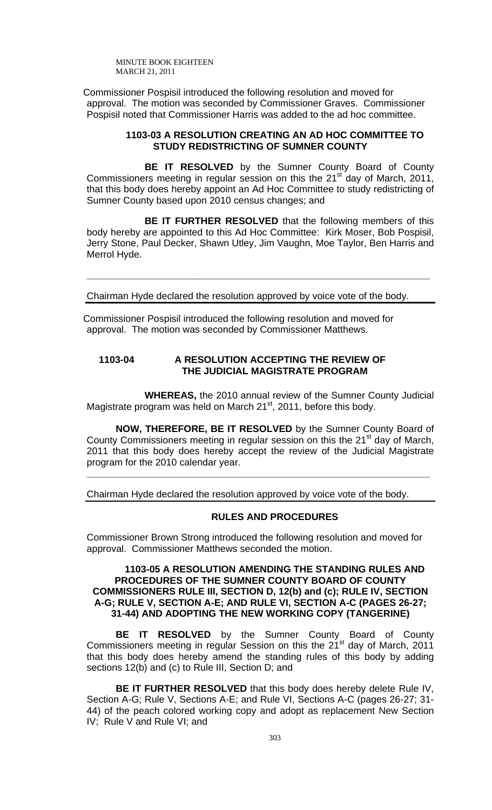Commissioner Pospisil introduced the following resolution and moved for approval. The motion was seconded by Commissioner Graves. Commissioner Pospisil noted that Commissioner Harris was added to the ad hoc committee.

## **1103-03 A RESOLUTION CREATING AN AD HOC COMMITTEE TO STUDY REDISTRICTING OF SUMNER COUNTY**

**BE IT RESOLVED** by the Sumner County Board of County Commissioners meeting in regular session on this the  $21<sup>st</sup>$  day of March, 2011, that this body does hereby appoint an Ad Hoc Committee to study redistricting of Sumner County based upon 2010 census changes; and

**BE IT FURTHER RESOLVED** that the following members of this body hereby are appointed to this Ad Hoc Committee: Kirk Moser, Bob Pospisil, Jerry Stone, Paul Decker, Shawn Utley, Jim Vaughn, Moe Taylor, Ben Harris and Merrol Hyde.

**\_\_\_\_\_\_\_\_\_\_\_\_\_\_\_\_\_\_\_\_\_\_\_\_\_\_\_\_\_\_\_\_\_\_\_\_\_\_\_\_\_\_\_\_\_\_\_\_\_\_\_\_\_\_\_\_\_\_\_\_\_\_\_\_**

Chairman Hyde declared the resolution approved by voice vote of the body.

Commissioner Pospisil introduced the following resolution and moved for approval. The motion was seconded by Commissioner Matthews.

# **1103-04 A RESOLUTION ACCEPTING THE REVIEW OF THE JUDICIAL MAGISTRATE PROGRAM**

 **WHEREAS,** the 2010 annual review of the Sumner County Judicial Magistrate program was held on March  $21<sup>st</sup>$ , 2011, before this body.

**NOW, THEREFORE, BE IT RESOLVED** by the Sumner County Board of County Commissioners meeting in regular session on this the 21<sup>st</sup> day of March, 2011 that this body does hereby accept the review of the Judicial Magistrate program for the 2010 calendar year.

**\_\_\_\_\_\_\_\_\_\_\_\_\_\_\_\_\_\_\_\_\_\_\_\_\_\_\_\_\_\_\_\_\_\_\_\_\_\_\_\_\_\_\_\_\_\_\_\_\_\_\_\_\_\_\_\_\_\_\_\_\_\_\_\_** 

Chairman Hyde declared the resolution approved by voice vote of the body.

## **RULES AND PROCEDURES**

Commissioner Brown Strong introduced the following resolution and moved for approval. Commissioner Matthews seconded the motion.

## **1103-05 A RESOLUTION AMENDING THE STANDING RULES AND PROCEDURES OF THE SUMNER COUNTY BOARD OF COUNTY COMMISSIONERS RULE III, SECTION D, 12(b) and (c); RULE IV, SECTION A-G; RULE V, SECTION A-E; AND RULE VI, SECTION A-C (PAGES 26-27; 31-44) AND ADOPTING THE NEW WORKING COPY (TANGERINE)**

**BE IT RESOLVED** by the Sumner County Board of County Commissioners meeting in regular Session on this the  $21<sup>st</sup>$  day of March, 2011 that this body does hereby amend the standing rules of this body by adding sections 12(b) and (c) to Rule III, Section D; and

**BE IT FURTHER RESOLVED** that this body does hereby delete Rule IV, Section A-G; Rule V, Sections A-E; and Rule VI, Sections A-C (pages 26-27; 31- 44) of the peach colored working copy and adopt as replacement New Section IV; Rule V and Rule VI; and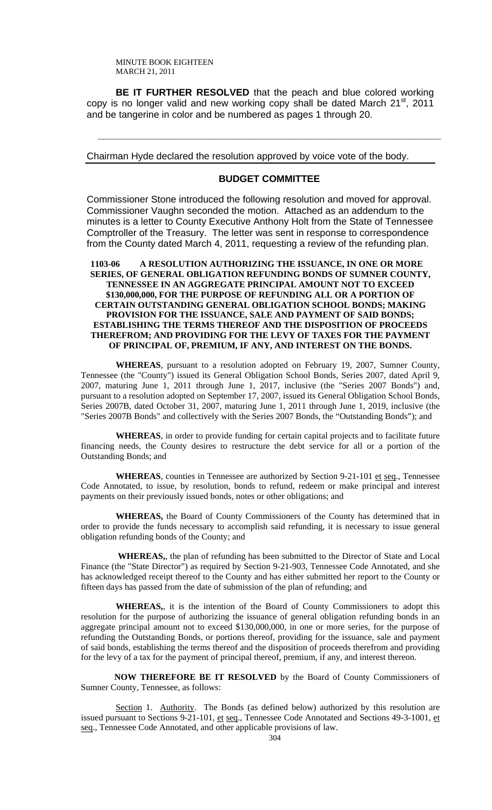**BE IT FURTHER RESOLVED** that the peach and blue colored working copy is no longer valid and new working copy shall be dated March 21<sup>st</sup>, 2011 and be tangerine in color and be numbered as pages 1 through 20.

Chairman Hyde declared the resolution approved by voice vote of the body.

# **BUDGET COMMITTEE**

**\_\_\_\_\_\_\_\_\_\_\_\_\_\_\_\_\_\_\_\_\_\_\_\_\_\_\_\_\_\_\_\_\_\_\_\_\_\_\_\_\_\_\_\_\_\_\_\_\_\_\_\_\_\_\_\_\_\_\_\_\_\_\_\_** 

Commissioner Stone introduced the following resolution and moved for approval. Commissioner Vaughn seconded the motion. Attached as an addendum to the minutes is a letter to County Executive Anthony Holt from the State of Tennessee Comptroller of the Treasury. The letter was sent in response to correspondence from the County dated March 4, 2011, requesting a review of the refunding plan.

## **1103-06 A RESOLUTION AUTHORIZING THE ISSUANCE, IN ONE OR MORE SERIES, OF GENERAL OBLIGATION REFUNDING BONDS OF SUMNER COUNTY, TENNESSEE IN AN AGGREGATE PRINCIPAL AMOUNT NOT TO EXCEED \$130,000,000, FOR THE PURPOSE OF REFUNDING ALL OR A PORTION OF CERTAIN OUTSTANDING GENERAL OBLIGATION SCHOOL BONDS; MAKING PROVISION FOR THE ISSUANCE, SALE AND PAYMENT OF SAID BONDS; ESTABLISHING THE TERMS THEREOF AND THE DISPOSITION OF PROCEEDS THEREFROM; AND PROVIDING FOR THE LEVY OF TAXES FOR THE PAYMENT OF PRINCIPAL OF, PREMIUM, IF ANY, AND INTEREST ON THE BONDS.**

**WHEREAS**, pursuant to a resolution adopted on February 19, 2007, Sumner County, Tennessee (the "County") issued its General Obligation School Bonds, Series 2007, dated April 9, 2007, maturing June 1, 2011 through June 1, 2017, inclusive (the "Series 2007 Bonds") and, pursuant to a resolution adopted on September 17, 2007, issued its General Obligation School Bonds, Series 2007B, dated October 31, 2007, maturing June 1, 2011 through June 1, 2019, inclusive (the "Series 2007B Bonds" and collectively with the Series 2007 Bonds, the "Outstanding Bonds"); and

**WHEREAS**, in order to provide funding for certain capital projects and to facilitate future financing needs, the County desires to restructure the debt service for all or a portion of the Outstanding Bonds; and

WHEREAS, counties in Tennessee are authorized by Section 9-21-101 et seq., Tennessee Code Annotated, to issue, by resolution, bonds to refund, redeem or make principal and interest payments on their previously issued bonds, notes or other obligations; and

**WHEREAS,** the Board of County Commissioners of the County has determined that in order to provide the funds necessary to accomplish said refunding, it is necessary to issue general obligation refunding bonds of the County; and

 **WHEREAS,**, the plan of refunding has been submitted to the Director of State and Local Finance (the "State Director") as required by Section 9-21-903, Tennessee Code Annotated, and she has acknowledged receipt thereof to the County and has either submitted her report to the County or fifteen days has passed from the date of submission of the plan of refunding; and

**WHEREAS,**, it is the intention of the Board of County Commissioners to adopt this resolution for the purpose of authorizing the issuance of general obligation refunding bonds in an aggregate principal amount not to exceed \$130,000,000, in one or more series, for the purpose of refunding the Outstanding Bonds, or portions thereof, providing for the issuance, sale and payment of said bonds, establishing the terms thereof and the disposition of proceeds therefrom and providing for the levy of a tax for the payment of principal thereof, premium, if any, and interest thereon.

 **NOW THEREFORE BE IT RESOLVED** by the Board of County Commissioners of Sumner County, Tennessee, as follows:

 Section 1. Authority. The Bonds (as defined below) authorized by this resolution are issued pursuant to Sections 9-21-101, et seq., Tennessee Code Annotated and Sections 49-3-1001, et seq., Tennessee Code Annotated, and other applicable provisions of law.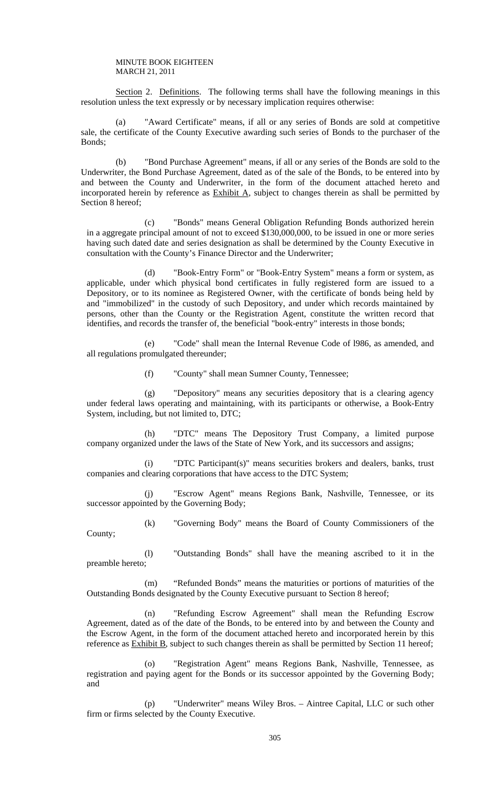Section 2. Definitions. The following terms shall have the following meanings in this resolution unless the text expressly or by necessary implication requires otherwise:

 (a) "Award Certificate" means, if all or any series of Bonds are sold at competitive sale, the certificate of the County Executive awarding such series of Bonds to the purchaser of the Bonds;

 (b) "Bond Purchase Agreement" means, if all or any series of the Bonds are sold to the Underwriter, the Bond Purchase Agreement, dated as of the sale of the Bonds, to be entered into by and between the County and Underwriter, in the form of the document attached hereto and incorporated herein by reference as Exhibit A, subject to changes therein as shall be permitted by Section 8 hereof;

 (c) "Bonds" means General Obligation Refunding Bonds authorized herein in a aggregate principal amount of not to exceed \$130,000,000, to be issued in one or more series having such dated date and series designation as shall be determined by the County Executive in consultation with the County's Finance Director and the Underwriter;

 (d) "Book-Entry Form" or "Book-Entry System" means a form or system, as applicable, under which physical bond certificates in fully registered form are issued to a Depository, or to its nominee as Registered Owner, with the certificate of bonds being held by and "immobilized" in the custody of such Depository, and under which records maintained by persons, other than the County or the Registration Agent, constitute the written record that identifies, and records the transfer of, the beneficial "book-entry" interests in those bonds;

 (e) "Code" shall mean the Internal Revenue Code of l986, as amended, and all regulations promulgated thereunder;

(f) "County" shall mean Sumner County, Tennessee;

 (g) "Depository" means any securities depository that is a clearing agency under federal laws operating and maintaining, with its participants or otherwise, a Book-Entry System, including, but not limited to, DTC;

 (h) "DTC" means The Depository Trust Company, a limited purpose company organized under the laws of the State of New York, and its successors and assigns;

 (i) "DTC Participant(s)" means securities brokers and dealers, banks, trust companies and clearing corporations that have access to the DTC System;

 (j) "Escrow Agent" means Regions Bank, Nashville, Tennessee, or its successor appointed by the Governing Body;

 (k) "Governing Body" means the Board of County Commissioners of the County;

 (l) "Outstanding Bonds" shall have the meaning ascribed to it in the preamble hereto;

 (m) "Refunded Bonds" means the maturities or portions of maturities of the Outstanding Bonds designated by the County Executive pursuant to Section 8 hereof;

 (n) "Refunding Escrow Agreement" shall mean the Refunding Escrow Agreement, dated as of the date of the Bonds, to be entered into by and between the County and the Escrow Agent, in the form of the document attached hereto and incorporated herein by this reference as **Exhibit B**, subject to such changes therein as shall be permitted by Section 11 hereof;

 (o) "Registration Agent" means Regions Bank, Nashville, Tennessee, as registration and paying agent for the Bonds or its successor appointed by the Governing Body; and

 (p) "Underwriter" means Wiley Bros. – Aintree Capital, LLC or such other firm or firms selected by the County Executive.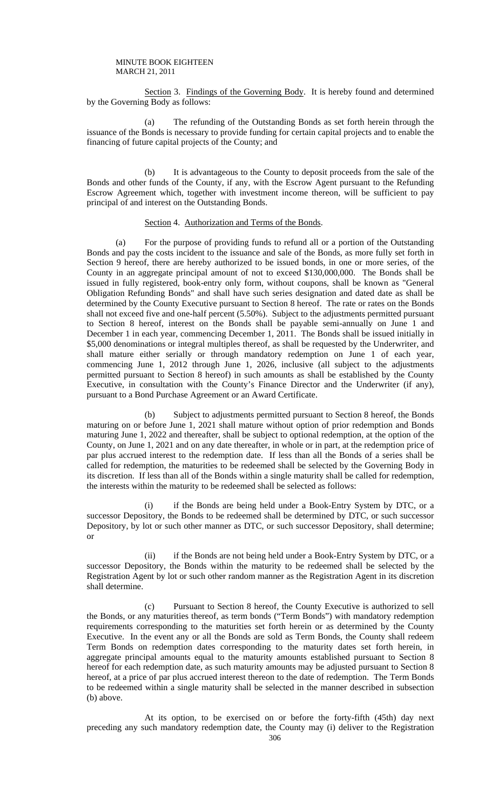Section 3. Findings of the Governing Body. It is hereby found and determined by the Governing Body as follows:

 (a) The refunding of the Outstanding Bonds as set forth herein through the issuance of the Bonds is necessary to provide funding for certain capital projects and to enable the financing of future capital projects of the County; and

 (b) It is advantageous to the County to deposit proceeds from the sale of the Bonds and other funds of the County, if any, with the Escrow Agent pursuant to the Refunding Escrow Agreement which, together with investment income thereon, will be sufficient to pay principal of and interest on the Outstanding Bonds.

## Section 4. Authorization and Terms of the Bonds.

(a) For the purpose of providing funds to refund all or a portion of the Outstanding Bonds and pay the costs incident to the issuance and sale of the Bonds, as more fully set forth in Section 9 hereof, there are hereby authorized to be issued bonds, in one or more series, of the County in an aggregate principal amount of not to exceed \$130,000,000. The Bonds shall be issued in fully registered, book-entry only form, without coupons, shall be known as "General Obligation Refunding Bonds" and shall have such series designation and dated date as shall be determined by the County Executive pursuant to Section 8 hereof. The rate or rates on the Bonds shall not exceed five and one-half percent (5.50%). Subject to the adjustments permitted pursuant to Section 8 hereof, interest on the Bonds shall be payable semi-annually on June 1 and December 1 in each year, commencing December 1, 2011. The Bonds shall be issued initially in \$5,000 denominations or integral multiples thereof, as shall be requested by the Underwriter, and shall mature either serially or through mandatory redemption on June 1 of each year, commencing June 1, 2012 through June 1, 2026, inclusive (all subject to the adjustments permitted pursuant to Section 8 hereof) in such amounts as shall be established by the County Executive, in consultation with the County's Finance Director and the Underwriter (if any), pursuant to a Bond Purchase Agreement or an Award Certificate.

 (b) Subject to adjustments permitted pursuant to Section 8 hereof, the Bonds maturing on or before June 1, 2021 shall mature without option of prior redemption and Bonds maturing June 1, 2022 and thereafter, shall be subject to optional redemption, at the option of the County, on June 1, 2021 and on any date thereafter, in whole or in part, at the redemption price of par plus accrued interest to the redemption date. If less than all the Bonds of a series shall be called for redemption, the maturities to be redeemed shall be selected by the Governing Body in its discretion. If less than all of the Bonds within a single maturity shall be called for redemption, the interests within the maturity to be redeemed shall be selected as follows:

 (i) if the Bonds are being held under a Book-Entry System by DTC, or a successor Depository, the Bonds to be redeemed shall be determined by DTC, or such successor Depository, by lot or such other manner as DTC, or such successor Depository, shall determine; or

 (ii) if the Bonds are not being held under a Book-Entry System by DTC, or a successor Depository, the Bonds within the maturity to be redeemed shall be selected by the Registration Agent by lot or such other random manner as the Registration Agent in its discretion shall determine.

 (c) Pursuant to Section 8 hereof, the County Executive is authorized to sell the Bonds, or any maturities thereof, as term bonds ("Term Bonds") with mandatory redemption requirements corresponding to the maturities set forth herein or as determined by the County Executive. In the event any or all the Bonds are sold as Term Bonds, the County shall redeem Term Bonds on redemption dates corresponding to the maturity dates set forth herein, in aggregate principal amounts equal to the maturity amounts established pursuant to Section 8 hereof for each redemption date, as such maturity amounts may be adjusted pursuant to Section 8 hereof, at a price of par plus accrued interest thereon to the date of redemption. The Term Bonds to be redeemed within a single maturity shall be selected in the manner described in subsection (b) above.

 At its option, to be exercised on or before the forty-fifth (45th) day next preceding any such mandatory redemption date, the County may (i) deliver to the Registration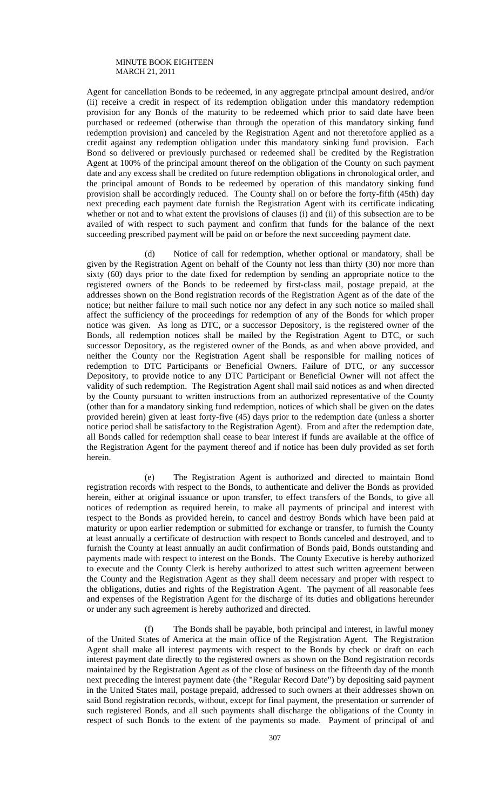Agent for cancellation Bonds to be redeemed, in any aggregate principal amount desired, and/or (ii) receive a credit in respect of its redemption obligation under this mandatory redemption provision for any Bonds of the maturity to be redeemed which prior to said date have been purchased or redeemed (otherwise than through the operation of this mandatory sinking fund redemption provision) and canceled by the Registration Agent and not theretofore applied as a credit against any redemption obligation under this mandatory sinking fund provision. Each Bond so delivered or previously purchased or redeemed shall be credited by the Registration Agent at 100% of the principal amount thereof on the obligation of the County on such payment date and any excess shall be credited on future redemption obligations in chronological order, and the principal amount of Bonds to be redeemed by operation of this mandatory sinking fund provision shall be accordingly reduced. The County shall on or before the forty-fifth (45th) day next preceding each payment date furnish the Registration Agent with its certificate indicating whether or not and to what extent the provisions of clauses (i) and (ii) of this subsection are to be availed of with respect to such payment and confirm that funds for the balance of the next succeeding prescribed payment will be paid on or before the next succeeding payment date.

 (d) Notice of call for redemption, whether optional or mandatory, shall be given by the Registration Agent on behalf of the County not less than thirty (30) nor more than sixty (60) days prior to the date fixed for redemption by sending an appropriate notice to the registered owners of the Bonds to be redeemed by first-class mail, postage prepaid, at the addresses shown on the Bond registration records of the Registration Agent as of the date of the notice; but neither failure to mail such notice nor any defect in any such notice so mailed shall affect the sufficiency of the proceedings for redemption of any of the Bonds for which proper notice was given. As long as DTC, or a successor Depository, is the registered owner of the Bonds, all redemption notices shall be mailed by the Registration Agent to DTC, or such successor Depository, as the registered owner of the Bonds, as and when above provided, and neither the County nor the Registration Agent shall be responsible for mailing notices of redemption to DTC Participants or Beneficial Owners. Failure of DTC, or any successor Depository, to provide notice to any DTC Participant or Beneficial Owner will not affect the validity of such redemption. The Registration Agent shall mail said notices as and when directed by the County pursuant to written instructions from an authorized representative of the County (other than for a mandatory sinking fund redemption, notices of which shall be given on the dates provided herein) given at least forty-five (45) days prior to the redemption date (unless a shorter notice period shall be satisfactory to the Registration Agent). From and after the redemption date, all Bonds called for redemption shall cease to bear interest if funds are available at the office of the Registration Agent for the payment thereof and if notice has been duly provided as set forth herein.

 (e) The Registration Agent is authorized and directed to maintain Bond registration records with respect to the Bonds, to authenticate and deliver the Bonds as provided herein, either at original issuance or upon transfer, to effect transfers of the Bonds, to give all notices of redemption as required herein, to make all payments of principal and interest with respect to the Bonds as provided herein, to cancel and destroy Bonds which have been paid at maturity or upon earlier redemption or submitted for exchange or transfer, to furnish the County at least annually a certificate of destruction with respect to Bonds canceled and destroyed, and to furnish the County at least annually an audit confirmation of Bonds paid, Bonds outstanding and payments made with respect to interest on the Bonds. The County Executive is hereby authorized to execute and the County Clerk is hereby authorized to attest such written agreement between the County and the Registration Agent as they shall deem necessary and proper with respect to the obligations, duties and rights of the Registration Agent. The payment of all reasonable fees and expenses of the Registration Agent for the discharge of its duties and obligations hereunder or under any such agreement is hereby authorized and directed.

 (f) The Bonds shall be payable, both principal and interest, in lawful money of the United States of America at the main office of the Registration Agent. The Registration Agent shall make all interest payments with respect to the Bonds by check or draft on each interest payment date directly to the registered owners as shown on the Bond registration records maintained by the Registration Agent as of the close of business on the fifteenth day of the month next preceding the interest payment date (the "Regular Record Date") by depositing said payment in the United States mail, postage prepaid, addressed to such owners at their addresses shown on said Bond registration records, without, except for final payment, the presentation or surrender of such registered Bonds, and all such payments shall discharge the obligations of the County in respect of such Bonds to the extent of the payments so made. Payment of principal of and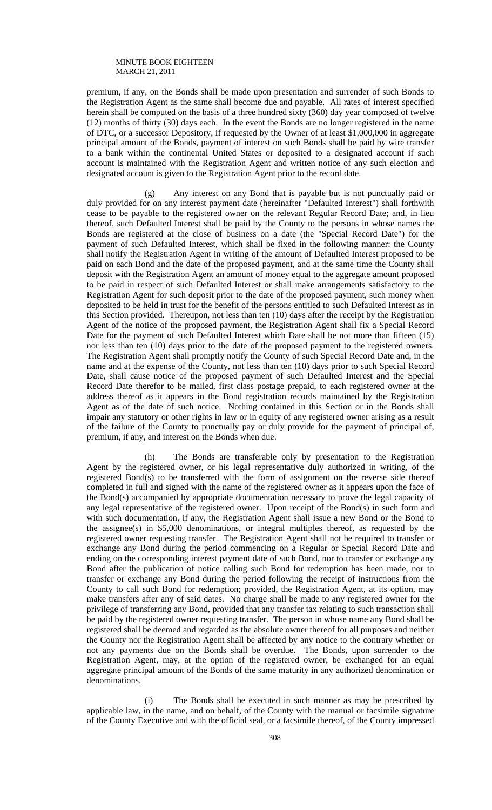premium, if any, on the Bonds shall be made upon presentation and surrender of such Bonds to the Registration Agent as the same shall become due and payable. All rates of interest specified herein shall be computed on the basis of a three hundred sixty (360) day year composed of twelve (12) months of thirty (30) days each. In the event the Bonds are no longer registered in the name of DTC, or a successor Depository, if requested by the Owner of at least \$1,000,000 in aggregate principal amount of the Bonds, payment of interest on such Bonds shall be paid by wire transfer to a bank within the continental United States or deposited to a designated account if such account is maintained with the Registration Agent and written notice of any such election and designated account is given to the Registration Agent prior to the record date.

 (g) Any interest on any Bond that is payable but is not punctually paid or duly provided for on any interest payment date (hereinafter "Defaulted Interest") shall forthwith cease to be payable to the registered owner on the relevant Regular Record Date; and, in lieu thereof, such Defaulted Interest shall be paid by the County to the persons in whose names the Bonds are registered at the close of business on a date (the "Special Record Date") for the payment of such Defaulted Interest, which shall be fixed in the following manner: the County shall notify the Registration Agent in writing of the amount of Defaulted Interest proposed to be paid on each Bond and the date of the proposed payment, and at the same time the County shall deposit with the Registration Agent an amount of money equal to the aggregate amount proposed to be paid in respect of such Defaulted Interest or shall make arrangements satisfactory to the Registration Agent for such deposit prior to the date of the proposed payment, such money when deposited to be held in trust for the benefit of the persons entitled to such Defaulted Interest as in this Section provided. Thereupon, not less than ten (10) days after the receipt by the Registration Agent of the notice of the proposed payment, the Registration Agent shall fix a Special Record Date for the payment of such Defaulted Interest which Date shall be not more than fifteen (15) nor less than ten (10) days prior to the date of the proposed payment to the registered owners. The Registration Agent shall promptly notify the County of such Special Record Date and, in the name and at the expense of the County, not less than ten (10) days prior to such Special Record Date, shall cause notice of the proposed payment of such Defaulted Interest and the Special Record Date therefor to be mailed, first class postage prepaid, to each registered owner at the address thereof as it appears in the Bond registration records maintained by the Registration Agent as of the date of such notice. Nothing contained in this Section or in the Bonds shall impair any statutory or other rights in law or in equity of any registered owner arising as a result of the failure of the County to punctually pay or duly provide for the payment of principal of, premium, if any, and interest on the Bonds when due.

 (h) The Bonds are transferable only by presentation to the Registration Agent by the registered owner, or his legal representative duly authorized in writing, of the registered Bond(s) to be transferred with the form of assignment on the reverse side thereof completed in full and signed with the name of the registered owner as it appears upon the face of the Bond(s) accompanied by appropriate documentation necessary to prove the legal capacity of any legal representative of the registered owner. Upon receipt of the Bond(s) in such form and with such documentation, if any, the Registration Agent shall issue a new Bond or the Bond to the assignee(s) in \$5,000 denominations, or integral multiples thereof, as requested by the registered owner requesting transfer. The Registration Agent shall not be required to transfer or exchange any Bond during the period commencing on a Regular or Special Record Date and ending on the corresponding interest payment date of such Bond, nor to transfer or exchange any Bond after the publication of notice calling such Bond for redemption has been made, nor to transfer or exchange any Bond during the period following the receipt of instructions from the County to call such Bond for redemption; provided, the Registration Agent, at its option, may make transfers after any of said dates. No charge shall be made to any registered owner for the privilege of transferring any Bond, provided that any transfer tax relating to such transaction shall be paid by the registered owner requesting transfer. The person in whose name any Bond shall be registered shall be deemed and regarded as the absolute owner thereof for all purposes and neither the County nor the Registration Agent shall be affected by any notice to the contrary whether or not any payments due on the Bonds shall be overdue. The Bonds, upon surrender to the Registration Agent, may, at the option of the registered owner, be exchanged for an equal aggregate principal amount of the Bonds of the same maturity in any authorized denomination or denominations.

 (i) The Bonds shall be executed in such manner as may be prescribed by applicable law, in the name, and on behalf, of the County with the manual or facsimile signature of the County Executive and with the official seal, or a facsimile thereof, of the County impressed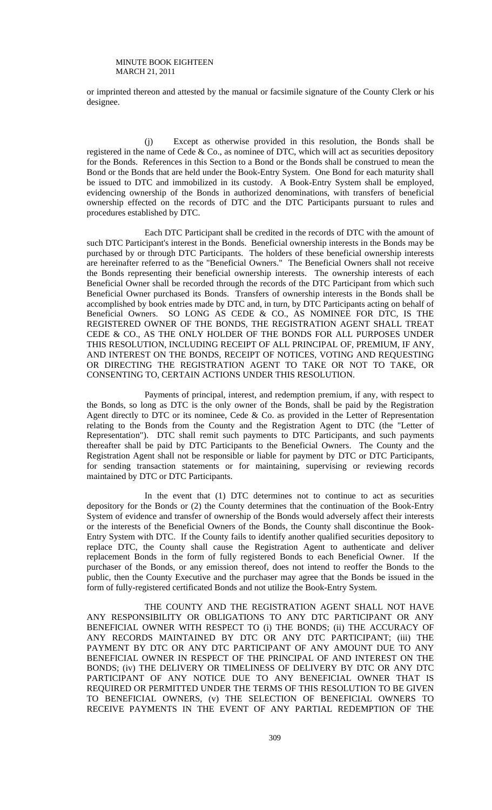or imprinted thereon and attested by the manual or facsimile signature of the County Clerk or his designee.

 (j) Except as otherwise provided in this resolution, the Bonds shall be registered in the name of Cede & Co., as nominee of DTC, which will act as securities depository for the Bonds. References in this Section to a Bond or the Bonds shall be construed to mean the Bond or the Bonds that are held under the Book-Entry System. One Bond for each maturity shall be issued to DTC and immobilized in its custody. A Book-Entry System shall be employed, evidencing ownership of the Bonds in authorized denominations, with transfers of beneficial ownership effected on the records of DTC and the DTC Participants pursuant to rules and procedures established by DTC.

 Each DTC Participant shall be credited in the records of DTC with the amount of such DTC Participant's interest in the Bonds. Beneficial ownership interests in the Bonds may be purchased by or through DTC Participants. The holders of these beneficial ownership interests are hereinafter referred to as the "Beneficial Owners." The Beneficial Owners shall not receive the Bonds representing their beneficial ownership interests. The ownership interests of each Beneficial Owner shall be recorded through the records of the DTC Participant from which such Beneficial Owner purchased its Bonds. Transfers of ownership interests in the Bonds shall be accomplished by book entries made by DTC and, in turn, by DTC Participants acting on behalf of Beneficial Owners. SO LONG AS CEDE & CO., AS NOMINEE FOR DTC, IS THE REGISTERED OWNER OF THE BONDS, THE REGISTRATION AGENT SHALL TREAT CEDE & CO., AS THE ONLY HOLDER OF THE BONDS FOR ALL PURPOSES UNDER THIS RESOLUTION, INCLUDING RECEIPT OF ALL PRINCIPAL OF, PREMIUM, IF ANY, AND INTEREST ON THE BONDS, RECEIPT OF NOTICES, VOTING AND REQUESTING OR DIRECTING THE REGISTRATION AGENT TO TAKE OR NOT TO TAKE, OR CONSENTING TO, CERTAIN ACTIONS UNDER THIS RESOLUTION.

 Payments of principal, interest, and redemption premium, if any, with respect to the Bonds, so long as DTC is the only owner of the Bonds, shall be paid by the Registration Agent directly to DTC or its nominee, Cede  $\&$  Co. as provided in the Letter of Representation relating to the Bonds from the County and the Registration Agent to DTC (the "Letter of Representation"). DTC shall remit such payments to DTC Participants, and such payments thereafter shall be paid by DTC Participants to the Beneficial Owners. The County and the Registration Agent shall not be responsible or liable for payment by DTC or DTC Participants, for sending transaction statements or for maintaining, supervising or reviewing records maintained by DTC or DTC Participants.

 In the event that (1) DTC determines not to continue to act as securities depository for the Bonds or (2) the County determines that the continuation of the Book-Entry System of evidence and transfer of ownership of the Bonds would adversely affect their interests or the interests of the Beneficial Owners of the Bonds, the County shall discontinue the Book-Entry System with DTC. If the County fails to identify another qualified securities depository to replace DTC, the County shall cause the Registration Agent to authenticate and deliver replacement Bonds in the form of fully registered Bonds to each Beneficial Owner. If the purchaser of the Bonds, or any emission thereof, does not intend to reoffer the Bonds to the public, then the County Executive and the purchaser may agree that the Bonds be issued in the form of fully-registered certificated Bonds and not utilize the Book-Entry System.

 THE COUNTY AND THE REGISTRATION AGENT SHALL NOT HAVE ANY RESPONSIBILITY OR OBLIGATIONS TO ANY DTC PARTICIPANT OR ANY BENEFICIAL OWNER WITH RESPECT TO (i) THE BONDS; (ii) THE ACCURACY OF ANY RECORDS MAINTAINED BY DTC OR ANY DTC PARTICIPANT; (iii) THE PAYMENT BY DTC OR ANY DTC PARTICIPANT OF ANY AMOUNT DUE TO ANY BENEFICIAL OWNER IN RESPECT OF THE PRINCIPAL OF AND INTEREST ON THE BONDS; (iv) THE DELIVERY OR TIMELINESS OF DELIVERY BY DTC OR ANY DTC PARTICIPANT OF ANY NOTICE DUE TO ANY BENEFICIAL OWNER THAT IS REQUIRED OR PERMITTED UNDER THE TERMS OF THIS RESOLUTION TO BE GIVEN TO BENEFICIAL OWNERS, (v) THE SELECTION OF BENEFICIAL OWNERS TO RECEIVE PAYMENTS IN THE EVENT OF ANY PARTIAL REDEMPTION OF THE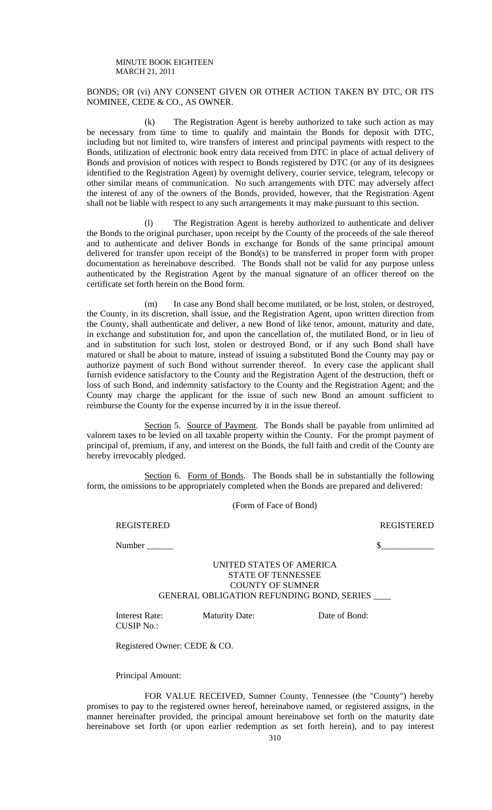## BONDS; OR (vi) ANY CONSENT GIVEN OR OTHER ACTION TAKEN BY DTC, OR ITS NOMINEE, CEDE & CO., AS OWNER.

 (k) The Registration Agent is hereby authorized to take such action as may be necessary from time to time to qualify and maintain the Bonds for deposit with DTC, including but not limited to, wire transfers of interest and principal payments with respect to the Bonds, utilization of electronic book entry data received from DTC in place of actual delivery of Bonds and provision of notices with respect to Bonds registered by DTC (or any of its designees identified to the Registration Agent) by overnight delivery, courier service, telegram, telecopy or other similar means of communication. No such arrangements with DTC may adversely affect the interest of any of the owners of the Bonds, provided, however, that the Registration Agent shall not be liable with respect to any such arrangements it may make pursuant to this section.

 (l) The Registration Agent is hereby authorized to authenticate and deliver the Bonds to the original purchaser, upon receipt by the County of the proceeds of the sale thereof and to authenticate and deliver Bonds in exchange for Bonds of the same principal amount delivered for transfer upon receipt of the Bond(s) to be transferred in proper form with proper documentation as hereinabove described. The Bonds shall not be valid for any purpose unless authenticated by the Registration Agent by the manual signature of an officer thereof on the certificate set forth herein on the Bond form.

 (m) In case any Bond shall become mutilated, or be lost, stolen, or destroyed, the County, in its discretion, shall issue, and the Registration Agent, upon written direction from the County, shall authenticate and deliver, a new Bond of like tenor, amount, maturity and date, in exchange and substitution for, and upon the cancellation of, the mutilated Bond, or in lieu of and in substitution for such lost, stolen or destroyed Bond, or if any such Bond shall have matured or shall be about to mature, instead of issuing a substituted Bond the County may pay or authorize payment of such Bond without surrender thereof. In every case the applicant shall furnish evidence satisfactory to the County and the Registration Agent of the destruction, theft or loss of such Bond, and indemnity satisfactory to the County and the Registration Agent; and the County may charge the applicant for the issue of such new Bond an amount sufficient to reimburse the County for the expense incurred by it in the issue thereof.

Section 5. Source of Payment. The Bonds shall be payable from unlimited ad valorem taxes to be levied on all taxable property within the County. For the prompt payment of principal of, premium, if any, and interest on the Bonds, the full faith and credit of the County are hereby irrevocably pledged.

Section 6. Form of Bonds. The Bonds shall be in substantially the following form, the omissions to be appropriately completed when the Bonds are prepared and delivered:

(Form of Face of Bond)

REGISTERED REGISTERED

 $Number \_\_\_\_\_$ 

## UNITED STATES OF AMERICA STATE OF TENNESSEE COUNTY OF SUMNER GENERAL OBLIGATION REFUNDING BOND, SERIES \_\_\_\_

Interest Rate: Maturity Date: Date of Bond: CUSIP No.:

Registered Owner: CEDE & CO.

Principal Amount:

 FOR VALUE RECEIVED, Sumner County, Tennessee (the "County") hereby promises to pay to the registered owner hereof, hereinabove named, or registered assigns, in the manner hereinafter provided, the principal amount hereinabove set forth on the maturity date hereinabove set forth (or upon earlier redemption as set forth herein), and to pay interest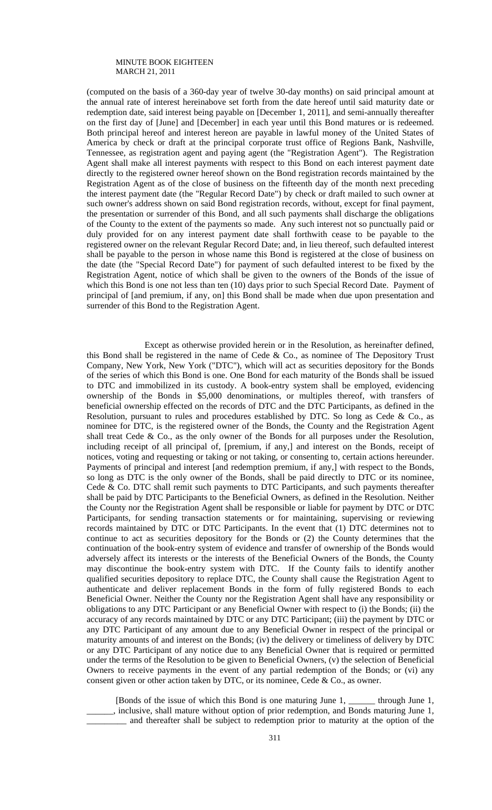(computed on the basis of a 360-day year of twelve 30-day months) on said principal amount at the annual rate of interest hereinabove set forth from the date hereof until said maturity date or redemption date, said interest being payable on [December 1, 2011], and semi-annually thereafter on the first day of [June] and [December] in each year until this Bond matures or is redeemed. Both principal hereof and interest hereon are payable in lawful money of the United States of America by check or draft at the principal corporate trust office of Regions Bank, Nashville, Tennessee, as registration agent and paying agent (the "Registration Agent"). The Registration Agent shall make all interest payments with respect to this Bond on each interest payment date directly to the registered owner hereof shown on the Bond registration records maintained by the Registration Agent as of the close of business on the fifteenth day of the month next preceding the interest payment date (the "Regular Record Date") by check or draft mailed to such owner at such owner's address shown on said Bond registration records, without, except for final payment, the presentation or surrender of this Bond, and all such payments shall discharge the obligations of the County to the extent of the payments so made. Any such interest not so punctually paid or duly provided for on any interest payment date shall forthwith cease to be payable to the registered owner on the relevant Regular Record Date; and, in lieu thereof, such defaulted interest shall be payable to the person in whose name this Bond is registered at the close of business on the date (the "Special Record Date") for payment of such defaulted interest to be fixed by the Registration Agent, notice of which shall be given to the owners of the Bonds of the issue of which this Bond is one not less than ten (10) days prior to such Special Record Date. Payment of principal of [and premium, if any, on] this Bond shall be made when due upon presentation and surrender of this Bond to the Registration Agent.

 Except as otherwise provided herein or in the Resolution, as hereinafter defined, this Bond shall be registered in the name of Cede & Co., as nominee of The Depository Trust Company, New York, New York ("DTC"), which will act as securities depository for the Bonds of the series of which this Bond is one. One Bond for each maturity of the Bonds shall be issued to DTC and immobilized in its custody. A book-entry system shall be employed, evidencing ownership of the Bonds in \$5,000 denominations, or multiples thereof, with transfers of beneficial ownership effected on the records of DTC and the DTC Participants, as defined in the Resolution, pursuant to rules and procedures established by DTC. So long as Cede  $\&$  Co., as nominee for DTC, is the registered owner of the Bonds, the County and the Registration Agent shall treat Cede & Co., as the only owner of the Bonds for all purposes under the Resolution, including receipt of all principal of, [premium, if any,] and interest on the Bonds, receipt of notices, voting and requesting or taking or not taking, or consenting to, certain actions hereunder. Payments of principal and interest [and redemption premium, if any,] with respect to the Bonds, so long as DTC is the only owner of the Bonds, shall be paid directly to DTC or its nominee, Cede & Co. DTC shall remit such payments to DTC Participants, and such payments thereafter shall be paid by DTC Participants to the Beneficial Owners, as defined in the Resolution. Neither the County nor the Registration Agent shall be responsible or liable for payment by DTC or DTC Participants, for sending transaction statements or for maintaining, supervising or reviewing records maintained by DTC or DTC Participants. In the event that (1) DTC determines not to continue to act as securities depository for the Bonds or (2) the County determines that the continuation of the book-entry system of evidence and transfer of ownership of the Bonds would adversely affect its interests or the interests of the Beneficial Owners of the Bonds, the County may discontinue the book-entry system with DTC. If the County fails to identify another qualified securities depository to replace DTC, the County shall cause the Registration Agent to authenticate and deliver replacement Bonds in the form of fully registered Bonds to each Beneficial Owner. Neither the County nor the Registration Agent shall have any responsibility or obligations to any DTC Participant or any Beneficial Owner with respect to (i) the Bonds; (ii) the accuracy of any records maintained by DTC or any DTC Participant; (iii) the payment by DTC or any DTC Participant of any amount due to any Beneficial Owner in respect of the principal or maturity amounts of and interest on the Bonds; (iv) the delivery or timeliness of delivery by DTC or any DTC Participant of any notice due to any Beneficial Owner that is required or permitted under the terms of the Resolution to be given to Beneficial Owners, (v) the selection of Beneficial Owners to receive payments in the event of any partial redemption of the Bonds; or (vi) any consent given or other action taken by DTC, or its nominee, Cede & Co., as owner.

 [Bonds of the issue of which this Bond is one maturing June 1, \_\_\_\_\_\_ through June 1, \_\_\_\_\_\_, inclusive, shall mature without option of prior redemption, and Bonds maturing June 1, \_\_\_\_\_\_\_\_\_ and thereafter shall be subject to redemption prior to maturity at the option of the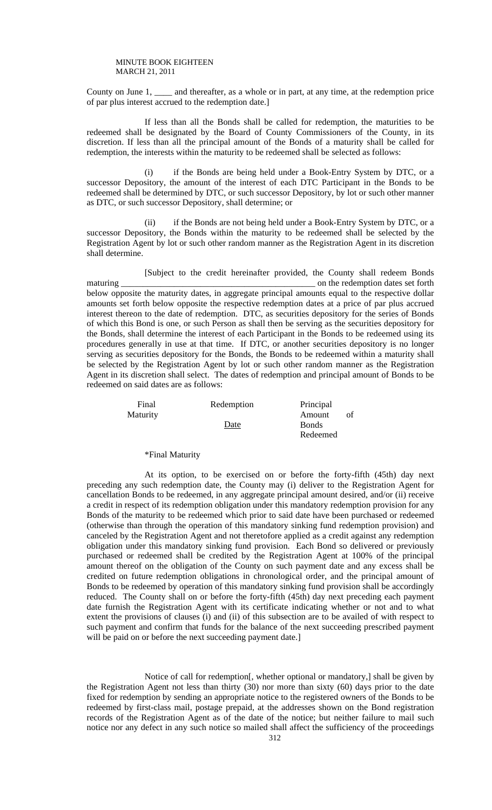County on June 1, \_\_\_\_ and thereafter, as a whole or in part, at any time, at the redemption price of par plus interest accrued to the redemption date.]

 If less than all the Bonds shall be called for redemption, the maturities to be redeemed shall be designated by the Board of County Commissioners of the County, in its discretion. If less than all the principal amount of the Bonds of a maturity shall be called for redemption, the interests within the maturity to be redeemed shall be selected as follows:

if the Bonds are being held under a Book-Entry System by DTC, or a successor Depository, the amount of the interest of each DTC Participant in the Bonds to be redeemed shall be determined by DTC, or such successor Depository, by lot or such other manner as DTC, or such successor Depository, shall determine; or

 (ii) if the Bonds are not being held under a Book-Entry System by DTC, or a successor Depository, the Bonds within the maturity to be redeemed shall be selected by the Registration Agent by lot or such other random manner as the Registration Agent in its discretion shall determine.

 [Subject to the credit hereinafter provided, the County shall redeem Bonds maturing \_\_\_\_\_\_\_\_\_\_\_\_\_\_\_\_\_\_\_\_\_\_\_\_\_\_\_\_\_\_\_\_\_\_\_\_\_\_\_\_\_\_\_\_ on the redemption dates set forth below opposite the maturity dates, in aggregate principal amounts equal to the respective dollar amounts set forth below opposite the respective redemption dates at a price of par plus accrued interest thereon to the date of redemption. DTC, as securities depository for the series of Bonds of which this Bond is one, or such Person as shall then be serving as the securities depository for the Bonds, shall determine the interest of each Participant in the Bonds to be redeemed using its procedures generally in use at that time. If DTC, or another securities depository is no longer serving as securities depository for the Bonds, the Bonds to be redeemed within a maturity shall be selected by the Registration Agent by lot or such other random manner as the Registration Agent in its discretion shall select. The dates of redemption and principal amount of Bonds to be redeemed on said dates are as follows:

| Final    | Redemption | Principal    |  |
|----------|------------|--------------|--|
| Maturity |            | Amount       |  |
|          | Date       | <b>Bonds</b> |  |
|          |            | Redeemed     |  |

## \*Final Maturity

 At its option, to be exercised on or before the forty-fifth (45th) day next preceding any such redemption date, the County may (i) deliver to the Registration Agent for cancellation Bonds to be redeemed, in any aggregate principal amount desired, and/or (ii) receive a credit in respect of its redemption obligation under this mandatory redemption provision for any Bonds of the maturity to be redeemed which prior to said date have been purchased or redeemed (otherwise than through the operation of this mandatory sinking fund redemption provision) and canceled by the Registration Agent and not theretofore applied as a credit against any redemption obligation under this mandatory sinking fund provision. Each Bond so delivered or previously purchased or redeemed shall be credited by the Registration Agent at 100% of the principal amount thereof on the obligation of the County on such payment date and any excess shall be credited on future redemption obligations in chronological order, and the principal amount of Bonds to be redeemed by operation of this mandatory sinking fund provision shall be accordingly reduced. The County shall on or before the forty-fifth (45th) day next preceding each payment date furnish the Registration Agent with its certificate indicating whether or not and to what extent the provisions of clauses (i) and (ii) of this subsection are to be availed of with respect to such payment and confirm that funds for the balance of the next succeeding prescribed payment will be paid on or before the next succeeding payment date.]

 Notice of call for redemption[, whether optional or mandatory,] shall be given by the Registration Agent not less than thirty (30) nor more than sixty (60) days prior to the date fixed for redemption by sending an appropriate notice to the registered owners of the Bonds to be redeemed by first-class mail, postage prepaid, at the addresses shown on the Bond registration records of the Registration Agent as of the date of the notice; but neither failure to mail such notice nor any defect in any such notice so mailed shall affect the sufficiency of the proceedings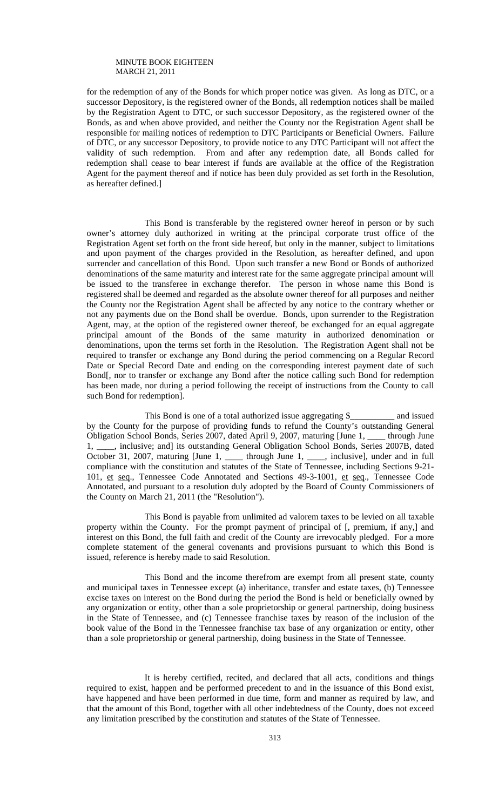for the redemption of any of the Bonds for which proper notice was given. As long as DTC, or a successor Depository, is the registered owner of the Bonds, all redemption notices shall be mailed by the Registration Agent to DTC, or such successor Depository, as the registered owner of the Bonds, as and when above provided, and neither the County nor the Registration Agent shall be responsible for mailing notices of redemption to DTC Participants or Beneficial Owners. Failure of DTC, or any successor Depository, to provide notice to any DTC Participant will not affect the validity of such redemption. From and after any redemption date, all Bonds called for redemption shall cease to bear interest if funds are available at the office of the Registration Agent for the payment thereof and if notice has been duly provided as set forth in the Resolution, as hereafter defined.]

 This Bond is transferable by the registered owner hereof in person or by such owner's attorney duly authorized in writing at the principal corporate trust office of the Registration Agent set forth on the front side hereof, but only in the manner, subject to limitations and upon payment of the charges provided in the Resolution, as hereafter defined, and upon surrender and cancellation of this Bond. Upon such transfer a new Bond or Bonds of authorized denominations of the same maturity and interest rate for the same aggregate principal amount will be issued to the transferee in exchange therefor. The person in whose name this Bond is registered shall be deemed and regarded as the absolute owner thereof for all purposes and neither the County nor the Registration Agent shall be affected by any notice to the contrary whether or not any payments due on the Bond shall be overdue. Bonds, upon surrender to the Registration Agent, may, at the option of the registered owner thereof, be exchanged for an equal aggregate principal amount of the Bonds of the same maturity in authorized denomination or denominations, upon the terms set forth in the Resolution. The Registration Agent shall not be required to transfer or exchange any Bond during the period commencing on a Regular Record Date or Special Record Date and ending on the corresponding interest payment date of such Bond<sub>[,</sub> nor to transfer or exchange any Bond after the notice calling such Bond for redemption has been made, nor during a period following the receipt of instructions from the County to call such Bond for redemption].

 This Bond is one of a total authorized issue aggregating \$\_\_\_\_\_\_\_\_\_\_ and issued by the County for the purpose of providing funds to refund the County's outstanding General Obligation School Bonds, Series 2007, dated April 9, 2007, maturing [June 1, \_\_\_\_ through June 1, \_\_\_\_, inclusive; and] its outstanding General Obligation School Bonds, Series 2007B, dated October 31, 2007, maturing [June 1, \_\_\_\_ through June 1, \_\_\_, inclusive], under and in full compliance with the constitution and statutes of the State of Tennessee, including Sections 9-21- 101, et seq., Tennessee Code Annotated and Sections 49-3-1001, et seq., Tennessee Code Annotated, and pursuant to a resolution duly adopted by the Board of County Commissioners of the County on March 21, 2011 (the "Resolution").

 This Bond is payable from unlimited ad valorem taxes to be levied on all taxable property within the County. For the prompt payment of principal of [, premium, if any,] and interest on this Bond, the full faith and credit of the County are irrevocably pledged. For a more complete statement of the general covenants and provisions pursuant to which this Bond is issued, reference is hereby made to said Resolution.

 This Bond and the income therefrom are exempt from all present state, county and municipal taxes in Tennessee except (a) inheritance, transfer and estate taxes, (b) Tennessee excise taxes on interest on the Bond during the period the Bond is held or beneficially owned by any organization or entity, other than a sole proprietorship or general partnership, doing business in the State of Tennessee, and (c) Tennessee franchise taxes by reason of the inclusion of the book value of the Bond in the Tennessee franchise tax base of any organization or entity, other than a sole proprietorship or general partnership, doing business in the State of Tennessee.

 It is hereby certified, recited, and declared that all acts, conditions and things required to exist, happen and be performed precedent to and in the issuance of this Bond exist, have happened and have been performed in due time, form and manner as required by law, and that the amount of this Bond, together with all other indebtedness of the County, does not exceed any limitation prescribed by the constitution and statutes of the State of Tennessee.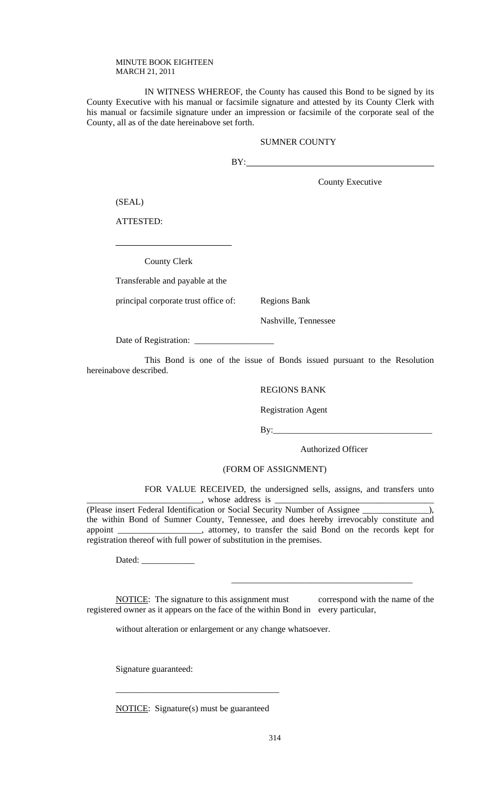IN WITNESS WHEREOF, the County has caused this Bond to be signed by its County Executive with his manual or facsimile signature and attested by its County Clerk with his manual or facsimile signature under an impression or facsimile of the corporate seal of the County, all as of the date hereinabove set forth.

## SUMNER COUNTY

BY:

County Executive

(SEAL)

 $\overline{a}$ 

ATTESTED:

County Clerk

Transferable and payable at the

principal corporate trust office of: Regions Bank

Nashville, Tennessee

Date of Registration: \_\_\_\_\_\_\_\_\_\_\_\_\_\_\_\_\_\_

 This Bond is one of the issue of Bonds issued pursuant to the Resolution hereinabove described.

## REGIONS BANK

Registration Agent

By:\_\_\_\_\_\_\_\_\_\_\_\_\_\_\_\_\_\_\_\_\_\_\_\_\_\_\_\_\_\_\_\_\_\_\_\_

Authorized Officer

## (FORM OF ASSIGNMENT)

 FOR VALUE RECEIVED, the undersigned sells, assigns, and transfers unto  $\Box$ , whose address is  $\Box$ 

(Please insert Federal Identification or Social Security Number of Assignee \_\_\_\_\_\_\_\_\_\_\_\_\_\_\_), the within Bond of Sumner County, Tennessee, and does hereby irrevocably constitute and appoint \_\_\_\_\_\_\_\_\_\_\_\_\_\_\_\_\_\_\_, attorney, to transfer the said Bond on the records kept for registration thereof with full power of substitution in the premises.

Dated:

NOTICE: The signature to this assignment must correspond with the name of the registered owner as it appears on the face of the within Bond in every particular,

 $\frac{1}{\sqrt{2}}$  ,  $\frac{1}{\sqrt{2}}$  ,  $\frac{1}{\sqrt{2}}$  ,  $\frac{1}{\sqrt{2}}$  ,  $\frac{1}{\sqrt{2}}$  ,  $\frac{1}{\sqrt{2}}$  ,  $\frac{1}{\sqrt{2}}$  ,  $\frac{1}{\sqrt{2}}$  ,  $\frac{1}{\sqrt{2}}$  ,  $\frac{1}{\sqrt{2}}$  ,  $\frac{1}{\sqrt{2}}$  ,  $\frac{1}{\sqrt{2}}$  ,  $\frac{1}{\sqrt{2}}$  ,  $\frac{1}{\sqrt{2}}$  ,  $\frac{1}{\sqrt{2}}$ 

without alteration or enlargement or any change whatsoever.

Signature guaranteed:

NOTICE: Signature(s) must be guaranteed

\_\_\_\_\_\_\_\_\_\_\_\_\_\_\_\_\_\_\_\_\_\_\_\_\_\_\_\_\_\_\_\_\_\_\_\_\_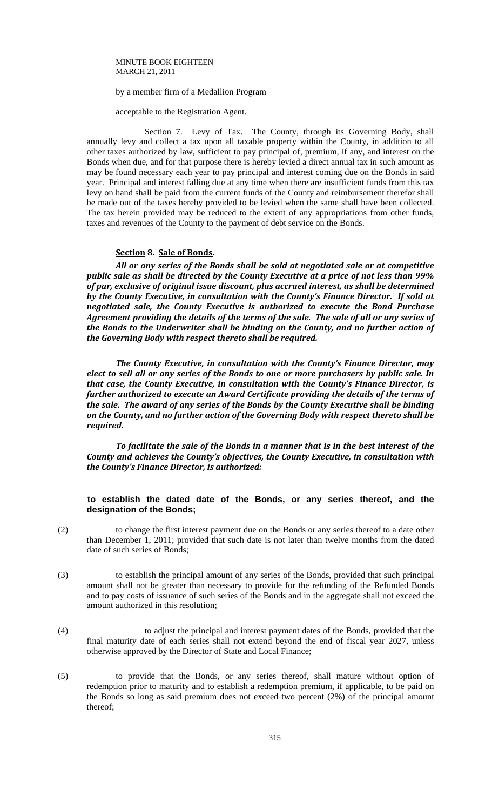#### by a member firm of a Medallion Program

acceptable to the Registration Agent.

Section 7. Levy of Tax. The County, through its Governing Body, shall annually levy and collect a tax upon all taxable property within the County, in addition to all other taxes authorized by law, sufficient to pay principal of, premium, if any, and interest on the Bonds when due, and for that purpose there is hereby levied a direct annual tax in such amount as may be found necessary each year to pay principal and interest coming due on the Bonds in said year. Principal and interest falling due at any time when there are insufficient funds from this tax levy on hand shall be paid from the current funds of the County and reimbursement therefor shall be made out of the taxes hereby provided to be levied when the same shall have been collected. The tax herein provided may be reduced to the extent of any appropriations from other funds, taxes and revenues of the County to the payment of debt service on the Bonds.

#### **Section 8. Sale of Bonds.**

*All or any series of the Bonds shall be sold at negotiated sale or at competitive public sale as shall be directed by the County Executive at a price of not less than 99% of par, exclusive of original issue discount, plus accrued interest, as shall be determined by the County Executive, in consultation with the County's Finance Director. If sold at negotiated sale, the County Executive is authorized to execute the Bond Purchase Agreement providing the details of the terms of the sale. The sale of all or any series of the Bonds to the Underwriter shall be binding on the County, and no further action of the Governing Body with respect thereto shall be required.* 

*The County Executive, in consultation with the County's Finance Director, may elect to sell all or any series of the Bonds to one or more purchasers by public sale. In that case, the County Executive, in consultation with the County's Finance Director, is further authorized to execute an Award Certificate providing the details of the terms of the sale. The award of any series of the Bonds by the County Executive shall be binding on the County, and no further action of the Governing Body with respect thereto shall be required.*

*To facilitate the sale of the Bonds in a manner that is in the best interest of the County and achieves the County's objectives, the County Executive, in consultation with the County's Finance Director, is authorized:*

## **to establish the dated date of the Bonds, or any series thereof, and the designation of the Bonds;**

(2) to change the first interest payment due on the Bonds or any series thereof to a date other than December 1, 2011; provided that such date is not later than twelve months from the dated date of such series of Bonds;

- (3) to establish the principal amount of any series of the Bonds, provided that such principal amount shall not be greater than necessary to provide for the refunding of the Refunded Bonds and to pay costs of issuance of such series of the Bonds and in the aggregate shall not exceed the amount authorized in this resolution;
- (4) to adjust the principal and interest payment dates of the Bonds, provided that the final maturity date of each series shall not extend beyond the end of fiscal year 2027, unless otherwise approved by the Director of State and Local Finance;
- (5) to provide that the Bonds, or any series thereof, shall mature without option of redemption prior to maturity and to establish a redemption premium, if applicable, to be paid on the Bonds so long as said premium does not exceed two percent (2%) of the principal amount thereof;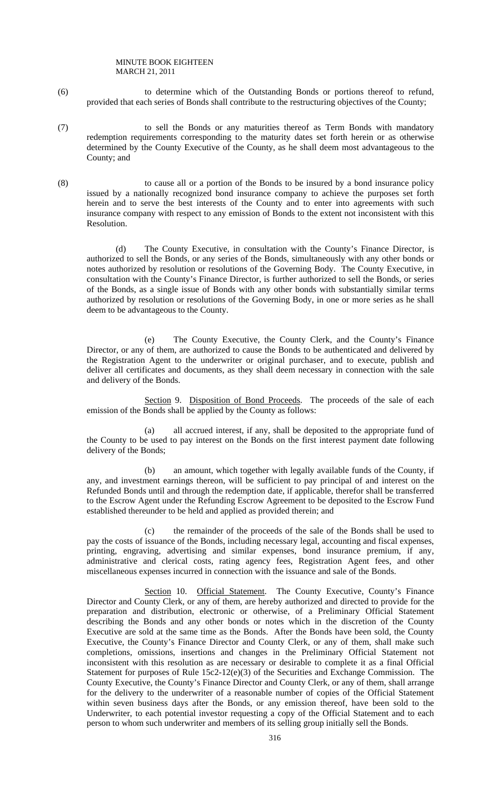- (6) to determine which of the Outstanding Bonds or portions thereof to refund, provided that each series of Bonds shall contribute to the restructuring objectives of the County;
- (7) to sell the Bonds or any maturities thereof as Term Bonds with mandatory redemption requirements corresponding to the maturity dates set forth herein or as otherwise determined by the County Executive of the County, as he shall deem most advantageous to the County; and
- (8) to cause all or a portion of the Bonds to be insured by a bond insurance policy issued by a nationally recognized bond insurance company to achieve the purposes set forth herein and to serve the best interests of the County and to enter into agreements with such insurance company with respect to any emission of Bonds to the extent not inconsistent with this Resolution.

 (d) The County Executive, in consultation with the County's Finance Director, is authorized to sell the Bonds, or any series of the Bonds, simultaneously with any other bonds or notes authorized by resolution or resolutions of the Governing Body. The County Executive, in consultation with the County's Finance Director, is further authorized to sell the Bonds, or series of the Bonds, as a single issue of Bonds with any other bonds with substantially similar terms authorized by resolution or resolutions of the Governing Body, in one or more series as he shall deem to be advantageous to the County.

 (e) The County Executive, the County Clerk, and the County's Finance Director, or any of them, are authorized to cause the Bonds to be authenticated and delivered by the Registration Agent to the underwriter or original purchaser, and to execute, publish and deliver all certificates and documents, as they shall deem necessary in connection with the sale and delivery of the Bonds.

Section 9. Disposition of Bond Proceeds. The proceeds of the sale of each emission of the Bonds shall be applied by the County as follows:

 (a) all accrued interest, if any, shall be deposited to the appropriate fund of the County to be used to pay interest on the Bonds on the first interest payment date following delivery of the Bonds;

 (b) an amount, which together with legally available funds of the County, if any, and investment earnings thereon, will be sufficient to pay principal of and interest on the Refunded Bonds until and through the redemption date, if applicable, therefor shall be transferred to the Escrow Agent under the Refunding Escrow Agreement to be deposited to the Escrow Fund established thereunder to be held and applied as provided therein; and

 (c) the remainder of the proceeds of the sale of the Bonds shall be used to pay the costs of issuance of the Bonds, including necessary legal, accounting and fiscal expenses, printing, engraving, advertising and similar expenses, bond insurance premium, if any, administrative and clerical costs, rating agency fees, Registration Agent fees, and other miscellaneous expenses incurred in connection with the issuance and sale of the Bonds.

Section 10. Official Statement. The County Executive, County's Finance Director and County Clerk, or any of them, are hereby authorized and directed to provide for the preparation and distribution, electronic or otherwise, of a Preliminary Official Statement describing the Bonds and any other bonds or notes which in the discretion of the County Executive are sold at the same time as the Bonds. After the Bonds have been sold, the County Executive, the County's Finance Director and County Clerk, or any of them, shall make such completions, omissions, insertions and changes in the Preliminary Official Statement not inconsistent with this resolution as are necessary or desirable to complete it as a final Official Statement for purposes of Rule 15c2-12(e)(3) of the Securities and Exchange Commission. The County Executive, the County's Finance Director and County Clerk, or any of them, shall arrange for the delivery to the underwriter of a reasonable number of copies of the Official Statement within seven business days after the Bonds, or any emission thereof, have been sold to the Underwriter, to each potential investor requesting a copy of the Official Statement and to each person to whom such underwriter and members of its selling group initially sell the Bonds.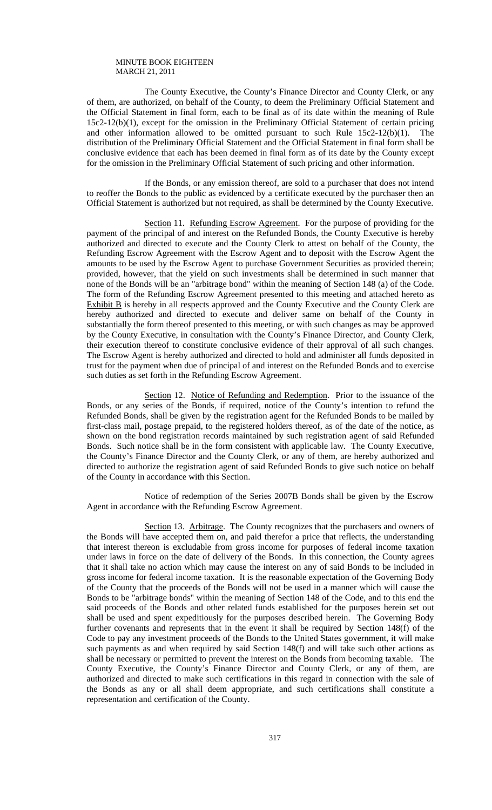The County Executive, the County's Finance Director and County Clerk, or any of them, are authorized, on behalf of the County, to deem the Preliminary Official Statement and the Official Statement in final form, each to be final as of its date within the meaning of Rule 15c2-12(b)(1), except for the omission in the Preliminary Official Statement of certain pricing and other information allowed to be omitted pursuant to such Rule 15c2-12(b)(1). The distribution of the Preliminary Official Statement and the Official Statement in final form shall be conclusive evidence that each has been deemed in final form as of its date by the County except for the omission in the Preliminary Official Statement of such pricing and other information.

 If the Bonds, or any emission thereof, are sold to a purchaser that does not intend to reoffer the Bonds to the public as evidenced by a certificate executed by the purchaser then an Official Statement is authorized but not required, as shall be determined by the County Executive.

Section 11. Refunding Escrow Agreement. For the purpose of providing for the payment of the principal of and interest on the Refunded Bonds, the County Executive is hereby authorized and directed to execute and the County Clerk to attest on behalf of the County, the Refunding Escrow Agreement with the Escrow Agent and to deposit with the Escrow Agent the amounts to be used by the Escrow Agent to purchase Government Securities as provided therein; provided, however, that the yield on such investments shall be determined in such manner that none of the Bonds will be an "arbitrage bond" within the meaning of Section 148 (a) of the Code. The form of the Refunding Escrow Agreement presented to this meeting and attached hereto as Exhibit B is hereby in all respects approved and the County Executive and the County Clerk are hereby authorized and directed to execute and deliver same on behalf of the County in substantially the form thereof presented to this meeting, or with such changes as may be approved by the County Executive, in consultation with the County's Finance Director, and County Clerk, their execution thereof to constitute conclusive evidence of their approval of all such changes. The Escrow Agent is hereby authorized and directed to hold and administer all funds deposited in trust for the payment when due of principal of and interest on the Refunded Bonds and to exercise such duties as set forth in the Refunding Escrow Agreement.

Section 12. Notice of Refunding and Redemption. Prior to the issuance of the Bonds, or any series of the Bonds, if required, notice of the County's intention to refund the Refunded Bonds, shall be given by the registration agent for the Refunded Bonds to be mailed by first-class mail, postage prepaid, to the registered holders thereof, as of the date of the notice, as shown on the bond registration records maintained by such registration agent of said Refunded Bonds. Such notice shall be in the form consistent with applicable law. The County Executive, the County's Finance Director and the County Clerk, or any of them, are hereby authorized and directed to authorize the registration agent of said Refunded Bonds to give such notice on behalf of the County in accordance with this Section.

 Notice of redemption of the Series 2007B Bonds shall be given by the Escrow Agent in accordance with the Refunding Escrow Agreement.

 Section 13. Arbitrage. The County recognizes that the purchasers and owners of the Bonds will have accepted them on, and paid therefor a price that reflects, the understanding that interest thereon is excludable from gross income for purposes of federal income taxation under laws in force on the date of delivery of the Bonds. In this connection, the County agrees that it shall take no action which may cause the interest on any of said Bonds to be included in gross income for federal income taxation. It is the reasonable expectation of the Governing Body of the County that the proceeds of the Bonds will not be used in a manner which will cause the Bonds to be "arbitrage bonds" within the meaning of Section 148 of the Code, and to this end the said proceeds of the Bonds and other related funds established for the purposes herein set out shall be used and spent expeditiously for the purposes described herein. The Governing Body further covenants and represents that in the event it shall be required by Section 148(f) of the Code to pay any investment proceeds of the Bonds to the United States government, it will make such payments as and when required by said Section 148(f) and will take such other actions as shall be necessary or permitted to prevent the interest on the Bonds from becoming taxable. The County Executive, the County's Finance Director and County Clerk, or any of them, are authorized and directed to make such certifications in this regard in connection with the sale of the Bonds as any or all shall deem appropriate, and such certifications shall constitute a representation and certification of the County.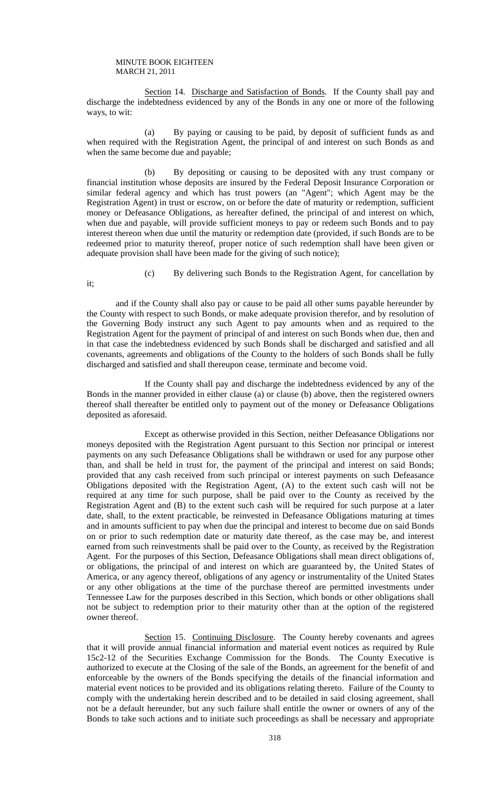it;

Section 14. Discharge and Satisfaction of Bonds. If the County shall pay and discharge the indebtedness evidenced by any of the Bonds in any one or more of the following ways, to wit:

 (a) By paying or causing to be paid, by deposit of sufficient funds as and when required with the Registration Agent, the principal of and interest on such Bonds as and when the same become due and payable;

 (b) By depositing or causing to be deposited with any trust company or financial institution whose deposits are insured by the Federal Deposit Insurance Corporation or similar federal agency and which has trust powers (an "Agent"; which Agent may be the Registration Agent) in trust or escrow, on or before the date of maturity or redemption, sufficient money or Defeasance Obligations, as hereafter defined, the principal of and interest on which, when due and payable, will provide sufficient moneys to pay or redeem such Bonds and to pay interest thereon when due until the maturity or redemption date (provided, if such Bonds are to be redeemed prior to maturity thereof, proper notice of such redemption shall have been given or adequate provision shall have been made for the giving of such notice);

(c) By delivering such Bonds to the Registration Agent, for cancellation by

and if the County shall also pay or cause to be paid all other sums payable hereunder by the County with respect to such Bonds, or make adequate provision therefor, and by resolution of the Governing Body instruct any such Agent to pay amounts when and as required to the Registration Agent for the payment of principal of and interest on such Bonds when due, then and in that case the indebtedness evidenced by such Bonds shall be discharged and satisfied and all covenants, agreements and obligations of the County to the holders of such Bonds shall be fully discharged and satisfied and shall thereupon cease, terminate and become void.

 If the County shall pay and discharge the indebtedness evidenced by any of the Bonds in the manner provided in either clause (a) or clause (b) above, then the registered owners thereof shall thereafter be entitled only to payment out of the money or Defeasance Obligations deposited as aforesaid.

 Except as otherwise provided in this Section, neither Defeasance Obligations nor moneys deposited with the Registration Agent pursuant to this Section nor principal or interest payments on any such Defeasance Obligations shall be withdrawn or used for any purpose other than, and shall be held in trust for, the payment of the principal and interest on said Bonds; provided that any cash received from such principal or interest payments on such Defeasance Obligations deposited with the Registration Agent, (A) to the extent such cash will not be required at any time for such purpose, shall be paid over to the County as received by the Registration Agent and (B) to the extent such cash will be required for such purpose at a later date, shall, to the extent practicable, be reinvested in Defeasance Obligations maturing at times and in amounts sufficient to pay when due the principal and interest to become due on said Bonds on or prior to such redemption date or maturity date thereof, as the case may be, and interest earned from such reinvestments shall be paid over to the County, as received by the Registration Agent. For the purposes of this Section, Defeasance Obligations shall mean direct obligations of, or obligations, the principal of and interest on which are guaranteed by, the United States of America, or any agency thereof, obligations of any agency or instrumentality of the United States or any other obligations at the time of the purchase thereof are permitted investments under Tennessee Law for the purposes described in this Section, which bonds or other obligations shall not be subject to redemption prior to their maturity other than at the option of the registered owner thereof.

Section 15. Continuing Disclosure. The County hereby covenants and agrees that it will provide annual financial information and material event notices as required by Rule 15c2-12 of the Securities Exchange Commission for the Bonds. The County Executive is authorized to execute at the Closing of the sale of the Bonds, an agreement for the benefit of and enforceable by the owners of the Bonds specifying the details of the financial information and material event notices to be provided and its obligations relating thereto. Failure of the County to comply with the undertaking herein described and to be detailed in said closing agreement, shall not be a default hereunder, but any such failure shall entitle the owner or owners of any of the Bonds to take such actions and to initiate such proceedings as shall be necessary and appropriate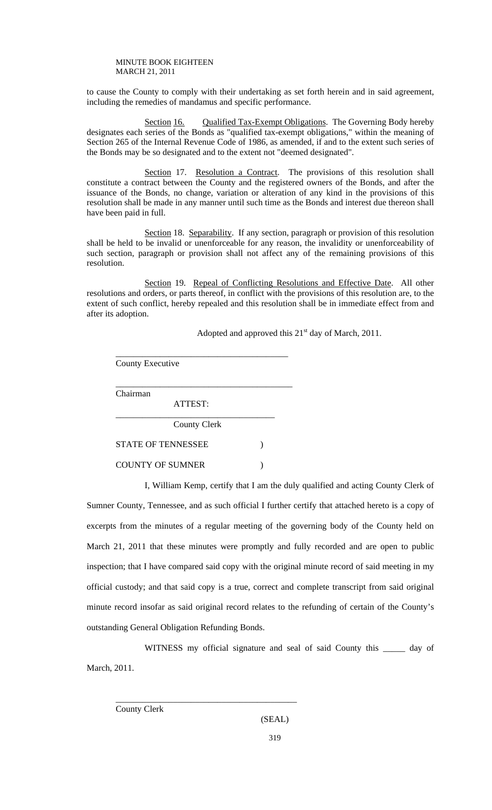to cause the County to comply with their undertaking as set forth herein and in said agreement, including the remedies of mandamus and specific performance.

Section 16. Qualified Tax-Exempt Obligations. The Governing Body hereby designates each series of the Bonds as "qualified tax-exempt obligations," within the meaning of Section 265 of the Internal Revenue Code of 1986, as amended, if and to the extent such series of the Bonds may be so designated and to the extent not "deemed designated".

Section 17. Resolution a Contract. The provisions of this resolution shall constitute a contract between the County and the registered owners of the Bonds, and after the issuance of the Bonds, no change, variation or alteration of any kind in the provisions of this resolution shall be made in any manner until such time as the Bonds and interest due thereon shall have been paid in full.

Section 18. Separability. If any section, paragraph or provision of this resolution shall be held to be invalid or unenforceable for any reason, the invalidity or unenforceability of such section, paragraph or provision shall not affect any of the remaining provisions of this resolution.

Section 19. Repeal of Conflicting Resolutions and Effective Date. All other resolutions and orders, or parts thereof, in conflict with the provisions of this resolution are, to the extent of such conflict, hereby repealed and this resolution shall be in immediate effect from and after its adoption.

Adopted and approved this  $21<sup>st</sup>$  day of March, 2011.

County Executive

 $\frac{1}{\sqrt{2}}$  ,  $\frac{1}{\sqrt{2}}$  ,  $\frac{1}{\sqrt{2}}$  ,  $\frac{1}{\sqrt{2}}$  ,  $\frac{1}{\sqrt{2}}$  ,  $\frac{1}{\sqrt{2}}$  ,  $\frac{1}{\sqrt{2}}$  ,  $\frac{1}{\sqrt{2}}$  ,  $\frac{1}{\sqrt{2}}$  ,  $\frac{1}{\sqrt{2}}$  ,  $\frac{1}{\sqrt{2}}$  ,  $\frac{1}{\sqrt{2}}$  ,  $\frac{1}{\sqrt{2}}$  ,  $\frac{1}{\sqrt{2}}$  ,  $\frac{1}{\sqrt{2}}$ Chairman

> ATTEST: \_\_\_\_\_\_\_\_\_\_\_\_\_\_\_\_\_\_\_\_\_\_\_\_\_\_\_\_\_\_\_\_\_\_\_\_

> > County Clerk

\_\_\_\_\_\_\_\_\_\_\_\_\_\_\_\_\_\_\_\_\_\_\_\_\_\_\_\_\_\_\_\_\_\_\_\_\_\_\_

STATE OF TENNESSEE  $\qquad \qquad$  )

COUNTY OF SUMNER (1)

 $\overline{\phantom{a}}$  ,  $\overline{\phantom{a}}$  ,  $\overline{\phantom{a}}$  ,  $\overline{\phantom{a}}$  ,  $\overline{\phantom{a}}$  ,  $\overline{\phantom{a}}$  ,  $\overline{\phantom{a}}$  ,  $\overline{\phantom{a}}$  ,  $\overline{\phantom{a}}$  ,  $\overline{\phantom{a}}$  ,  $\overline{\phantom{a}}$  ,  $\overline{\phantom{a}}$  ,  $\overline{\phantom{a}}$  ,  $\overline{\phantom{a}}$  ,  $\overline{\phantom{a}}$  ,  $\overline{\phantom{a}}$ 

 I, William Kemp, certify that I am the duly qualified and acting County Clerk of Sumner County, Tennessee, and as such official I further certify that attached hereto is a copy of excerpts from the minutes of a regular meeting of the governing body of the County held on March 21, 2011 that these minutes were promptly and fully recorded and are open to public inspection; that I have compared said copy with the original minute record of said meeting in my official custody; and that said copy is a true, correct and complete transcript from said original minute record insofar as said original record relates to the refunding of certain of the County's outstanding General Obligation Refunding Bonds.

WITNESS my official signature and seal of said County this day of March, 2011.

County Clerk

## (SEAL)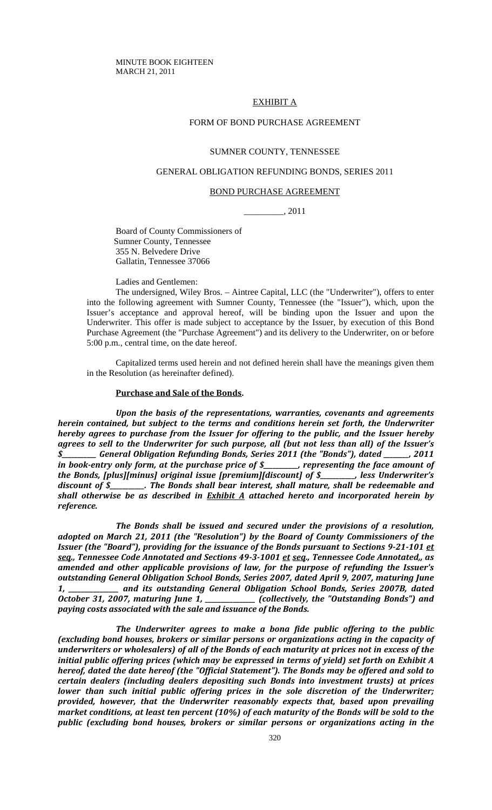## EXHIBIT A

## FORM OF BOND PURCHASE AGREEMENT

#### SUMNER COUNTY, TENNESSEE

## GENERAL OBLIGATION REFUNDING BONDS, SERIES 2011

#### BOND PURCHASE AGREEMENT

\_\_\_\_\_\_\_\_\_, 2011

Board of County Commissioners of Sumner County, Tennessee 355 N. Belvedere Drive Gallatin, Tennessee 37066

Ladies and Gentlemen:

The undersigned, Wiley Bros. – Aintree Capital, LLC (the "Underwriter"), offers to enter into the following agreement with Sumner County, Tennessee (the "Issuer"), which, upon the Issuer's acceptance and approval hereof, will be binding upon the Issuer and upon the Underwriter. This offer is made subject to acceptance by the Issuer, by execution of this Bond Purchase Agreement (the "Purchase Agreement") and its delivery to the Underwriter, on or before 5:00 p.m., central time, on the date hereof.

Capitalized terms used herein and not defined herein shall have the meanings given them in the Resolution (as hereinafter defined).

#### **Purchase and Sale of the Bonds.**

*Upon the basis of the representations, warranties, covenants and agreements herein contained, but subject to the terms and conditions herein set forth, the Underwriter hereby agrees to purchase from the Issuer for offering to the public, and the Issuer hereby agrees to sell to the Underwriter for such purpose, all (but not less than all) of the Issuer's \$\_\_\_\_\_\_\_\_\_\_\_ General Obligation Refunding Bonds, Series 2011 (the "Bonds"), dated \_\_\_\_\_\_\_\_, 2011 in book‐entry only form, at the purchase price of \$\_\_\_\_\_\_\_\_\_\_\_, representing the face amount of the Bonds, [plus][minus] original issue [premium][discount] of \$\_\_\_\_\_\_\_\_\_\_\_, less Underwriter's discount of \$\_\_\_\_\_\_\_\_\_\_\_. The Bonds shall bear interest, shall mature, shall be redeemable and shall otherwise be as described in Exhibit A attached hereto and incorporated herein by reference.* 

*The Bonds shall be issued and secured under the provisions of a resolution, adopted on March 21, 2011 (the "Resolution") by the Board of County Commissioners of the* Issuer (the "Board"), providing for the issuance of the Bonds pursuant to Sections 9-21-101 et *seq., Tennessee Code Annotated and Sections 49‐3‐1001 et seq., Tennessee Code Annotated,, as amended and other applicable provisions of law, for the purpose of refunding the Issuer's outstanding General Obligation School Bonds, Series 2007, dated April 9, 2007, maturing June 1, \_\_\_\_\_\_\_\_\_\_\_\_\_\_\_\_ and its outstanding General Obligation School Bonds, Series 2007B, dated October 31, 2007, maturing June 1, \_\_\_\_\_\_\_\_\_\_\_\_\_\_\_\_ (collectively, the "Outstanding Bonds") and paying costs associated with the sale and issuance of the Bonds.*

*The Underwriter agrees to make a bona fide public offering to the public (excluding bond houses, brokers or similar persons or organizations acting in the capacity of underwriters or wholesalers) of all of the Bonds of each maturity at prices not in excess of the initial public offering prices (which may be expressed in terms of yield) set forth on Exhibit A hereof, dated the date hereof (the "Official Statement"). The Bonds may be offered and sold to certain dealers (including dealers depositing such Bonds into investment trusts) at prices lower than such initial public offering prices in the sole discretion of the Underwriter; provided, however, that the Underwriter reasonably expects that, based upon prevailing market conditions, at least ten percent (10%) of each maturity of the Bonds will be sold to the public (excluding bond houses, brokers or similar persons or organizations acting in the*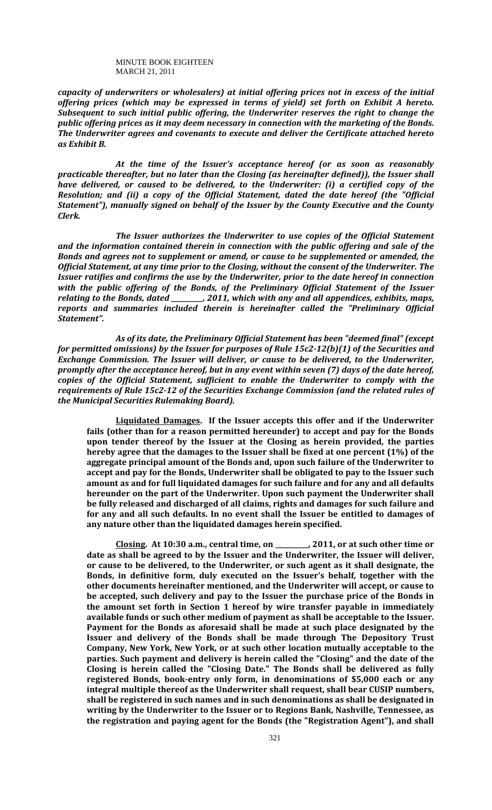*capacity of underwriters or wholesalers) at initial offering prices not in excess of the initial offering prices (which may be expressed in terms of yield) set forth on Exhibit A hereto. Subsequent to such initial public offering, the Underwriter reserves the right to change the public offering prices as it may deem necessary in connection with the marketing of the Bonds. The Underwriter agrees and covenants to execute and deliver the Certificate attached hereto as Exhibit B.* 

*At the time of the Issuer's acceptance hereof (or as soon as reasonably practicable thereafter, but no later than the Closing (as hereinafter defined)), the Issuer shall have delivered, or caused to be delivered, to the Underwriter: (i) a certified copy of the Resolution; and (ii) a copy of the Official Statement, dated the date hereof (the "Official Statement"), manually signed on behalf of the Issuer by the County Executive and the County Clerk.* 

*The Issuer authorizes the Underwriter to use copies of the Official Statement and the information contained therein in connection with the public offering and sale of the Bonds and agrees not to supplement or amend, or cause to be supplemented or amended, the Official Statement, at any time prior to the Closing, without the consent of the Underwriter. The Issuer ratifies and confirms the use by the Underwriter, prior to the date hereof in connection with the public offering of the Bonds, of the Preliminary Official Statement of the Issuer relating to the Bonds, dated \_\_\_\_\_\_\_\_\_\_, 2011, which with any and all appendices, exhibits, maps, reports and summaries included therein is hereinafter called the "Preliminary Official Statement".* 

*As of its date, the Preliminary Official Statement has been "deemed final" (except for permitted omissions) by the Issuer for purposes of Rule 15c2‐12(b)(1) of the Securities and Exchange Commission. The Issuer will deliver, or cause to be delivered, to the Underwriter, promptly after the acceptance hereof, but in any event within seven (7) days of the date hereof, copies of the Official Statement, sufficient to enable the Underwriter to comply with the requirements of Rule 15c2‐12 of the Securities Exchange Commission (and the related rules of the Municipal Securities Rulemaking Board).* 

**Liquidated Damages. If the Issuer accepts this offer and if the Underwriter fails (other than for a reason permitted hereunder) to accept and pay for the Bonds upon tender thereof by the Issuer at the Closing as herein provided, the parties hereby agree that the damages to the Issuer shall be fixed at one percent (1%) of the aggregate principal amount of the Bonds and, upon such failure of the Underwriter to accept and pay for the Bonds, Underwriter shall be obligated to pay to the Issuer such amount as and for full liquidated damages for such failure and for any and all defaults hereunder on the part of the Underwriter. Upon such payment the Underwriter shall be fully released and discharged of all claims, rights and damages for such failure and for any and all such defaults. In no event shall the Issuer be entitled to damages of any nature other than the liquidated damages herein specified.** 

**Closing. At 10:30 a.m., central time, on \_\_\_\_\_\_\_\_\_\_, 2011, or at such other time or date as shall be agreed to by the Issuer and the Underwriter, the Issuer will deliver, or cause to be delivered, to the Underwriter, or such agent as it shall designate, the Bonds, in definitive form, duly executed on the Issuer's behalf, together with the other documents hereinafter mentioned, and the Underwriter will accept, or cause to be accepted, such delivery and pay to the Issuer the purchase price of the Bonds in the amount set forth in Section 1 hereof by wire transfer payable in immediately available funds or such other medium of payment as shall be acceptable to the Issuer. Payment for the Bonds as aforesaid shall be made at such place designated by the Issuer and delivery of the Bonds shall be made through The Depository Trust Company, New York, New York, or at such other location mutually acceptable to the parties. Such payment and delivery is herein called the "Closing" and the date of the Closing is herein called the "Closing Date." The Bonds shall be delivered as fully registered Bonds, book‐entry only form, in denominations of \$5,000 each or any integral multiple thereof as the Underwriter shall request, shall bear CUSIP numbers, shall be registered in such names and in such denominations as shall be designated in writing by the Underwriter to the Issuer or to Regions Bank, Nashville, Tennessee, as the registration and paying agent for the Bonds (the "Registration Agent"), and shall**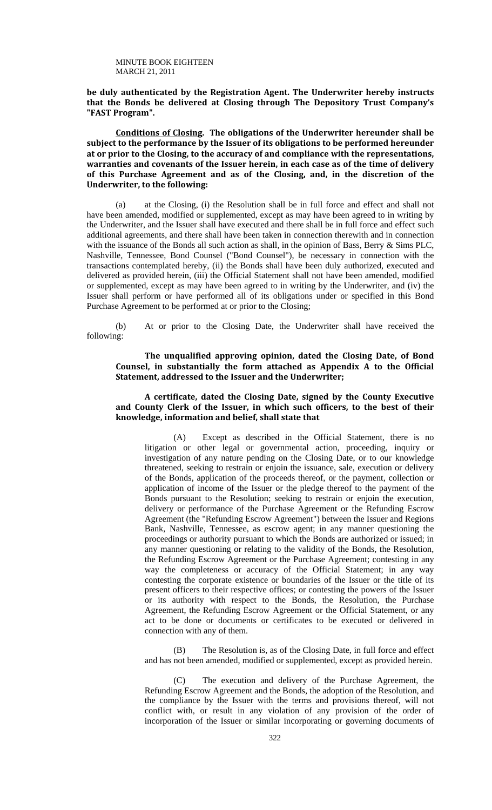**be duly authenticated by the Registration Agent. The Underwriter hereby instructs that the Bonds be delivered at Closing through The Depository Trust Company's "FAST Program".** 

**Conditions of Closing. The obligations of the Underwriter hereunder shall be subject to the performance by the Issuer of its obligations to be performed hereunder at or prior to the Closing, to the accuracy of and compliance with the representations, warranties and covenants of the Issuer herein, in each case as of the time of delivery of this Purchase Agreement and as of the Closing, and, in the discretion of the Underwriter, to the following:** 

(a) at the Closing, (i) the Resolution shall be in full force and effect and shall not have been amended, modified or supplemented, except as may have been agreed to in writing by the Underwriter, and the Issuer shall have executed and there shall be in full force and effect such additional agreements, and there shall have been taken in connection therewith and in connection with the issuance of the Bonds all such action as shall, in the opinion of Bass, Berry & Sims PLC, Nashville, Tennessee, Bond Counsel ("Bond Counsel"), be necessary in connection with the transactions contemplated hereby, (ii) the Bonds shall have been duly authorized, executed and delivered as provided herein, (iii) the Official Statement shall not have been amended, modified or supplemented, except as may have been agreed to in writing by the Underwriter, and (iv) the Issuer shall perform or have performed all of its obligations under or specified in this Bond Purchase Agreement to be performed at or prior to the Closing;

(b) At or prior to the Closing Date, the Underwriter shall have received the following:

## **The unqualified approving opinion, dated the Closing Date, of Bond Counsel, in substantially the form attached as Appendix A to the Official Statement, addressed to the Issuer and the Underwriter;**

## **A certificate, dated the Closing Date, signed by the County Executive and County Clerk of the Issuer, in which such officers, to the best of their knowledge, information and belief, shall state that**

(A) Except as described in the Official Statement, there is no litigation or other legal or governmental action, proceeding, inquiry or investigation of any nature pending on the Closing Date, or to our knowledge threatened, seeking to restrain or enjoin the issuance, sale, execution or delivery of the Bonds, application of the proceeds thereof, or the payment, collection or application of income of the Issuer or the pledge thereof to the payment of the Bonds pursuant to the Resolution; seeking to restrain or enjoin the execution, delivery or performance of the Purchase Agreement or the Refunding Escrow Agreement (the "Refunding Escrow Agreement") between the Issuer and Regions Bank, Nashville, Tennessee, as escrow agent; in any manner questioning the proceedings or authority pursuant to which the Bonds are authorized or issued; in any manner questioning or relating to the validity of the Bonds, the Resolution, the Refunding Escrow Agreement or the Purchase Agreement; contesting in any way the completeness or accuracy of the Official Statement; in any way contesting the corporate existence or boundaries of the Issuer or the title of its present officers to their respective offices; or contesting the powers of the Issuer or its authority with respect to the Bonds, the Resolution, the Purchase Agreement, the Refunding Escrow Agreement or the Official Statement, or any act to be done or documents or certificates to be executed or delivered in connection with any of them.

(B) The Resolution is, as of the Closing Date, in full force and effect and has not been amended, modified or supplemented, except as provided herein.

(C) The execution and delivery of the Purchase Agreement, the Refunding Escrow Agreement and the Bonds, the adoption of the Resolution, and the compliance by the Issuer with the terms and provisions thereof, will not conflict with, or result in any violation of any provision of the order of incorporation of the Issuer or similar incorporating or governing documents of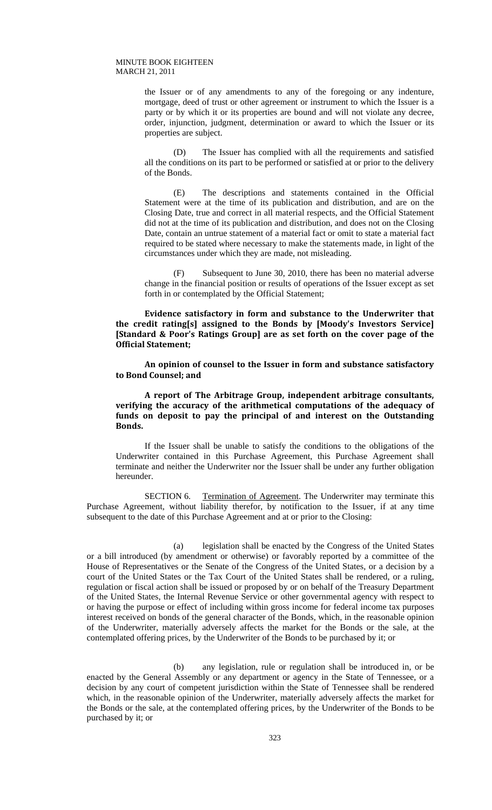the Issuer or of any amendments to any of the foregoing or any indenture, mortgage, deed of trust or other agreement or instrument to which the Issuer is a party or by which it or its properties are bound and will not violate any decree, order, injunction, judgment, determination or award to which the Issuer or its properties are subject.

(D) The Issuer has complied with all the requirements and satisfied all the conditions on its part to be performed or satisfied at or prior to the delivery of the Bonds.

(E) The descriptions and statements contained in the Official Statement were at the time of its publication and distribution, and are on the Closing Date, true and correct in all material respects, and the Official Statement did not at the time of its publication and distribution, and does not on the Closing Date, contain an untrue statement of a material fact or omit to state a material fact required to be stated where necessary to make the statements made, in light of the circumstances under which they are made, not misleading.

(F) Subsequent to June 30, 2010, there has been no material adverse change in the financial position or results of operations of the Issuer except as set forth in or contemplated by the Official Statement;

**Evidence satisfactory in form and substance to the Underwriter that the credit rating[s] assigned to the Bonds by [Moody's Investors Service] [Standard & Poor's Ratings Group] are as set forth on the cover page of the Official Statement;** 

**An opinion of counsel to the Issuer in form and substance satisfactory to Bond Counsel; and**

**A report of The Arbitrage Group, independent arbitrage consultants, verifying the accuracy of the arithmetical computations of the adequacy of funds on deposit to pay the principal of and interest on the Outstanding Bonds.**

If the Issuer shall be unable to satisfy the conditions to the obligations of the Underwriter contained in this Purchase Agreement, this Purchase Agreement shall terminate and neither the Underwriter nor the Issuer shall be under any further obligation hereunder.

SECTION 6. Termination of Agreement. The Underwriter may terminate this Purchase Agreement, without liability therefor, by notification to the Issuer, if at any time subsequent to the date of this Purchase Agreement and at or prior to the Closing:

 (a) legislation shall be enacted by the Congress of the United States or a bill introduced (by amendment or otherwise) or favorably reported by a committee of the House of Representatives or the Senate of the Congress of the United States, or a decision by a court of the United States or the Tax Court of the United States shall be rendered, or a ruling, regulation or fiscal action shall be issued or proposed by or on behalf of the Treasury Department of the United States, the Internal Revenue Service or other governmental agency with respect to or having the purpose or effect of including within gross income for federal income tax purposes interest received on bonds of the general character of the Bonds, which, in the reasonable opinion of the Underwriter, materially adversely affects the market for the Bonds or the sale, at the contemplated offering prices, by the Underwriter of the Bonds to be purchased by it; or

 (b) any legislation, rule or regulation shall be introduced in, or be enacted by the General Assembly or any department or agency in the State of Tennessee, or a decision by any court of competent jurisdiction within the State of Tennessee shall be rendered which, in the reasonable opinion of the Underwriter, materially adversely affects the market for the Bonds or the sale, at the contemplated offering prices, by the Underwriter of the Bonds to be purchased by it; or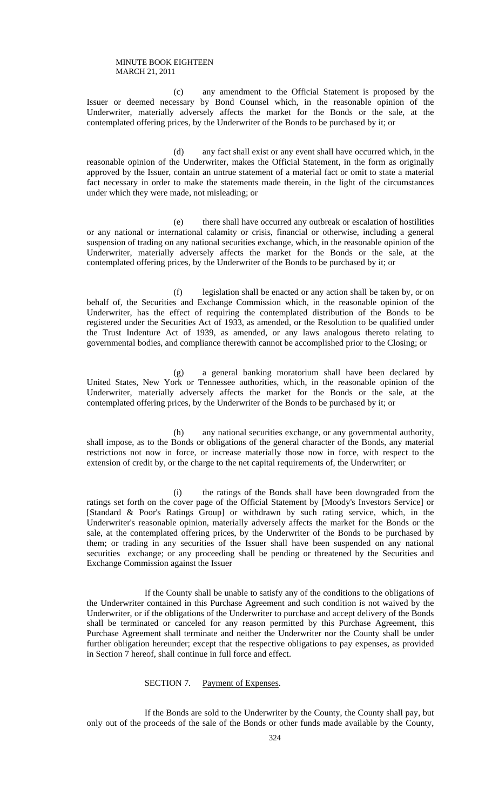(c) any amendment to the Official Statement is proposed by the Issuer or deemed necessary by Bond Counsel which, in the reasonable opinion of the Underwriter, materially adversely affects the market for the Bonds or the sale, at the contemplated offering prices, by the Underwriter of the Bonds to be purchased by it; or

 (d) any fact shall exist or any event shall have occurred which, in the reasonable opinion of the Underwriter, makes the Official Statement, in the form as originally approved by the Issuer, contain an untrue statement of a material fact or omit to state a material fact necessary in order to make the statements made therein, in the light of the circumstances under which they were made, not misleading; or

 (e) there shall have occurred any outbreak or escalation of hostilities or any national or international calamity or crisis, financial or otherwise, including a general suspension of trading on any national securities exchange, which, in the reasonable opinion of the Underwriter, materially adversely affects the market for the Bonds or the sale, at the contemplated offering prices, by the Underwriter of the Bonds to be purchased by it; or

 (f) legislation shall be enacted or any action shall be taken by, or on behalf of, the Securities and Exchange Commission which, in the reasonable opinion of the Underwriter, has the effect of requiring the contemplated distribution of the Bonds to be registered under the Securities Act of 1933, as amended, or the Resolution to be qualified under the Trust Indenture Act of 1939, as amended, or any laws analogous thereto relating to governmental bodies, and compliance therewith cannot be accomplished prior to the Closing; or

 (g) a general banking moratorium shall have been declared by United States, New York or Tennessee authorities, which, in the reasonable opinion of the Underwriter, materially adversely affects the market for the Bonds or the sale, at the contemplated offering prices, by the Underwriter of the Bonds to be purchased by it; or

 (h) any national securities exchange, or any governmental authority, shall impose, as to the Bonds or obligations of the general character of the Bonds, any material restrictions not now in force, or increase materially those now in force, with respect to the extension of credit by, or the charge to the net capital requirements of, the Underwriter; or

 (i) the ratings of the Bonds shall have been downgraded from the ratings set forth on the cover page of the Official Statement by [Moody's Investors Service] or [Standard & Poor's Ratings Group] or withdrawn by such rating service, which, in the Underwriter's reasonable opinion, materially adversely affects the market for the Bonds or the sale, at the contemplated offering prices, by the Underwriter of the Bonds to be purchased by them; or trading in any securities of the Issuer shall have been suspended on any national securities exchange; or any proceeding shall be pending or threatened by the Securities and Exchange Commission against the Issuer

 If the County shall be unable to satisfy any of the conditions to the obligations of the Underwriter contained in this Purchase Agreement and such condition is not waived by the Underwriter, or if the obligations of the Underwriter to purchase and accept delivery of the Bonds shall be terminated or canceled for any reason permitted by this Purchase Agreement, this Purchase Agreement shall terminate and neither the Underwriter nor the County shall be under further obligation hereunder; except that the respective obligations to pay expenses, as provided in Section 7 hereof, shall continue in full force and effect.

## SECTION 7. Payment of Expenses.

 If the Bonds are sold to the Underwriter by the County, the County shall pay, but only out of the proceeds of the sale of the Bonds or other funds made available by the County,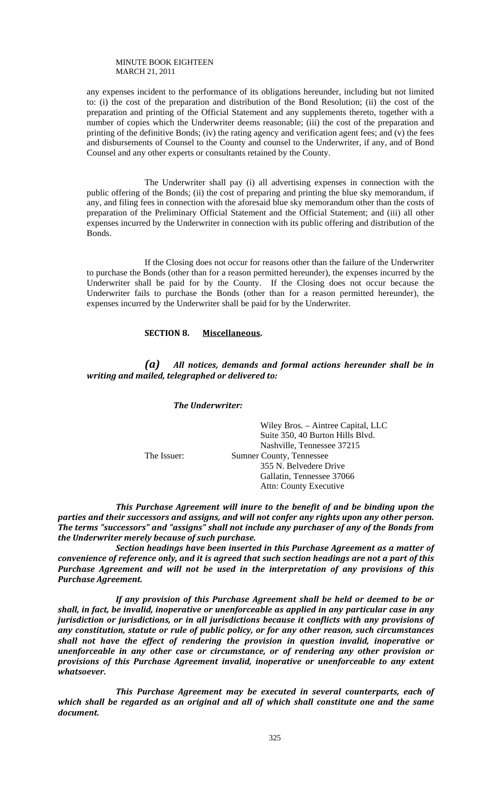any expenses incident to the performance of its obligations hereunder, including but not limited to: (i) the cost of the preparation and distribution of the Bond Resolution; (ii) the cost of the preparation and printing of the Official Statement and any supplements thereto, together with a number of copies which the Underwriter deems reasonable; (iii) the cost of the preparation and printing of the definitive Bonds; (iv) the rating agency and verification agent fees; and (v) the fees and disbursements of Counsel to the County and counsel to the Underwriter, if any, and of Bond Counsel and any other experts or consultants retained by the County.

 The Underwriter shall pay (i) all advertising expenses in connection with the public offering of the Bonds; (ii) the cost of preparing and printing the blue sky memorandum, if any, and filing fees in connection with the aforesaid blue sky memorandum other than the costs of preparation of the Preliminary Official Statement and the Official Statement; and (iii) all other expenses incurred by the Underwriter in connection with its public offering and distribution of the Bonds.

 If the Closing does not occur for reasons other than the failure of the Underwriter to purchase the Bonds (other than for a reason permitted hereunder), the expenses incurred by the Underwriter shall be paid for by the County. If the Closing does not occur because the Underwriter fails to purchase the Bonds (other than for a reason permitted hereunder), the expenses incurred by the Underwriter shall be paid for by the Underwriter.

## **SECTION 8. Miscellaneous.**

## *(a) All notices, demands and formal actions hereunder shall be in writing and mailed, telegraphed or delivered to:*

#### *The Underwriter:*

Wiley Bros. – Aintree Capital, LLC Suite 350, 40 Burton Hills Blvd. Nashville, Tennessee 37215 The Issuer: Sumner County, Tennessee 355 N. Belvedere Drive Gallatin, Tennessee 37066 Attn: County Executive

*This Purchase Agreement will inure to the benefit of and be binding upon the parties and their successors and assigns, and will not confer any rights upon any other person. The terms "successors" and "assigns" shall not include any purchaser of any of the Bonds from the Underwriter merely because of such purchase.* 

*Section headings have been inserted in this Purchase Agreement as a matter of convenience of reference only, and it is agreed that such section headings are not a part of this Purchase Agreement and will not be used in the interpretation of any provisions of this Purchase Agreement.* 

*If any provision of this Purchase Agreement shall be held or deemed to be or shall, in fact, be invalid, inoperative or unenforceable as applied in any particular case in any jurisdiction or jurisdictions, or in all jurisdictions because it conflicts with any provisions of any constitution, statute or rule of public policy, or for any other reason, such circumstances shall not have the effect of rendering the provision in question invalid, inoperative or unenforceable in any other case or circumstance, or of rendering any other provision or provisions of this Purchase Agreement invalid, inoperative or unenforceable to any extent whatsoever.* 

*This Purchase Agreement may be executed in several counterparts, each of which shall be regarded as an original and all of which shall constitute one and the same document.*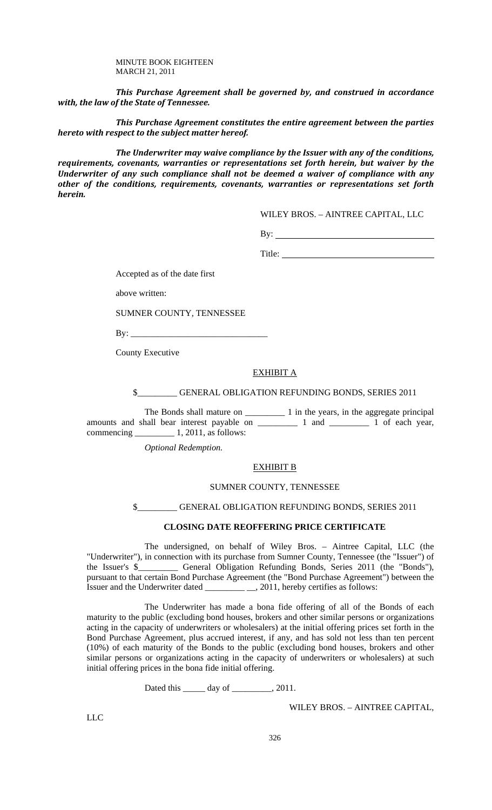*This Purchase Agreement shall be governed by, and construed in accordance with, the law of the State of Tennessee.* 

*This Purchase Agreement constitutes the entire agreement between the parties hereto with respect to the subject matter hereof.* 

*The Underwriter may waive compliance by the Issuer with any of the conditions, requirements, covenants, warranties or representations set forth herein, but waiver by the Underwriter of any such compliance shall not be deemed a waiver of compliance with any other of the conditions, requirements, covenants, warranties or representations set forth herein.* 

WILEY BROS. – AINTREE CAPITAL, LLC

 $By:$ 

Title:

Accepted as of the date first

above written:

SUMNER COUNTY, TENNESSEE

 $By: \_\_$ 

County Executive

## EXHIBIT A

\$\_\_\_\_\_\_\_\_\_ GENERAL OBLIGATION REFUNDING BONDS, SERIES 2011

The Bonds shall mature on \_\_\_\_\_\_\_\_\_\_\_\_\_ 1 in the years, in the aggregate principal amounts and shall bear interest payable on \_\_\_\_\_\_\_\_\_ 1 and \_\_\_\_\_\_\_\_\_ 1 of each year, commencing \_\_\_\_\_\_\_\_\_ 1, 2011, as follows:

 *Optional Redemption.* 

#### EXHIBIT B

## SUMNER COUNTY, TENNESSEE

GENERAL OBLIGATION REFUNDING BONDS, SERIES 2011

## **CLOSING DATE REOFFERING PRICE CERTIFICATE**

 The undersigned, on behalf of Wiley Bros. – Aintree Capital, LLC (the "Underwriter"), in connection with its purchase from Sumner County, Tennessee (the "Issuer") of the Issuer's \$\_\_\_\_\_\_\_\_\_ General Obligation Refunding Bonds, Series 2011 (the "Bonds"), pursuant to that certain Bond Purchase Agreement (the "Bond Purchase Agreement") between the Issuer and the Underwriter dated \_\_\_\_\_\_\_\_\_ \_\_, 2011, hereby certifies as follows:

 The Underwriter has made a bona fide offering of all of the Bonds of each maturity to the public (excluding bond houses, brokers and other similar persons or organizations acting in the capacity of underwriters or wholesalers) at the initial offering prices set forth in the Bond Purchase Agreement, plus accrued interest, if any, and has sold not less than ten percent (10%) of each maturity of the Bonds to the public (excluding bond houses, brokers and other similar persons or organizations acting in the capacity of underwriters or wholesalers) at such initial offering prices in the bona fide initial offering.

Dated this \_\_\_\_\_\_ day of \_\_\_\_\_\_\_\_, 2011.

WILEY BROS. – AINTREE CAPITAL,

LLC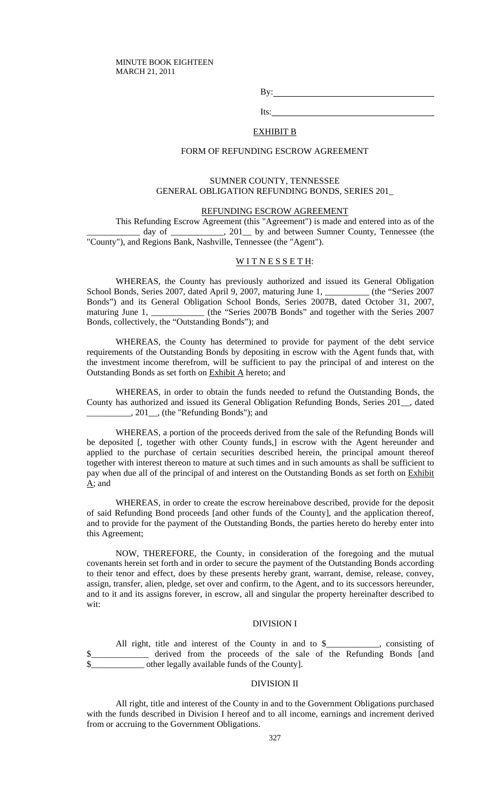By:

Its:

## EXHIBIT B

#### FORM OF REFUNDING ESCROW AGREEMENT

## SUMNER COUNTY, TENNESSEE GENERAL OBLIGATION REFUNDING BONDS, SERIES 201\_

## REFUNDING ESCROW AGREEMENT

This Refunding Escrow Agreement (this "Agreement") is made and entered into as of the day of \_\_\_\_\_\_\_\_\_\_, 201\_ by and between Sumner County, Tennessee (the "County"), and Regions Bank, Nashville, Tennessee (the "Agent").

## WITNESSETH:

WHEREAS, the County has previously authorized and issued its General Obligation School Bonds, Series 2007, dated April 9, 2007, maturing June 1,  $\mu$  (the "Series 2007 Bonds") and its General Obligation School Bonds, Series 2007B, dated October 31, 2007, maturing June 1, \_\_\_\_\_\_\_\_\_\_\_\_ (the "Series 2007B Bonds" and together with the Series 2007 Bonds, collectively, the "Outstanding Bonds"); and

WHEREAS, the County has determined to provide for payment of the debt service requirements of the Outstanding Bonds by depositing in escrow with the Agent funds that, with the investment income therefrom, will be sufficient to pay the principal of and interest on the Outstanding Bonds as set forth on Exhibit A hereto; and

WHEREAS, in order to obtain the funds needed to refund the Outstanding Bonds, the County has authorized and issued its General Obligation Refunding Bonds, Series 201\_\_, dated \_\_\_\_\_\_\_\_\_\_, 201\_\_, (the "Refunding Bonds"); and

WHEREAS, a portion of the proceeds derived from the sale of the Refunding Bonds will be deposited [, together with other County funds,] in escrow with the Agent hereunder and applied to the purchase of certain securities described herein, the principal amount thereof together with interest thereon to mature at such times and in such amounts as shall be sufficient to pay when due all of the principal of and interest on the Outstanding Bonds as set forth on Exhibit A; and

WHEREAS, in order to create the escrow hereinabove described, provide for the deposit of said Refunding Bond proceeds [and other funds of the County], and the application thereof, and to provide for the payment of the Outstanding Bonds, the parties hereto do hereby enter into this Agreement;

NOW, THEREFORE, the County, in consideration of the foregoing and the mutual covenants herein set forth and in order to secure the payment of the Outstanding Bonds according to their tenor and effect, does by these presents hereby grant, warrant, demise, release, convey, assign, transfer, alien, pledge, set over and confirm, to the Agent, and to its successors hereunder, and to it and its assigns forever, in escrow, all and singular the property hereinafter described to wit:

#### DIVISION I

All right, title and interest of the County in and to \$\_\_\_\_\_\_\_\_, consisting of \$\_\_\_\_\_\_\_\_\_\_\_\_\_ derived from the proceeds of the sale of the Refunding Bonds [and \_ other legally available funds of the County].

## DIVISION II

All right, title and interest of the County in and to the Government Obligations purchased with the funds described in Division I hereof and to all income, earnings and increment derived from or accruing to the Government Obligations.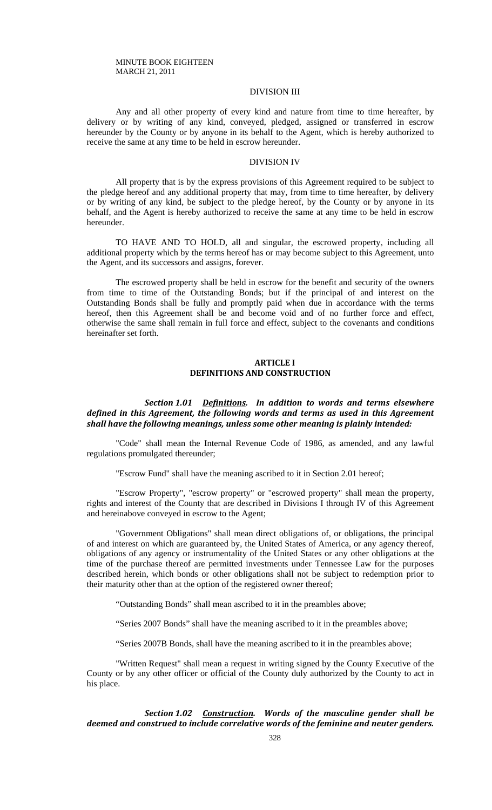## DIVISION III

Any and all other property of every kind and nature from time to time hereafter, by delivery or by writing of any kind, conveyed, pledged, assigned or transferred in escrow hereunder by the County or by anyone in its behalf to the Agent, which is hereby authorized to receive the same at any time to be held in escrow hereunder.

#### DIVISION IV

All property that is by the express provisions of this Agreement required to be subject to the pledge hereof and any additional property that may, from time to time hereafter, by delivery or by writing of any kind, be subject to the pledge hereof, by the County or by anyone in its behalf, and the Agent is hereby authorized to receive the same at any time to be held in escrow hereunder.

TO HAVE AND TO HOLD, all and singular, the escrowed property, including all additional property which by the terms hereof has or may become subject to this Agreement, unto the Agent, and its successors and assigns, forever.

The escrowed property shall be held in escrow for the benefit and security of the owners from time to time of the Outstanding Bonds; but if the principal of and interest on the Outstanding Bonds shall be fully and promptly paid when due in accordance with the terms hereof, then this Agreement shall be and become void and of no further force and effect, otherwise the same shall remain in full force and effect, subject to the covenants and conditions hereinafter set forth.

## **ARTICLE I DEFINITIONS AND CONSTRUCTION**

## *Section 1.01 Definitions. In addition to words and terms elsewhere defined in this Agreement, the following words and terms as used in this Agreement shall have the following meanings, unless some other meaning is plainly intended:*

"Code" shall mean the Internal Revenue Code of 1986, as amended, and any lawful regulations promulgated thereunder;

"Escrow Fund" shall have the meaning ascribed to it in Section 2.01 hereof;

"Escrow Property", "escrow property" or "escrowed property" shall mean the property, rights and interest of the County that are described in Divisions I through IV of this Agreement and hereinabove conveyed in escrow to the Agent;

"Government Obligations" shall mean direct obligations of, or obligations, the principal of and interest on which are guaranteed by, the United States of America, or any agency thereof, obligations of any agency or instrumentality of the United States or any other obligations at the time of the purchase thereof are permitted investments under Tennessee Law for the purposes described herein, which bonds or other obligations shall not be subject to redemption prior to their maturity other than at the option of the registered owner thereof;

"Outstanding Bonds" shall mean ascribed to it in the preambles above;

"Series 2007 Bonds" shall have the meaning ascribed to it in the preambles above;

"Series 2007B Bonds, shall have the meaning ascribed to it in the preambles above;

"Written Request" shall mean a request in writing signed by the County Executive of the County or by any other officer or official of the County duly authorized by the County to act in his place.

*Section 1.02 Construction. Words of the masculine gender shall be deemed and construed to include correlative words of the feminine and neuter genders.*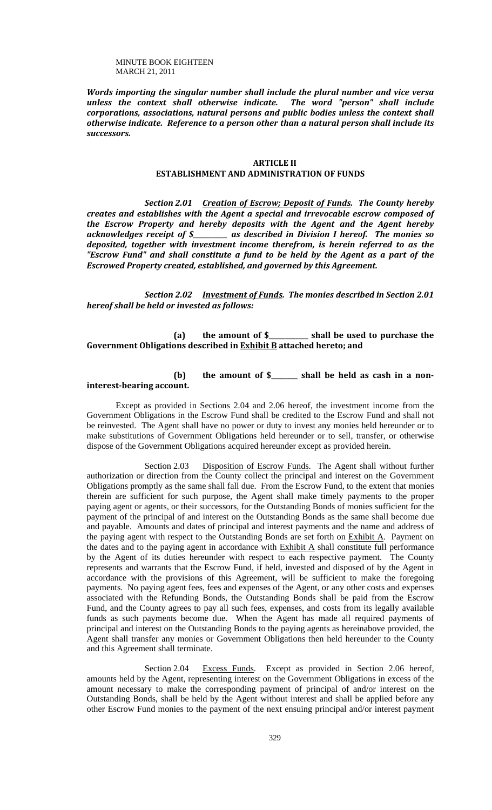*Words importing the singular number shall include the plural number and vice versa unless the context shall otherwise indicate. The word "person" shall include corporations, associations, natural persons and public bodies unless the context shall otherwise indicate. Reference to a person other than a natural person shall include its successors.*

#### **ARTICLE II ESTABLISHMENT AND ADMINISTRATION OF FUNDS**

*Section 2.01 Creation of Escrow; Deposit of Funds. The County hereby creates and establishes with the Agent a special and irrevocable escrow composed of the Escrow Property and hereby deposits with the Agent and the Agent hereby acknowledges receipt of \$\_\_\_\_\_\_\_\_\_\_\_ as described in Division I hereof. The monies so deposited, together with investment income therefrom, is herein referred to as the "Escrow Fund" and shall constitute a fund to be held by the Agent as a part of the Escrowed Property created, established, and governed by this Agreement.*

*Section 2.02 Investment of Funds. The monies described in Section 2.01 hereof shall be held or invested as follows:*

## **(a) the amount of \$\_\_\_\_\_\_\_\_\_\_\_\_ shall be used to purchase the Government Obligations described in Exhibit B attached hereto; and**

# **(b) the amount of \$\_\_\_\_\_\_\_\_ shall be held as cash in a non‐ interest‐bearing account.**

Except as provided in Sections 2.04 and 2.06 hereof, the investment income from the Government Obligations in the Escrow Fund shall be credited to the Escrow Fund and shall not be reinvested. The Agent shall have no power or duty to invest any monies held hereunder or to make substitutions of Government Obligations held hereunder or to sell, transfer, or otherwise dispose of the Government Obligations acquired hereunder except as provided herein.

Section 2.03 Disposition of Escrow Funds. The Agent shall without further authorization or direction from the County collect the principal and interest on the Government Obligations promptly as the same shall fall due. From the Escrow Fund, to the extent that monies therein are sufficient for such purpose, the Agent shall make timely payments to the proper paying agent or agents, or their successors, for the Outstanding Bonds of monies sufficient for the payment of the principal of and interest on the Outstanding Bonds as the same shall become due and payable. Amounts and dates of principal and interest payments and the name and address of the paying agent with respect to the Outstanding Bonds are set forth on **Exhibit A**. Payment on the dates and to the paying agent in accordance with  $Exhibit A$  shall constitute full performance by the Agent of its duties hereunder with respect to each respective payment. The County represents and warrants that the Escrow Fund, if held, invested and disposed of by the Agent in accordance with the provisions of this Agreement, will be sufficient to make the foregoing payments. No paying agent fees, fees and expenses of the Agent, or any other costs and expenses associated with the Refunding Bonds, the Outstanding Bonds shall be paid from the Escrow Fund, and the County agrees to pay all such fees, expenses, and costs from its legally available funds as such payments become due. When the Agent has made all required payments of principal and interest on the Outstanding Bonds to the paying agents as hereinabove provided, the Agent shall transfer any monies or Government Obligations then held hereunder to the County and this Agreement shall terminate.

Section 2.04 Excess Funds. Except as provided in Section 2.06 hereof, amounts held by the Agent, representing interest on the Government Obligations in excess of the amount necessary to make the corresponding payment of principal of and/or interest on the Outstanding Bonds, shall be held by the Agent without interest and shall be applied before any other Escrow Fund monies to the payment of the next ensuing principal and/or interest payment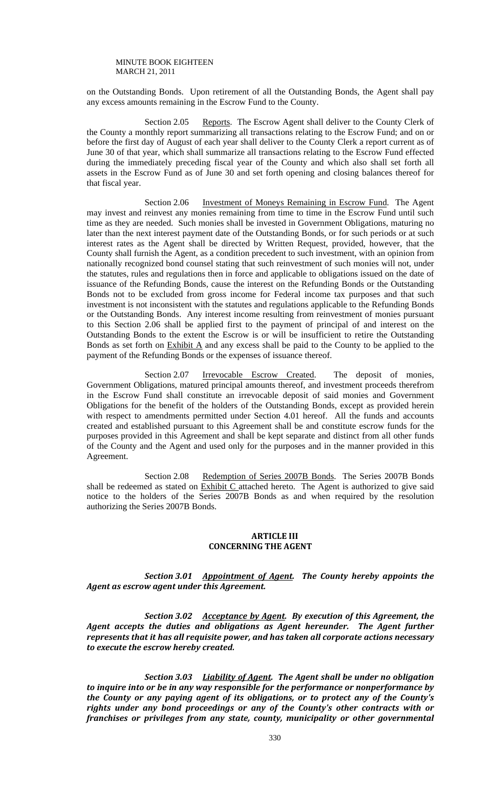on the Outstanding Bonds. Upon retirement of all the Outstanding Bonds, the Agent shall pay any excess amounts remaining in the Escrow Fund to the County.

Section 2.05 Reports. The Escrow Agent shall deliver to the County Clerk of the County a monthly report summarizing all transactions relating to the Escrow Fund; and on or before the first day of August of each year shall deliver to the County Clerk a report current as of June 30 of that year, which shall summarize all transactions relating to the Escrow Fund effected during the immediately preceding fiscal year of the County and which also shall set forth all assets in the Escrow Fund as of June 30 and set forth opening and closing balances thereof for that fiscal year.

 Section 2.06 Investment of Moneys Remaining in Escrow Fund. The Agent may invest and reinvest any monies remaining from time to time in the Escrow Fund until such time as they are needed. Such monies shall be invested in Government Obligations, maturing no later than the next interest payment date of the Outstanding Bonds, or for such periods or at such interest rates as the Agent shall be directed by Written Request, provided, however, that the County shall furnish the Agent, as a condition precedent to such investment, with an opinion from nationally recognized bond counsel stating that such reinvestment of such monies will not, under the statutes, rules and regulations then in force and applicable to obligations issued on the date of issuance of the Refunding Bonds, cause the interest on the Refunding Bonds or the Outstanding Bonds not to be excluded from gross income for Federal income tax purposes and that such investment is not inconsistent with the statutes and regulations applicable to the Refunding Bonds or the Outstanding Bonds. Any interest income resulting from reinvestment of monies pursuant to this Section 2.06 shall be applied first to the payment of principal of and interest on the Outstanding Bonds to the extent the Escrow is or will be insufficient to retire the Outstanding Bonds as set forth on  $Exhibit A$  and any excess shall be paid to the County to be applied to the payment of the Refunding Bonds or the expenses of issuance thereof.

Section 2.07 Irrevocable Escrow Created. The deposit of monies, Government Obligations, matured principal amounts thereof, and investment proceeds therefrom in the Escrow Fund shall constitute an irrevocable deposit of said monies and Government Obligations for the benefit of the holders of the Outstanding Bonds, except as provided herein with respect to amendments permitted under Section 4.01 hereof. All the funds and accounts created and established pursuant to this Agreement shall be and constitute escrow funds for the purposes provided in this Agreement and shall be kept separate and distinct from all other funds of the County and the Agent and used only for the purposes and in the manner provided in this Agreement.

Section 2.08 Redemption of Series 2007B Bonds. The Series 2007B Bonds shall be redeemed as stated on Exhibit C attached hereto. The Agent is authorized to give said notice to the holders of the Series 2007B Bonds as and when required by the resolution authorizing the Series 2007B Bonds.

#### **ARTICLE III CONCERNING THE AGENT**

## *Section 3.01 Appointment of Agent. The County hereby appoints the Agent as escrow agent under this Agreement.*

*Section 3.02 Acceptance by Agent. By execution of this Agreement, the Agent accepts the duties and obligations as Agent hereunder. The Agent further represents that it has all requisite power, and has taken all corporate actions necessary to execute the escrow hereby created.*

*Section 3.03 Liability of Agent. The Agent shall be under no obligation to inquire into or be in any way responsible for the performance or nonperformance by the County or any paying agent of its obligations, or to protect any of the County's rights under any bond proceedings or any of the County's other contracts with or franchises or privileges from any state, county, municipality or other governmental*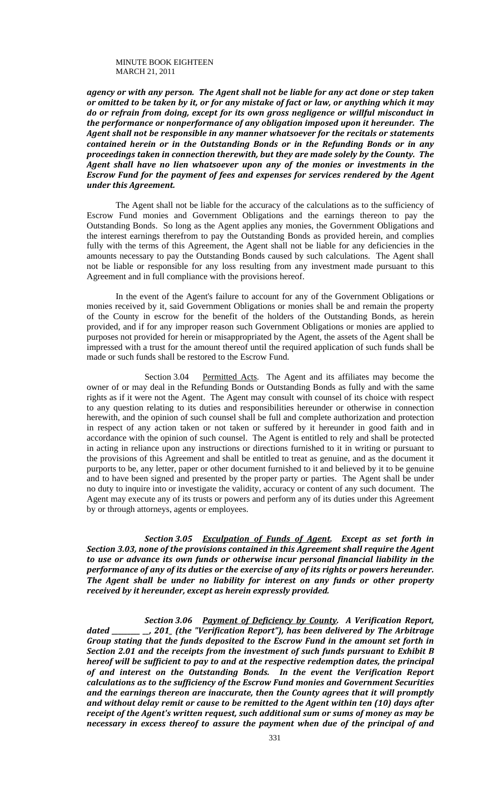*agency or with any person. The Agent shall not be liable for any act done or step taken* or omitted to be taken by it, or for any mistake of fact or law, or anything which it may *do or refrain from doing, except for its own gross negligence or willful misconduct in the performance or nonperformance of any obligation imposed upon it hereunder. The Agent shall not be responsible in any manner whatsoever for the recitals or statements contained herein or in the Outstanding Bonds or in the Refunding Bonds or in any proceedings taken in connection therewith, but they are made solely by the County. The Agent shall have no lien whatsoever upon any of the monies or investments in the Escrow Fund for the payment of fees and expenses for services rendered by the Agent under this Agreement.*

The Agent shall not be liable for the accuracy of the calculations as to the sufficiency of Escrow Fund monies and Government Obligations and the earnings thereon to pay the Outstanding Bonds. So long as the Agent applies any monies, the Government Obligations and the interest earnings therefrom to pay the Outstanding Bonds as provided herein, and complies fully with the terms of this Agreement, the Agent shall not be liable for any deficiencies in the amounts necessary to pay the Outstanding Bonds caused by such calculations. The Agent shall not be liable or responsible for any loss resulting from any investment made pursuant to this Agreement and in full compliance with the provisions hereof.

In the event of the Agent's failure to account for any of the Government Obligations or monies received by it, said Government Obligations or monies shall be and remain the property of the County in escrow for the benefit of the holders of the Outstanding Bonds, as herein provided, and if for any improper reason such Government Obligations or monies are applied to purposes not provided for herein or misappropriated by the Agent, the assets of the Agent shall be impressed with a trust for the amount thereof until the required application of such funds shall be made or such funds shall be restored to the Escrow Fund.

Section 3.04 Permitted Acts. The Agent and its affiliates may become the owner of or may deal in the Refunding Bonds or Outstanding Bonds as fully and with the same rights as if it were not the Agent. The Agent may consult with counsel of its choice with respect to any question relating to its duties and responsibilities hereunder or otherwise in connection herewith, and the opinion of such counsel shall be full and complete authorization and protection in respect of any action taken or not taken or suffered by it hereunder in good faith and in accordance with the opinion of such counsel. The Agent is entitled to rely and shall be protected in acting in reliance upon any instructions or directions furnished to it in writing or pursuant to the provisions of this Agreement and shall be entitled to treat as genuine, and as the document it purports to be, any letter, paper or other document furnished to it and believed by it to be genuine and to have been signed and presented by the proper party or parties. The Agent shall be under no duty to inquire into or investigate the validity, accuracy or content of any such document. The Agent may execute any of its trusts or powers and perform any of its duties under this Agreement by or through attorneys, agents or employees.

*Section 3.05 Exculpation of Funds of Agent. Except as set forth in Section 3.03, none of the provisions contained in this Agreement shall require the Agent to use or advance its own funds or otherwise incur personal financial liability in the performance of any of its duties or the exercise of any of its rights or powers hereunder. The Agent shall be under no liability for interest on any funds or other property received by it hereunder, except as herein expressly provided.*

*Section 3.06 Payment of Deficiency by County. A Verification Report, dated \_\_\_\_\_\_\_\_\_ \_\_, 201\_ (the "Verification Report"), has been delivered by The Arbitrage Group stating that the funds deposited to the Escrow Fund in the amount set forth in Section 2.01 and the receipts from the investment of such funds pursuant to Exhibit B hereof will be sufficient to pay to and at the respective redemption dates, the principal of and interest on the Outstanding Bonds. In the event the Verification Report calculations as to the sufficiency of the Escrow Fund monies and Government Securities and the earnings thereon are inaccurate, then the County agrees that it will promptly and without delay remit or cause to be remitted to the Agent within ten (10) days after receipt of the Agent's written request, such additional sum or sums of money as may be necessary in excess thereof to assure the payment when due of the principal of and*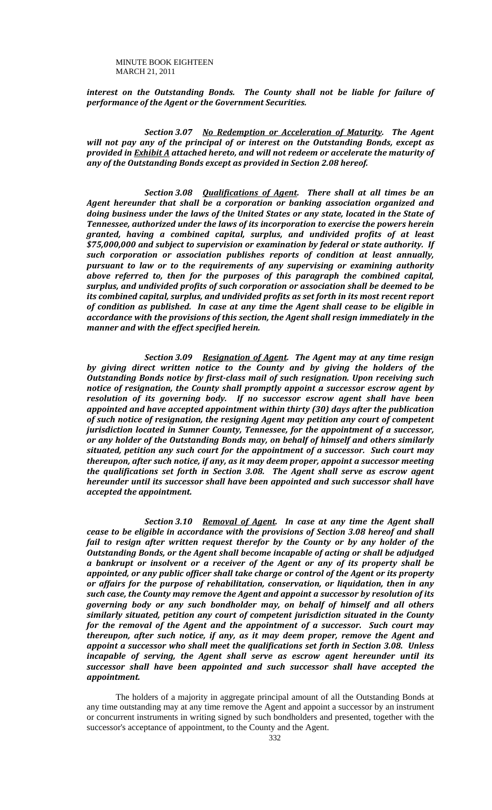*interest on the Outstanding Bonds. The County shall not be liable for failure of performance of the Agent or the Government Securities.*

*Section 3.07 No Redemption or Acceleration of Maturity. The Agent will not pay any of the principal of or interest on the Outstanding Bonds, except as provided in Exhibit A attached hereto, and will not redeem or accelerate the maturity of any of the Outstanding Bonds except as provided in Section 2.08 hereof.*

*Section 3.08 Qualifications of Agent. There shall at all times be an Agent hereunder that shall be a corporation or banking association organized and doing business under the laws of the United States or any state, located in the State of Tennessee, authorized under the laws of its incorporation to exercise the powers herein granted, having a combined capital, surplus, and undivided profits of at least \$75,000,000 and subject to supervision or examination by federal or state authority. If such corporation or association publishes reports of condition at least annually, pursuant to law or to the requirements of any supervising or examining authority above referred to, then for the purposes of this paragraph the combined capital, surplus, and undivided profits of such corporation or association shall be deemed to be its combined capital, surplus, and undivided profits as set forth in its most recent report of condition as published. In case at any time the Agent shall cease to be eligible in accordance with the provisions of this section, the Agent shall resign immediately in the manner and with the effect specified herein.*

*Section 3.09 Resignation of Agent. The Agent may at any time resign by giving direct written notice to the County and by giving the holders of the Outstanding Bonds notice by first‐class mail of such resignation. Upon receiving such notice of resignation, the County shall promptly appoint a successor escrow agent by resolution of its governing body. If no successor escrow agent shall have been appointed and have accepted appointment within thirty (30) days after the publication of such notice of resignation, the resigning Agent may petition any court of competent jurisdiction located in Sumner County, Tennessee, for the appointment of a successor, or any holder of the Outstanding Bonds may, on behalf of himself and others similarly situated, petition any such court for the appointment of a successor. Such court may thereupon, after such notice, if any, as it may deem proper, appoint a successor meeting the qualifications set forth in Section 3.08. The Agent shall serve as escrow agent hereunder until its successor shall have been appointed and such successor shall have accepted the appointment.*

*Section 3.10 Removal of Agent. In case at any time the Agent shall cease to be eligible in accordance with the provisions of Section 3.08 hereof and shall fail to resign after written request therefor by the County or by any holder of the Outstanding Bonds, or the Agent shall become incapable of acting or shall be adjudged a bankrupt or insolvent or a receiver of the Agent or any of its property shall be appointed, or any public officer shall take charge or control of the Agent or its property or affairs for the purpose of rehabilitation, conservation, or liquidation, then in any such case, the County may remove the Agent and appoint a successor by resolution of its governing body or any such bondholder may, on behalf of himself and all others similarly situated, petition any court of competent jurisdiction situated in the County for the removal of the Agent and the appointment of a successor. Such court may thereupon, after such notice, if any, as it may deem proper, remove the Agent and appoint a successor who shall meet the qualifications set forth in Section 3.08. Unless incapable of serving, the Agent shall serve as escrow agent hereunder until its successor shall have been appointed and such successor shall have accepted the appointment.*

The holders of a majority in aggregate principal amount of all the Outstanding Bonds at any time outstanding may at any time remove the Agent and appoint a successor by an instrument or concurrent instruments in writing signed by such bondholders and presented, together with the successor's acceptance of appointment, to the County and the Agent.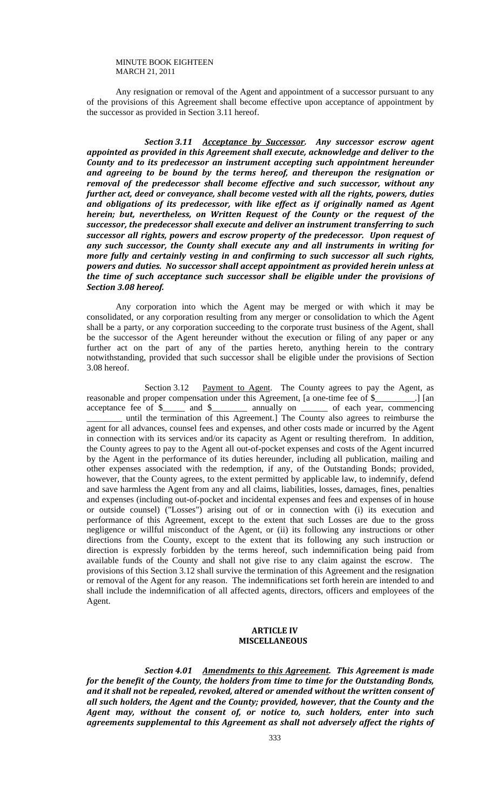Any resignation or removal of the Agent and appointment of a successor pursuant to any of the provisions of this Agreement shall become effective upon acceptance of appointment by the successor as provided in Section 3.11 hereof.

*Section 3.11 Acceptance by Successor. Any successor escrow agent appointed as provided in this Agreement shall execute, acknowledge and deliver to the County and to its predecessor an instrument accepting such appointment hereunder and agreeing to be bound by the terms hereof, and thereupon the resignation or removal of the predecessor shall become effective and such successor, without any further act, deed or conveyance, shall become vested with all the rights, powers, duties and obligations of its predecessor, with like effect as if originally named as Agent herein; but, nevertheless, on Written Request of the County or the request of the successor, the predecessor shall execute and deliver an instrument transferring to such successor all rights, powers and escrow property of the predecessor. Upon request of any such successor, the County shall execute any and all instruments in writing for more fully and certainly vesting in and confirming to such successor all such rights, powers and duties. No successor shall accept appointment as provided herein unless at the time of such acceptance such successor shall be eligible under the provisions of Section 3.08 hereof.*

Any corporation into which the Agent may be merged or with which it may be consolidated, or any corporation resulting from any merger or consolidation to which the Agent shall be a party, or any corporation succeeding to the corporate trust business of the Agent, shall be the successor of the Agent hereunder without the execution or filing of any paper or any further act on the part of any of the parties hereto, anything herein to the contrary notwithstanding, provided that such successor shall be eligible under the provisions of Section 3.08 hereof.

Section 3.12 Payment to Agent. The County agrees to pay the Agent, as reasonable and proper compensation under this Agreement, [a one-time fee of \$\_\_\_\_\_\_\_\_\_.] [an acceptance fee of \$\_\_\_\_\_ and \$\_\_\_\_\_\_\_\_ annually on \_\_\_\_\_\_ of each year, commencing until the termination of this Agreement.] The County also agrees to reimburse the agent for all advances, counsel fees and expenses, and other costs made or incurred by the Agent in connection with its services and/or its capacity as Agent or resulting therefrom. In addition, the County agrees to pay to the Agent all out-of-pocket expenses and costs of the Agent incurred by the Agent in the performance of its duties hereunder, including all publication, mailing and other expenses associated with the redemption, if any, of the Outstanding Bonds; provided, however, that the County agrees, to the extent permitted by applicable law, to indemnify, defend and save harmless the Agent from any and all claims, liabilities, losses, damages, fines, penalties and expenses (including out-of-pocket and incidental expenses and fees and expenses of in house or outside counsel) ("Losses") arising out of or in connection with (i) its execution and performance of this Agreement, except to the extent that such Losses are due to the gross negligence or willful misconduct of the Agent, or (ii) its following any instructions or other directions from the County, except to the extent that its following any such instruction or direction is expressly forbidden by the terms hereof, such indemnification being paid from available funds of the County and shall not give rise to any claim against the escrow. The provisions of this Section 3.12 shall survive the termination of this Agreement and the resignation or removal of the Agent for any reason. The indemnifications set forth herein are intended to and shall include the indemnification of all affected agents, directors, officers and employees of the Agent.

## **ARTICLE IV MISCELLANEOUS**

*Section 4.01 Amendments to this Agreement. This Agreement is made for the benefit of the County, the holders from time to time for the Outstanding Bonds, and it shall not be repealed, revoked, altered or amended without the written consent of all such holders, the Agent and the County; provided, however, that the County and the Agent may, without the consent of, or notice to, such holders, enter into such agreements supplemental to this Agreement as shall not adversely affect the rights of*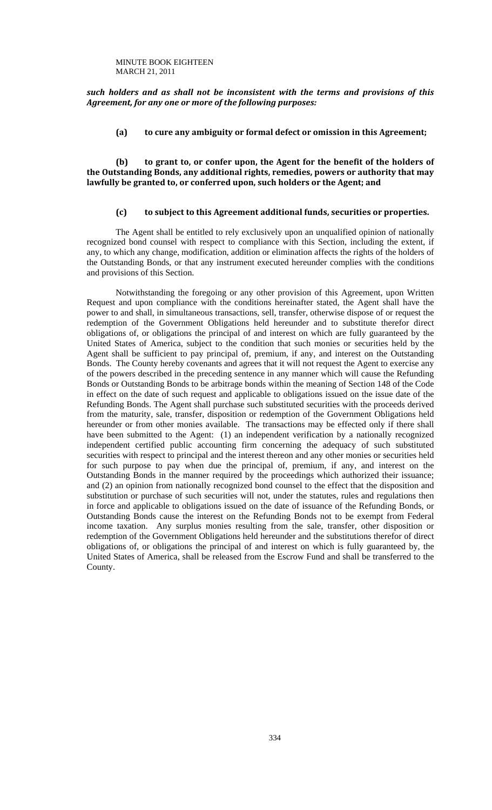*such holders and as shall not be inconsistent with the terms and provisions of this Agreement, for any one or more of the following purposes:*

**(a) to cure any ambiguity or formal defect or omission in this Agreement;**

**(b) to grant to, or confer upon, the Agent for the benefit of the holders of the Outstanding Bonds, any additional rights, remedies, powers or authority that may lawfully be granted to, or conferred upon, such holders or the Agent; and**

## **(c) to subject to this Agreement additional funds, securities or properties.**

The Agent shall be entitled to rely exclusively upon an unqualified opinion of nationally recognized bond counsel with respect to compliance with this Section, including the extent, if any, to which any change, modification, addition or elimination affects the rights of the holders of the Outstanding Bonds, or that any instrument executed hereunder complies with the conditions and provisions of this Section.

Notwithstanding the foregoing or any other provision of this Agreement, upon Written Request and upon compliance with the conditions hereinafter stated, the Agent shall have the power to and shall, in simultaneous transactions, sell, transfer, otherwise dispose of or request the redemption of the Government Obligations held hereunder and to substitute therefor direct obligations of, or obligations the principal of and interest on which are fully guaranteed by the United States of America, subject to the condition that such monies or securities held by the Agent shall be sufficient to pay principal of, premium, if any, and interest on the Outstanding Bonds. The County hereby covenants and agrees that it will not request the Agent to exercise any of the powers described in the preceding sentence in any manner which will cause the Refunding Bonds or Outstanding Bonds to be arbitrage bonds within the meaning of Section 148 of the Code in effect on the date of such request and applicable to obligations issued on the issue date of the Refunding Bonds. The Agent shall purchase such substituted securities with the proceeds derived from the maturity, sale, transfer, disposition or redemption of the Government Obligations held hereunder or from other monies available. The transactions may be effected only if there shall have been submitted to the Agent: (1) an independent verification by a nationally recognized independent certified public accounting firm concerning the adequacy of such substituted securities with respect to principal and the interest thereon and any other monies or securities held for such purpose to pay when due the principal of, premium, if any, and interest on the Outstanding Bonds in the manner required by the proceedings which authorized their issuance; and (2) an opinion from nationally recognized bond counsel to the effect that the disposition and substitution or purchase of such securities will not, under the statutes, rules and regulations then in force and applicable to obligations issued on the date of issuance of the Refunding Bonds, or Outstanding Bonds cause the interest on the Refunding Bonds not to be exempt from Federal income taxation. Any surplus monies resulting from the sale, transfer, other disposition or redemption of the Government Obligations held hereunder and the substitutions therefor of direct obligations of, or obligations the principal of and interest on which is fully guaranteed by, the United States of America, shall be released from the Escrow Fund and shall be transferred to the County.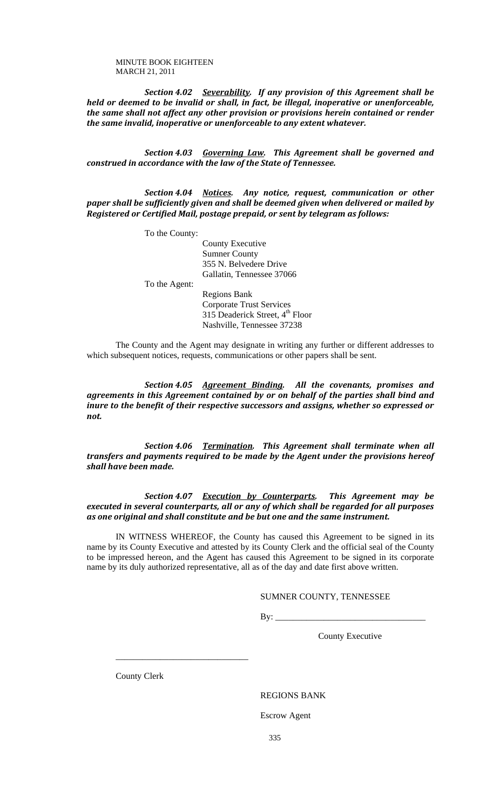*Section 4.02 Severability. If any provision of this Agreement shall be held or deemed to be invalid or shall, in fact, be illegal, inoperative or unenforceable, the same shall not affect any other provision or provisions herein contained or render the same invalid, inoperative or unenforceable to any extent whatever.*

*Section 4.03 Governing Law. This Agreement shall be governed and construed in accordance with the law of the State of Tennessee.*

*Section 4.04 Notices. Any notice, request, communication or other paper shall be sufficiently given and shall be deemed given when delivered or mailed by Registered or Certified Mail, postage prepaid, or sent by telegram as follows:*

To the County:

County Executive Sumner County 355 N. Belvedere Drive Gallatin, Tennessee 37066

To the Agent:

 Regions Bank Corporate Trust Services 315 Deaderick Street, 4<sup>th</sup> Floor Nashville, Tennessee 37238

The County and the Agent may designate in writing any further or different addresses to which subsequent notices, requests, communications or other papers shall be sent.

*Section 4.05 Agreement Binding. All the covenants, promises and agreements in this Agreement contained by or on behalf of the parties shall bind and inure to the benefit of their respective successors and assigns, whether so expressed or not.*

*Section 4.06 Termination. This Agreement shall terminate when all transfers and payments required to be made by the Agent under the provisions hereof shall have been made.*

*Section 4.07 Execution by Counterparts. This Agreement may be executed in several counterparts, all or any of which shall be regarded for all purposes as one original and shall constitute and be but one and the same instrument.*

IN WITNESS WHEREOF, the County has caused this Agreement to be signed in its name by its County Executive and attested by its County Clerk and the official seal of the County to be impressed hereon, and the Agent has caused this Agreement to be signed in its corporate name by its duly authorized representative, all as of the day and date first above written.

#### SUMNER COUNTY, TENNESSEE

 $By:$ 

County Executive

County Clerk

\_\_\_\_\_\_\_\_\_\_\_\_\_\_\_\_\_\_\_\_\_\_\_\_\_\_\_\_\_\_

#### REGIONS BANK

Escrow Agent

335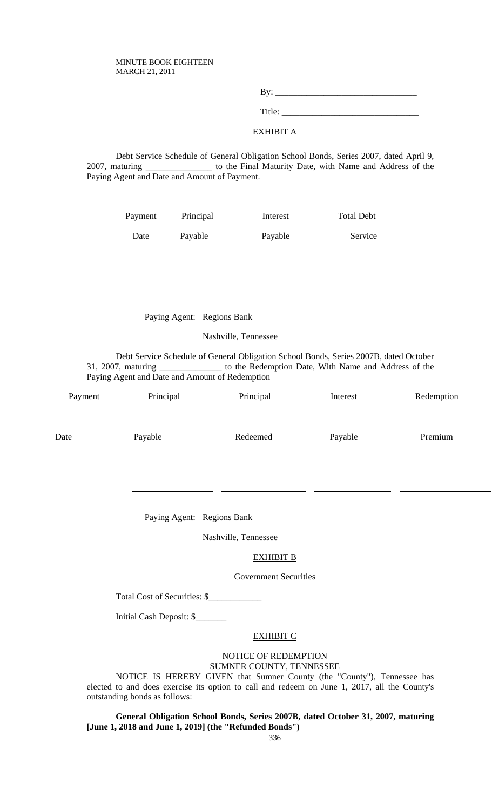By: \_\_\_\_\_\_\_\_\_\_\_\_\_\_\_\_\_\_\_\_\_\_\_\_\_\_\_\_\_\_\_\_ Title:

## EXHIBIT A

Debt Service Schedule of General Obligation School Bonds, Series 2007, dated April 9, 2007, maturing \_\_\_\_\_\_\_\_\_\_\_\_\_\_\_ to the Final Maturity Date, with Name and Address of the Paying Agent and Date and Amount of Payment.

| Payment     | Principal | Interest | <b>Total Debt</b> |
|-------------|-----------|----------|-------------------|
| <b>Date</b> | Payable   | Payable  | Service           |
|             |           |          |                   |
|             |           |          |                   |

Paying Agent: Regions Bank

Nashville, Tennessee

Debt Service Schedule of General Obligation School Bonds, Series 2007B, dated October 31, 2007, maturing \_\_\_\_\_\_\_\_\_\_\_\_\_\_ to the Redemption Date, With Name and Address of the Paying Agent and Date and Amount of Redemption

| Payment | Principal                    | Principal                                        | Interest | Redemption |
|---------|------------------------------|--------------------------------------------------|----------|------------|
| Date    | Payable                      | Redeemed                                         | Payable  | Premium    |
|         |                              |                                                  |          |            |
|         | Paying Agent: Regions Bank   |                                                  |          |            |
|         |                              | Nashville, Tennessee                             |          |            |
|         |                              | <b>EXHIBIT B</b>                                 |          |            |
|         |                              | <b>Government Securities</b>                     |          |            |
|         | Total Cost of Securities: \$ |                                                  |          |            |
|         | Initial Cash Deposit: \$     |                                                  |          |            |
|         |                              | <b>EXHIBIT C</b>                                 |          |            |
|         |                              | NOTICE OF REDEMPTION<br>SUMNER COUNTY, TENNESSEE |          |            |

NOTICE IS HEREBY GIVEN that Sumner County (the "County"), Tennessee has elected to and does exercise its option to call and redeem on June 1, 2017, all the County's outstanding bonds as follows:

**General Obligation School Bonds, Series 2007B, dated October 31, 2007, maturing [June 1, 2018 and June 1, 2019] (the "Refunded Bonds")**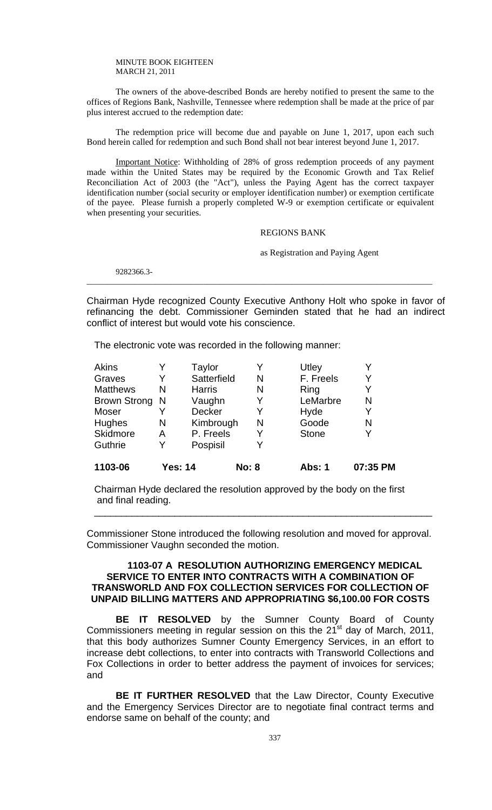The owners of the above-described Bonds are hereby notified to present the same to the offices of Regions Bank, Nashville, Tennessee where redemption shall be made at the price of par plus interest accrued to the redemption date:

The redemption price will become due and payable on June 1, 2017, upon each such Bond herein called for redemption and such Bond shall not bear interest beyond June 1, 2017.

Important Notice: Withholding of 28% of gross redemption proceeds of any payment made within the United States may be required by the Economic Growth and Tax Relief Reconciliation Act of 2003 (the "Act"), unless the Paying Agent has the correct taxpayer identification number (social security or employer identification number) or exemption certificate of the payee. Please furnish a properly completed W-9 or exemption certificate or equivalent when presenting your securities.

## REGIONS BANK

as Registration and Paying Agent

9282366.3- \_\_\_\_\_\_\_\_\_\_\_\_\_\_\_\_\_\_\_\_\_\_\_\_\_\_\_\_\_\_\_\_\_\_\_\_\_\_\_\_\_\_\_\_\_\_\_\_\_\_\_\_\_\_\_\_\_\_\_\_\_\_\_\_\_\_\_\_\_\_\_\_\_\_\_\_\_\_\_\_\_\_\_\_\_\_

Chairman Hyde recognized County Executive Anthony Holt who spoke in favor of refinancing the debt. Commissioner Geminden stated that he had an indirect conflict of interest but would vote his conscience.

The electronic vote was recorded in the following manner:

| Akins               |                | Taylor        |              | Utley        |          |
|---------------------|----------------|---------------|--------------|--------------|----------|
| Graves              | Y              | Satterfield   | N            | F. Freels    | Y        |
| <b>Matthews</b>     | N              | <b>Harris</b> | N            | Ring         | Y        |
| <b>Brown Strong</b> | -N             | Vaughn        | Y            | LeMarbre     | N        |
| Moser               |                | <b>Decker</b> |              | Hyde         | Y        |
| Hughes              | N              | Kimbrough     | N            | Goode        | N        |
| Skidmore            | А              | P. Freels     | Y            | <b>Stone</b> | Y        |
| Guthrie             | Y              | Pospisil      |              |              |          |
| 1103-06             | <b>Yes: 14</b> |               | <b>No: 8</b> | Abs: 1       | 07:35 PM |

Chairman Hyde declared the resolution approved by the body on the first and final reading.

Commissioner Stone introduced the following resolution and moved for approval. Commissioner Vaughn seconded the motion.

\_\_\_\_\_\_\_\_\_\_\_\_\_\_\_\_\_\_\_\_\_\_\_\_\_\_\_\_\_\_\_\_\_\_\_\_\_\_\_\_\_\_\_\_\_\_\_\_\_\_\_\_\_\_\_\_\_\_\_\_\_\_\_

## **1103-07 A RESOLUTION AUTHORIZING EMERGENCY MEDICAL SERVICE TO ENTER INTO CONTRACTS WITH A COMBINATION OF TRANSWORLD AND FOX COLLECTION SERVICES FOR COLLECTION OF UNPAID BILLING MATTERS AND APPROPRIATING \$6,100.00 FOR COSTS**

**BE IT RESOLVED** by the Sumner County Board of County Commissioners meeting in regular session on this the  $21<sup>st</sup>$  day of March, 2011, that this body authorizes Sumner County Emergency Services, in an effort to increase debt collections, to enter into contracts with Transworld Collections and Fox Collections in order to better address the payment of invoices for services; and

**BE IT FURTHER RESOLVED** that the Law Director, County Executive and the Emergency Services Director are to negotiate final contract terms and endorse same on behalf of the county; and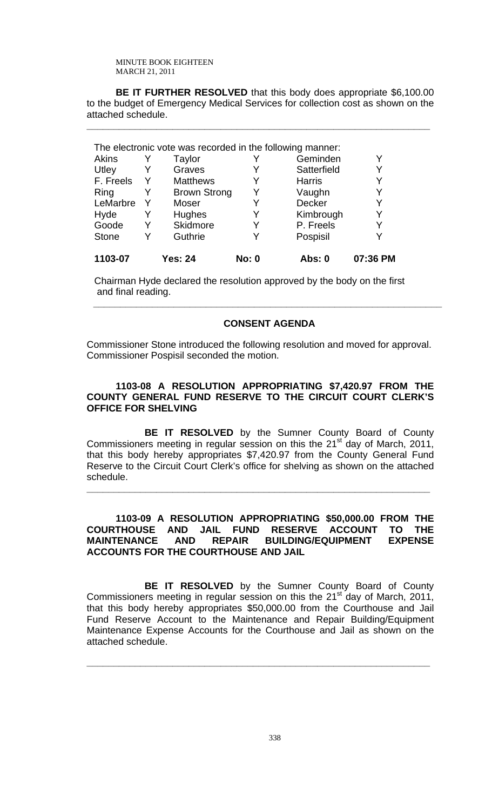**BE IT FURTHER RESOLVED** that this body does appropriate \$6,100.00 to the budget of Emergency Medical Services for collection cost as shown on the attached schedule.

**\_\_\_\_\_\_\_\_\_\_\_\_\_\_\_\_\_\_\_\_\_\_\_\_\_\_\_\_\_\_\_\_\_\_\_\_\_\_\_\_\_\_\_\_\_\_\_\_\_\_\_\_\_\_\_\_\_\_\_\_\_\_\_\_**

|              |   | The electronic vote was recorded in the following manner: |              |               |          |
|--------------|---|-----------------------------------------------------------|--------------|---------------|----------|
| Akins        |   | Taylor                                                    |              | Geminden      | Y        |
| Utley        |   | Graves                                                    | Y            | Satterfield   | Y        |
| F. Freels    | Y | <b>Matthews</b>                                           | Y            | <b>Harris</b> | Y        |
| Ring         |   | <b>Brown Strong</b>                                       | Y            | Vaughn        | Y        |
| LeMarbre     | Y | Moser                                                     | Y            | <b>Decker</b> | Y        |
| Hyde         |   | <b>Hughes</b>                                             | Y            | Kimbrough     | Y        |
| Goode        |   | Skidmore                                                  | Y            | P. Freels     | Y        |
| <b>Stone</b> |   | Guthrie                                                   | Y            | Pospisil      | Y        |
| 1103-07      |   | <b>Yes: 24</b>                                            | <b>No: 0</b> | Abs: 0        | 07:36 PM |

Chairman Hyde declared the resolution approved by the body on the first and final reading.

## **CONSENT AGENDA**

*\_\_\_\_\_\_\_\_\_\_\_\_\_\_\_\_\_\_\_\_\_\_\_\_\_\_\_\_\_\_\_\_\_\_\_\_\_\_\_\_\_\_\_\_\_\_\_\_\_\_\_\_\_\_\_\_\_\_\_\_\_\_\_\_\_* 

Commissioner Stone introduced the following resolution and moved for approval. Commissioner Pospisil seconded the motion.

# **1103-08 A RESOLUTION APPROPRIATING \$7,420.97 FROM THE COUNTY GENERAL FUND RESERVE TO THE CIRCUIT COURT CLERK'S OFFICE FOR SHELVING**

 **BE IT RESOLVED** by the Sumner County Board of County Commissioners meeting in regular session on this the  $21<sup>st</sup>$  day of March, 2011, that this body hereby appropriates \$7,420.97 from the County General Fund Reserve to the Circuit Court Clerk's office for shelving as shown on the attached schedule.

**\_\_\_\_\_\_\_\_\_\_\_\_\_\_\_\_\_\_\_\_\_\_\_\_\_\_\_\_\_\_\_\_\_\_\_\_\_\_\_\_\_\_\_\_\_\_\_\_\_\_\_\_\_\_\_\_\_\_\_\_\_\_\_\_**

# **1103-09 A RESOLUTION APPROPRIATING \$50,000.00 FROM THE COURTHOUSE AND JAIL FUND RESERVE ACCOUNT TO THE MAINTENANCE AND REPAIR BUILDING/EQUIPMENT EXPENSE ACCOUNTS FOR THE COURTHOUSE AND JAIL**

 **BE IT RESOLVED** by the Sumner County Board of County Commissioners meeting in regular session on this the  $21<sup>st</sup>$  day of March, 2011, that this body hereby appropriates \$50,000.00 from the Courthouse and Jail Fund Reserve Account to the Maintenance and Repair Building/Equipment Maintenance Expense Accounts for the Courthouse and Jail as shown on the attached schedule.

**\_\_\_\_\_\_\_\_\_\_\_\_\_\_\_\_\_\_\_\_\_\_\_\_\_\_\_\_\_\_\_\_\_\_\_\_\_\_\_\_\_\_\_\_\_\_\_\_\_\_\_\_\_\_\_\_\_\_\_\_\_\_\_\_**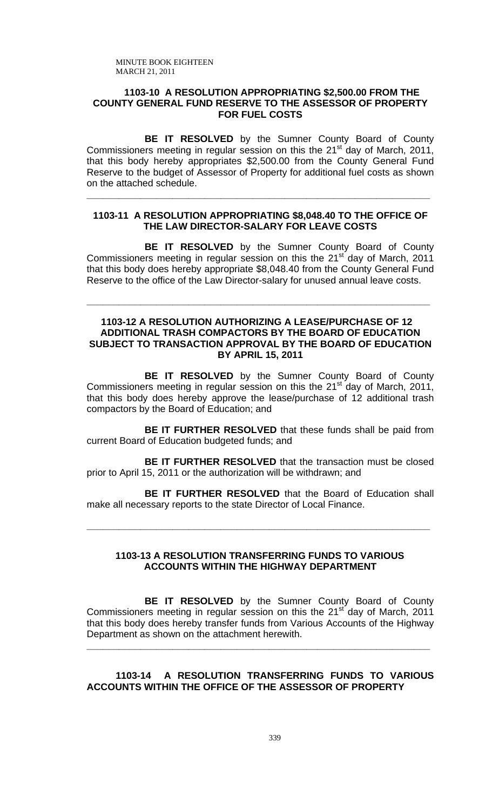## **1103-10 A RESOLUTION APPROPRIATING \$2,500.00 FROM THE COUNTY GENERAL FUND RESERVE TO THE ASSESSOR OF PROPERTY FOR FUEL COSTS**

**BE IT RESOLVED** by the Sumner County Board of County Commissioners meeting in regular session on this the 21<sup>st</sup> day of March, 2011, that this body hereby appropriates \$2,500.00 from the County General Fund Reserve to the budget of Assessor of Property for additional fuel costs as shown on the attached schedule.

## **1103-11 A RESOLUTION APPROPRIATING \$8,048.40 TO THE OFFICE OF THE LAW DIRECTOR-SALARY FOR LEAVE COSTS**

**\_\_\_\_\_\_\_\_\_\_\_\_\_\_\_\_\_\_\_\_\_\_\_\_\_\_\_\_\_\_\_\_\_\_\_\_\_\_\_\_\_\_\_\_\_\_\_\_\_\_\_\_\_\_\_\_\_\_\_\_\_\_\_\_**

**BE IT RESOLVED** by the Sumner County Board of County Commissioners meeting in regular session on this the  $21<sup>st</sup>$  day of March, 2011 that this body does hereby appropriate \$8,048.40 from the County General Fund Reserve to the office of the Law Director-salary for unused annual leave costs.

## **1103-12 A RESOLUTION AUTHORIZING A LEASE/PURCHASE OF 12 ADDITIONAL TRASH COMPACTORS BY THE BOARD OF EDUCATION SUBJECT TO TRANSACTION APPROVAL BY THE BOARD OF EDUCATION BY APRIL 15, 2011**

**\_\_\_\_\_\_\_\_\_\_\_\_\_\_\_\_\_\_\_\_\_\_\_\_\_\_\_\_\_\_\_\_\_\_\_\_\_\_\_\_\_\_\_\_\_\_\_\_\_\_\_\_\_\_\_\_\_\_\_\_\_\_\_\_**

**BE IT RESOLVED** by the Sumner County Board of County Commissioners meeting in regular session on this the 21<sup>st</sup> day of March, 2011, that this body does hereby approve the lease/purchase of 12 additional trash compactors by the Board of Education; and

**BE IT FURTHER RESOLVED** that these funds shall be paid from current Board of Education budgeted funds; and

**BE IT FURTHER RESOLVED** that the transaction must be closed prior to April 15, 2011 or the authorization will be withdrawn; and

 **BE IT FURTHER RESOLVED** that the Board of Education shall make all necessary reports to the state Director of Local Finance.

**\_\_\_\_\_\_\_\_\_\_\_\_\_\_\_\_\_\_\_\_\_\_\_\_\_\_\_\_\_\_\_\_\_\_\_\_\_\_\_\_\_\_\_\_\_\_\_\_\_\_\_\_\_\_\_\_\_\_\_\_\_\_\_\_**

## **1103-13 A RESOLUTION TRANSFERRING FUNDS TO VARIOUS ACCOUNTS WITHIN THE HIGHWAY DEPARTMENT**

 **BE IT RESOLVED** by the Sumner County Board of County Commissioners meeting in regular session on this the  $21<sup>st</sup>$  day of March, 2011 that this body does hereby transfer funds from Various Accounts of the Highway Department as shown on the attachment herewith.

**\_\_\_\_\_\_\_\_\_\_\_\_\_\_\_\_\_\_\_\_\_\_\_\_\_\_\_\_\_\_\_\_\_\_\_\_\_\_\_\_\_\_\_\_\_\_\_\_\_\_\_\_\_\_\_\_\_\_\_\_\_\_\_\_**

## **1103-14 A RESOLUTION TRANSFERRING FUNDS TO VARIOUS ACCOUNTS WITHIN THE OFFICE OF THE ASSESSOR OF PROPERTY**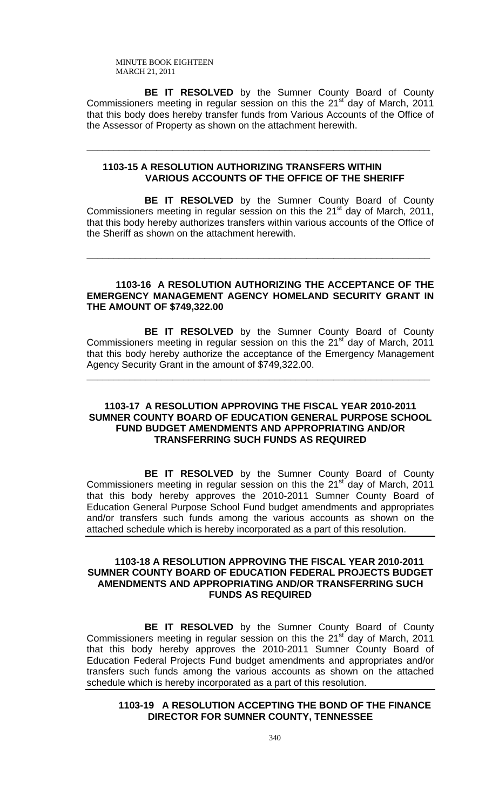**BE IT RESOLVED** by the Sumner County Board of County Commissioners meeting in regular session on this the 21<sup>st</sup> day of March, 2011 that this body does hereby transfer funds from Various Accounts of the Office of the Assessor of Property as shown on the attachment herewith.

## **1103-15 A RESOLUTION AUTHORIZING TRANSFERS WITHIN VARIOUS ACCOUNTS OF THE OFFICE OF THE SHERIFF**

**\_\_\_\_\_\_\_\_\_\_\_\_\_\_\_\_\_\_\_\_\_\_\_\_\_\_\_\_\_\_\_\_\_\_\_\_\_\_\_\_\_\_\_\_\_\_\_\_\_\_\_\_\_\_\_\_\_\_\_\_\_\_\_\_**

 **BE IT RESOLVED** by the Sumner County Board of County Commissioners meeting in regular session on this the 21<sup>st</sup> day of March, 2011, that this body hereby authorizes transfers within various accounts of the Office of the Sheriff as shown on the attachment herewith.

**\_\_\_\_\_\_\_\_\_\_\_\_\_\_\_\_\_\_\_\_\_\_\_\_\_\_\_\_\_\_\_\_\_\_\_\_\_\_\_\_\_\_\_\_\_\_\_\_\_\_\_\_\_\_\_\_\_\_\_\_\_\_\_\_**

# **1103-16 A RESOLUTION AUTHORIZING THE ACCEPTANCE OF THE EMERGENCY MANAGEMENT AGENCY HOMELAND SECURITY GRANT IN THE AMOUNT OF \$749,322.00**

 **BE IT RESOLVED** by the Sumner County Board of County Commissioners meeting in regular session on this the  $21<sup>st</sup>$  day of March, 2011 that this body hereby authorize the acceptance of the Emergency Management Agency Security Grant in the amount of \$749,322.00.

**\_\_\_\_\_\_\_\_\_\_\_\_\_\_\_\_\_\_\_\_\_\_\_\_\_\_\_\_\_\_\_\_\_\_\_\_\_\_\_\_\_\_\_\_\_\_\_\_\_\_\_\_\_\_\_\_\_\_\_\_\_\_\_\_**

## **1103-17 A RESOLUTION APPROVING THE FISCAL YEAR 2010-2011 SUMNER COUNTY BOARD OF EDUCATION GENERAL PURPOSE SCHOOL FUND BUDGET AMENDMENTS AND APPROPRIATING AND/OR TRANSFERRING SUCH FUNDS AS REQUIRED**

 **BE IT RESOLVED** by the Sumner County Board of County Commissioners meeting in regular session on this the  $21<sup>st</sup>$  day of March, 2011 that this body hereby approves the 2010-2011 Sumner County Board of Education General Purpose School Fund budget amendments and appropriates and/or transfers such funds among the various accounts as shown on the attached schedule which is hereby incorporated as a part of this resolution.

# **1103-18 A RESOLUTION APPROVING THE FISCAL YEAR 2010-2011 SUMNER COUNTY BOARD OF EDUCATION FEDERAL PROJECTS BUDGET AMENDMENTS AND APPROPRIATING AND/OR TRANSFERRING SUCH FUNDS AS REQUIRED**

 **BE IT RESOLVED** by the Sumner County Board of County Commissioners meeting in regular session on this the 21<sup>st day</sup> of March, 2011 that this body hereby approves the 2010-2011 Sumner County Board of Education Federal Projects Fund budget amendments and appropriates and/or transfers such funds among the various accounts as shown on the attached schedule which is hereby incorporated as a part of this resolution.

# **1103-19 A RESOLUTION ACCEPTING THE BOND OF THE FINANCE DIRECTOR FOR SUMNER COUNTY, TENNESSEE**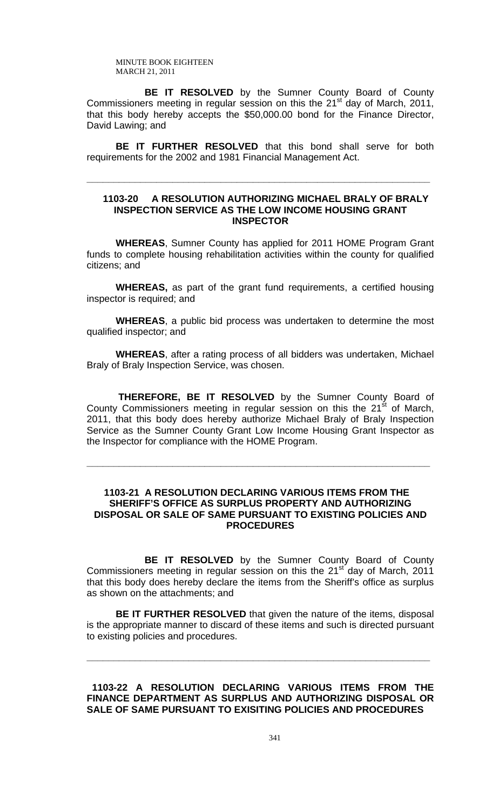**BE IT RESOLVED** by the Sumner County Board of County Commissioners meeting in regular session on this the 21<sup>st</sup> day of March, 2011, that this body hereby accepts the \$50,000.00 bond for the Finance Director, David Lawing; and

**BE IT FURTHER RESOLVED** that this bond shall serve for both requirements for the 2002 and 1981 Financial Management Act.

**\_\_\_\_\_\_\_\_\_\_\_\_\_\_\_\_\_\_\_\_\_\_\_\_\_\_\_\_\_\_\_\_\_\_\_\_\_\_\_\_\_\_\_\_\_\_\_\_\_\_\_\_\_\_\_\_\_\_\_\_\_\_\_\_**

## **1103-20 A RESOLUTION AUTHORIZING MICHAEL BRALY OF BRALY INSPECTION SERVICE AS THE LOW INCOME HOUSING GRANT INSPECTOR**

**WHEREAS**, Sumner County has applied for 2011 HOME Program Grant funds to complete housing rehabilitation activities within the county for qualified citizens; and

**WHEREAS,** as part of the grant fund requirements, a certified housing inspector is required; and

**WHEREAS**, a public bid process was undertaken to determine the most qualified inspector; and

**WHEREAS**, after a rating process of all bidders was undertaken, Michael Braly of Braly Inspection Service, was chosen.

 **THEREFORE, BE IT RESOLVED** by the Sumner County Board of County Commissioners meeting in regular session on this the  $21<sup>st</sup>$  of March, 2011, that this body does hereby authorize Michael Braly of Braly Inspection Service as the Sumner County Grant Low Income Housing Grant Inspector as the Inspector for compliance with the HOME Program.

**\_\_\_\_\_\_\_\_\_\_\_\_\_\_\_\_\_\_\_\_\_\_\_\_\_\_\_\_\_\_\_\_\_\_\_\_\_\_\_\_\_\_\_\_\_\_\_\_\_\_\_\_\_\_\_\_\_\_\_\_\_\_\_\_**

# **1103-21 A RESOLUTION DECLARING VARIOUS ITEMS FROM THE SHERIFF'S OFFICE AS SURPLUS PROPERTY AND AUTHORIZING DISPOSAL OR SALE OF SAME PURSUANT TO EXISTING POLICIES AND PROCEDURES**

 **BE IT RESOLVED** by the Sumner County Board of County Commissioners meeting in regular session on this the  $21<sup>st</sup>$  day of March, 2011 that this body does hereby declare the items from the Sheriff's office as surplus as shown on the attachments; and

**BE IT FURTHER RESOLVED** that given the nature of the items, disposal is the appropriate manner to discard of these items and such is directed pursuant to existing policies and procedures.

**\_\_\_\_\_\_\_\_\_\_\_\_\_\_\_\_\_\_\_\_\_\_\_\_\_\_\_\_\_\_\_\_\_\_\_\_\_\_\_\_\_\_\_\_\_\_\_\_\_\_\_\_\_\_\_\_\_\_\_\_\_\_\_\_**

 **1103-22 A RESOLUTION DECLARING VARIOUS ITEMS FROM THE FINANCE DEPARTMENT AS SURPLUS AND AUTHORIZING DISPOSAL OR SALE OF SAME PURSUANT TO EXISITING POLICIES AND PROCEDURES**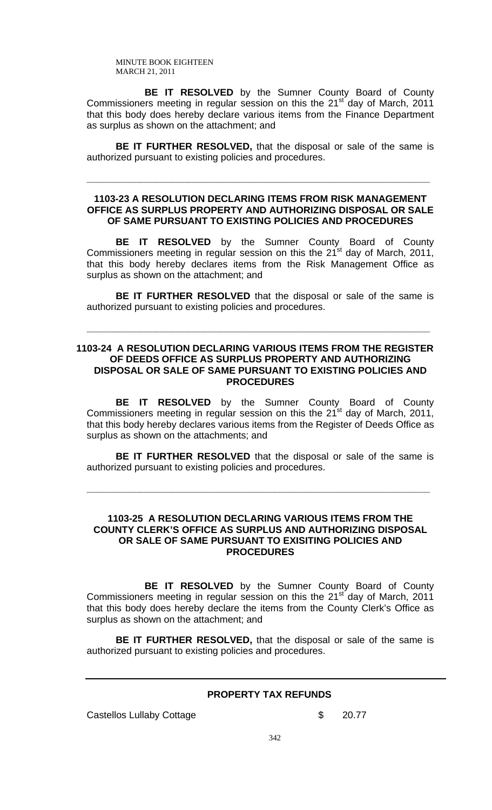**BE IT RESOLVED** by the Sumner County Board of County Commissioners meeting in regular session on this the 21<sup>st</sup> day of March, 2011 that this body does hereby declare various items from the Finance Department as surplus as shown on the attachment; and

**BE IT FURTHER RESOLVED,** that the disposal or sale of the same is authorized pursuant to existing policies and procedures.

**\_\_\_\_\_\_\_\_\_\_\_\_\_\_\_\_\_\_\_\_\_\_\_\_\_\_\_\_\_\_\_\_\_\_\_\_\_\_\_\_\_\_\_\_\_\_\_\_\_\_\_\_\_\_\_\_\_\_\_\_\_\_\_\_**

## **1103-23 A RESOLUTION DECLARING ITEMS FROM RISK MANAGEMENT OFFICE AS SURPLUS PROPERTY AND AUTHORIZING DISPOSAL OR SALE OF SAME PURSUANT TO EXISTING POLICIES AND PROCEDURES**

**BE IT RESOLVED** by the Sumner County Board of County Commissioners meeting in regular session on this the  $21^{st}$  day of March, 2011, that this body hereby declares items from the Risk Management Office as surplus as shown on the attachment; and

**BE IT FURTHER RESOLVED** that the disposal or sale of the same is authorized pursuant to existing policies and procedures.

**\_\_\_\_\_\_\_\_\_\_\_\_\_\_\_\_\_\_\_\_\_\_\_\_\_\_\_\_\_\_\_\_\_\_\_\_\_\_\_\_\_\_\_\_\_\_\_\_\_\_\_\_\_\_\_\_\_\_\_\_\_\_\_\_**

## **1103-24 A RESOLUTION DECLARING VARIOUS ITEMS FROM THE REGISTER OF DEEDS OFFICE AS SURPLUS PROPERTY AND AUTHORIZING DISPOSAL OR SALE OF SAME PURSUANT TO EXISTING POLICIES AND PROCEDURES**

**BE IT RESOLVED** by the Sumner County Board of County Commissioners meeting in regular session on this the  $21<sup>st</sup>$  day of March, 2011, that this body hereby declares various items from the Register of Deeds Office as surplus as shown on the attachments; and

**BE IT FURTHER RESOLVED** that the disposal or sale of the same is authorized pursuant to existing policies and procedures.

**\_\_\_\_\_\_\_\_\_\_\_\_\_\_\_\_\_\_\_\_\_\_\_\_\_\_\_\_\_\_\_\_\_\_\_\_\_\_\_\_\_\_\_\_\_\_\_\_\_\_\_\_\_\_\_\_\_\_\_\_\_\_\_\_**

## **1103-25 A RESOLUTION DECLARING VARIOUS ITEMS FROM THE COUNTY CLERK'S OFFICE AS SURPLUS AND AUTHORIZING DISPOSAL OR SALE OF SAME PURSUANT TO EXISITING POLICIES AND PROCEDURES**

 **BE IT RESOLVED** by the Sumner County Board of County Commissioners meeting in regular session on this the  $21<sup>st</sup>$  day of March, 2011 that this body does hereby declare the items from the County Clerk's Office as surplus as shown on the attachment; and

**BE IT FURTHER RESOLVED,** that the disposal or sale of the same is authorized pursuant to existing policies and procedures.

# **PROPERTY TAX REFUNDS**

Castellos Lullaby Cottage \$ 20.77